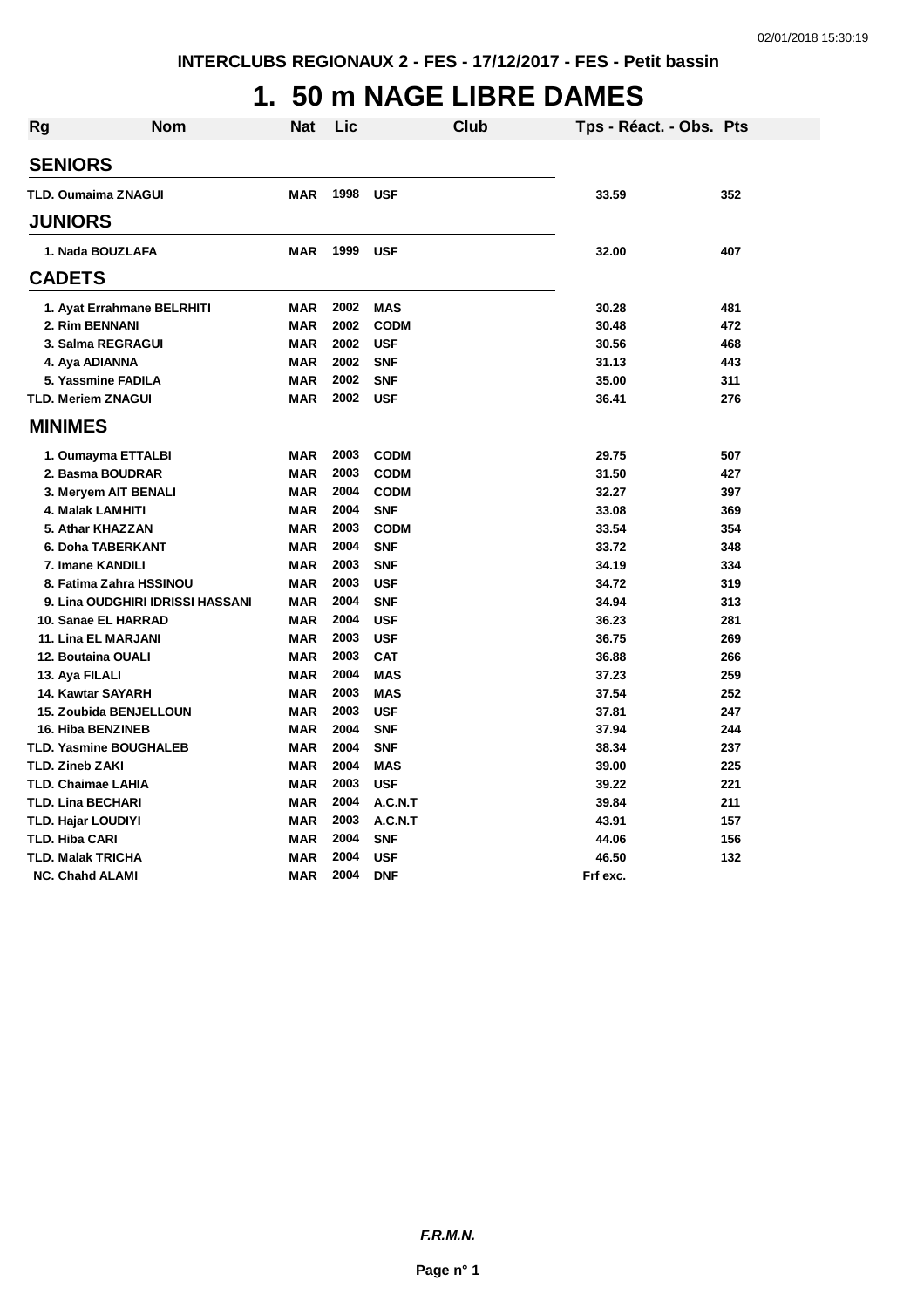## **1. 50 m NAGE LIBRE DAMES**

| <b>Rg</b> | <b>Nom</b>                       | <b>Nat</b> | Lic  | <b>Club</b> | Tps - Réact. - Obs. Pts |     |
|-----------|----------------------------------|------------|------|-------------|-------------------------|-----|
|           | <b>SENIORS</b>                   |            |      |             |                         |     |
|           | <b>TLD. Oumaima ZNAGUI</b>       | MAR        | 1998 | USF         | 33.59                   | 352 |
|           |                                  |            |      |             |                         |     |
|           | <b>JUNIORS</b>                   |            |      |             |                         |     |
|           | 1. Nada BOUZLAFA                 | <b>MAR</b> | 1999 | <b>USF</b>  | 32.00                   | 407 |
|           | <b>CADETS</b>                    |            |      |             |                         |     |
|           | 1. Ayat Errahmane BELRHITI       | <b>MAR</b> | 2002 | <b>MAS</b>  | 30.28                   | 481 |
|           | 2. Rim BENNANI                   | <b>MAR</b> | 2002 | <b>CODM</b> | 30.48                   | 472 |
|           | 3. Salma REGRAGUI                | <b>MAR</b> | 2002 | <b>USF</b>  | 30.56                   | 468 |
|           | 4. Aya ADIANNA                   | <b>MAR</b> | 2002 | <b>SNF</b>  | 31.13                   | 443 |
|           | 5. Yassmine FADILA               | <b>MAR</b> | 2002 | <b>SNF</b>  | 35.00                   | 311 |
|           | <b>TLD. Meriem ZNAGUI</b>        | <b>MAR</b> | 2002 | <b>USF</b>  | 36.41                   | 276 |
|           | <b>MINIMES</b>                   |            |      |             |                         |     |
|           | 1. Oumayma ETTALBI               | MAR        | 2003 | <b>CODM</b> | 29.75                   | 507 |
|           | 2. Basma BOUDRAR                 | <b>MAR</b> | 2003 | <b>CODM</b> | 31.50                   | 427 |
|           | 3. Meryem AIT BENALI             | <b>MAR</b> | 2004 | <b>CODM</b> | 32.27                   | 397 |
|           | 4. Malak LAMHITI                 | <b>MAR</b> | 2004 | <b>SNF</b>  | 33.08                   | 369 |
|           | 5. Athar KHAZZAN                 | <b>MAR</b> | 2003 | <b>CODM</b> | 33.54                   | 354 |
|           | 6. Doha TABERKANT                | <b>MAR</b> | 2004 | <b>SNF</b>  | 33.72                   | 348 |
|           | 7. Imane KANDILI                 | <b>MAR</b> | 2003 | <b>SNF</b>  | 34.19                   | 334 |
|           | 8. Fatima Zahra HSSINOU          | <b>MAR</b> | 2003 | <b>USF</b>  | 34.72                   | 319 |
|           | 9. Lina OUDGHIRI IDRISSI HASSANI | <b>MAR</b> | 2004 | <b>SNF</b>  | 34.94                   | 313 |
|           | 10. Sanae EL HARRAD              | <b>MAR</b> | 2004 | <b>USF</b>  | 36.23                   | 281 |
|           | 11. Lina EL MARJANI              | <b>MAR</b> | 2003 | <b>USF</b>  | 36.75                   | 269 |
|           | 12. Boutaina OUALI               | <b>MAR</b> | 2003 | <b>CAT</b>  | 36.88                   | 266 |
|           | 13. Aya FILALI                   | <b>MAR</b> | 2004 | <b>MAS</b>  | 37.23                   | 259 |
|           | 14. Kawtar SAYARH                | <b>MAR</b> | 2003 | <b>MAS</b>  | 37.54                   | 252 |
|           | 15. Zoubida BENJELLOUN           | <b>MAR</b> | 2003 | <b>USF</b>  | 37.81                   | 247 |
|           | <b>16. Hiba BENZINEB</b>         | <b>MAR</b> | 2004 | <b>SNF</b>  | 37.94                   | 244 |
|           | <b>TLD. Yasmine BOUGHALEB</b>    | <b>MAR</b> | 2004 | <b>SNF</b>  | 38.34                   | 237 |
|           | <b>TLD. Zineb ZAKI</b>           | <b>MAR</b> | 2004 | <b>MAS</b>  | 39.00                   | 225 |
|           | TLD. Chaimae LAHIA               | <b>MAR</b> | 2003 | <b>USF</b>  | 39.22                   | 221 |
|           | TLD. Lina BECHARI                | <b>MAR</b> | 2004 | A.C.N.T     | 39.84                   | 211 |
|           | <b>TLD. Hajar LOUDIYI</b>        | <b>MAR</b> | 2003 | A.C.N.T     | 43.91                   | 157 |
|           | <b>TLD. Hiba CARI</b>            | <b>MAR</b> | 2004 | <b>SNF</b>  | 44.06                   | 156 |
|           | <b>TLD. Malak TRICHA</b>         | <b>MAR</b> | 2004 | <b>USF</b>  | 46.50                   | 132 |
|           | <b>NC. Chahd ALAMI</b>           | <b>MAR</b> | 2004 | <b>DNF</b>  | Frf exc.                |     |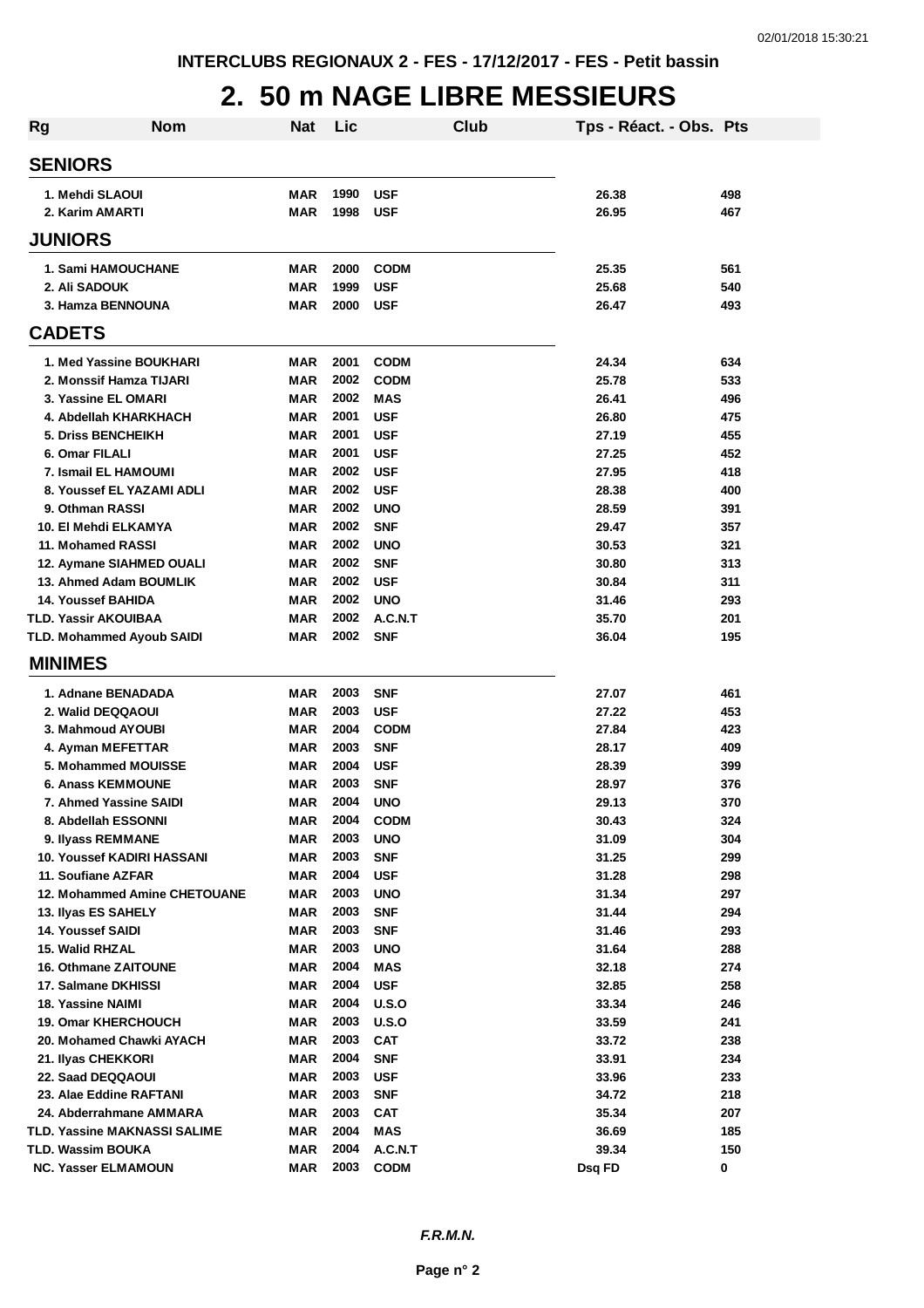### **2. 50 m NAGE LIBRE MESSIEURS**

| Rg | <b>Nom</b>                                         | <b>Nat</b>               | Lic          |                          | Club | Tps - Réact. - Obs. Pts |            |
|----|----------------------------------------------------|--------------------------|--------------|--------------------------|------|-------------------------|------------|
|    | <b>SENIORS</b>                                     |                          |              |                          |      |                         |            |
|    | 1. Mehdi SLAOUI                                    | MAR                      | 1990         | <b>USF</b>               |      | 26.38                   | 498        |
|    | 2. Karim AMARTI                                    | <b>MAR</b>               | 1998         | <b>USF</b>               |      | 26.95                   | 467        |
|    | <b>JUNIORS</b>                                     |                          |              |                          |      |                         |            |
|    | <b>1. Sami HAMOUCHANE</b>                          | MAR                      | 2000         | <b>CODM</b>              |      | 25.35                   | 561        |
|    | 2. Ali SADOUK                                      | <b>MAR</b>               | 1999         | <b>USF</b>               |      | 25.68                   | 540        |
|    | 3. Hamza BENNOUNA                                  | <b>MAR</b>               | 2000         | <b>USF</b>               |      | 26.47                   | 493        |
|    | <b>CADETS</b>                                      |                          |              |                          |      |                         |            |
|    | 1. Med Yassine BOUKHARI                            | MAR                      | 2001         | <b>CODM</b>              |      | 24.34                   | 634        |
|    | 2. Monssif Hamza TIJARI                            | <b>MAR</b>               | 2002         | <b>CODM</b>              |      | 25.78                   | 533        |
|    | 3. Yassine EL OMARI                                | <b>MAR</b>               | 2002         | <b>MAS</b>               |      | 26.41                   | 496        |
|    | 4. Abdellah KHARKHACH                              | <b>MAR</b>               | 2001         | <b>USF</b>               |      | 26.80                   | 475        |
|    | 5. Driss BENCHEIKH                                 | <b>MAR</b>               | 2001         | <b>USF</b>               |      | 27.19                   | 455        |
|    | 6. Omar FILALI                                     | <b>MAR</b>               | 2001         | <b>USF</b>               |      | 27.25                   | 452        |
|    | 7. Ismail EL HAMOUMI                               | MAR                      | 2002         | <b>USF</b>               |      | 27.95                   | 418        |
|    | 8. Youssef EL YAZAMI ADLI                          | <b>MAR</b>               | 2002         | <b>USF</b>               |      | 28.38                   | 400        |
|    | 9. Othman RASSI                                    | <b>MAR</b>               | 2002         | <b>UNO</b>               |      | 28.59                   | 391        |
|    | 10. El Mehdi ELKAMYA                               | <b>MAR</b>               | 2002         | <b>SNF</b>               |      | 29.47                   | 357        |
|    | 11. Mohamed RASSI                                  | <b>MAR</b>               | 2002         | <b>UNO</b>               |      | 30.53                   | 321        |
|    | 12. Aymane SIAHMED OUALI                           | <b>MAR</b>               | 2002         | <b>SNF</b>               |      | 30.80                   | 313        |
|    | 13. Ahmed Adam BOUMLIK                             | <b>MAR</b>               | 2002         | <b>USF</b>               |      | 30.84                   | 311        |
|    | <b>14. Youssef BAHIDA</b>                          | <b>MAR</b>               | 2002         | <b>UNO</b>               |      | 31.46                   | 293        |
|    | TLD. Yassir AKOUIBAA                               | <b>MAR</b>               | 2002         | A.C.N.T                  |      | 35.70                   | 201        |
|    | <b>TLD. Mohammed Ayoub SAIDI</b>                   | <b>MAR</b>               | 2002         | <b>SNF</b>               |      | 36.04                   | 195        |
|    | <b>MINIMES</b>                                     |                          |              |                          |      |                         |            |
|    | 1. Adnane BENADADA                                 | <b>MAR</b>               | 2003         | <b>SNF</b>               |      | 27.07                   | 461        |
|    | 2. Walid DEQQAOUI                                  | <b>MAR</b>               | 2003         | <b>USF</b>               |      | 27.22                   | 453        |
|    | 3. Mahmoud AYOUBI                                  | <b>MAR</b>               | 2004         | <b>CODM</b>              |      | 27.84                   | 423        |
|    | 4. Ayman MEFETTAR                                  | <b>MAR</b>               | 2003         | <b>SNF</b>               |      | 28.17                   | 409        |
|    | 5. Mohammed MOUISSE                                | MAR                      | 2004         | <b>USF</b>               |      | 28.39                   | 399        |
|    | <b>6. Anass KEMMOUNE</b>                           | MAR                      | 2003         | <b>SNF</b>               |      | 28.97                   | 376        |
|    | 7. Ahmed Yassine SAIDI                             | MAR                      | 2004         | <b>UNO</b>               |      | 29.13                   | 370        |
|    | 8. Abdellah ESSONNI                                | MAR                      | 2004         | <b>CODM</b>              |      | 30.43                   | 324        |
|    | 9. Ilyass REMMANE                                  | <b>MAR</b>               | 2003         | <b>UNO</b>               |      | 31.09                   | 304        |
|    | 10. Youssef KADIRI HASSANI                         | <b>MAR</b>               | 2003         | <b>SNF</b>               |      | 31.25                   | 299        |
|    | 11. Soufiane AZFAR                                 | <b>MAR</b>               | 2004         | <b>USF</b>               |      | 31.28                   | 298        |
|    | 12. Mohammed Amine CHETOUANE                       | <b>MAR</b>               | 2003         | <b>UNO</b>               |      | 31.34                   | 297        |
|    | 13. Ilyas ES SAHELY                                | MAR                      | 2003         | <b>SNF</b>               |      | 31.44                   | 294        |
|    | <b>14. Youssef SAIDI</b>                           | MAR                      | 2003         | <b>SNF</b>               |      | 31.46                   | 293        |
|    | 15. Walid RHZAL                                    | <b>MAR</b>               | 2003<br>2004 | <b>UNO</b>               |      | 31.64                   | 288        |
|    | <b>16. Othmane ZAITOUNE</b><br>17. Salmane DKHISSI | <b>MAR</b><br><b>MAR</b> | 2004         | <b>MAS</b><br><b>USF</b> |      | 32.18<br>32.85          | 274<br>258 |
|    | 18. Yassine NAIMI                                  | <b>MAR</b>               | 2004         | U.S.O                    |      | 33.34                   | 246        |
|    | <b>19. Omar KHERCHOUCH</b>                         | MAR                      | 2003         | U.S.O                    |      | 33.59                   | 241        |
|    | 20. Mohamed Chawki AYACH                           | MAR                      | 2003         | CAT                      |      | 33.72                   | 238        |
|    | 21. Ilyas CHEKKORI                                 | <b>MAR</b>               | 2004         | <b>SNF</b>               |      | 33.91                   | 234        |
|    | 22. Saad DEQQAOUI                                  | <b>MAR</b>               | 2003         | <b>USF</b>               |      | 33.96                   | 233        |
|    | 23. Alae Eddine RAFTANI                            | <b>MAR</b>               | 2003         | <b>SNF</b>               |      | 34.72                   | 218        |
|    | 24. Abderrahmane AMMARA                            | <b>MAR</b>               | 2003         | <b>CAT</b>               |      | 35.34                   | 207        |
|    | TLD. Yassine MAKNASSI SALIME                       | <b>MAR</b>               | 2004         | <b>MAS</b>               |      | 36.69                   | 185        |
|    | TLD. Wassim BOUKA                                  | MAR                      | 2004         | A.C.N.T                  |      | 39.34                   | 150        |
|    | <b>NC. Yasser ELMAMOUN</b>                         | <b>MAR</b>               | 2003         | <b>CODM</b>              |      | Dsq FD                  | 0          |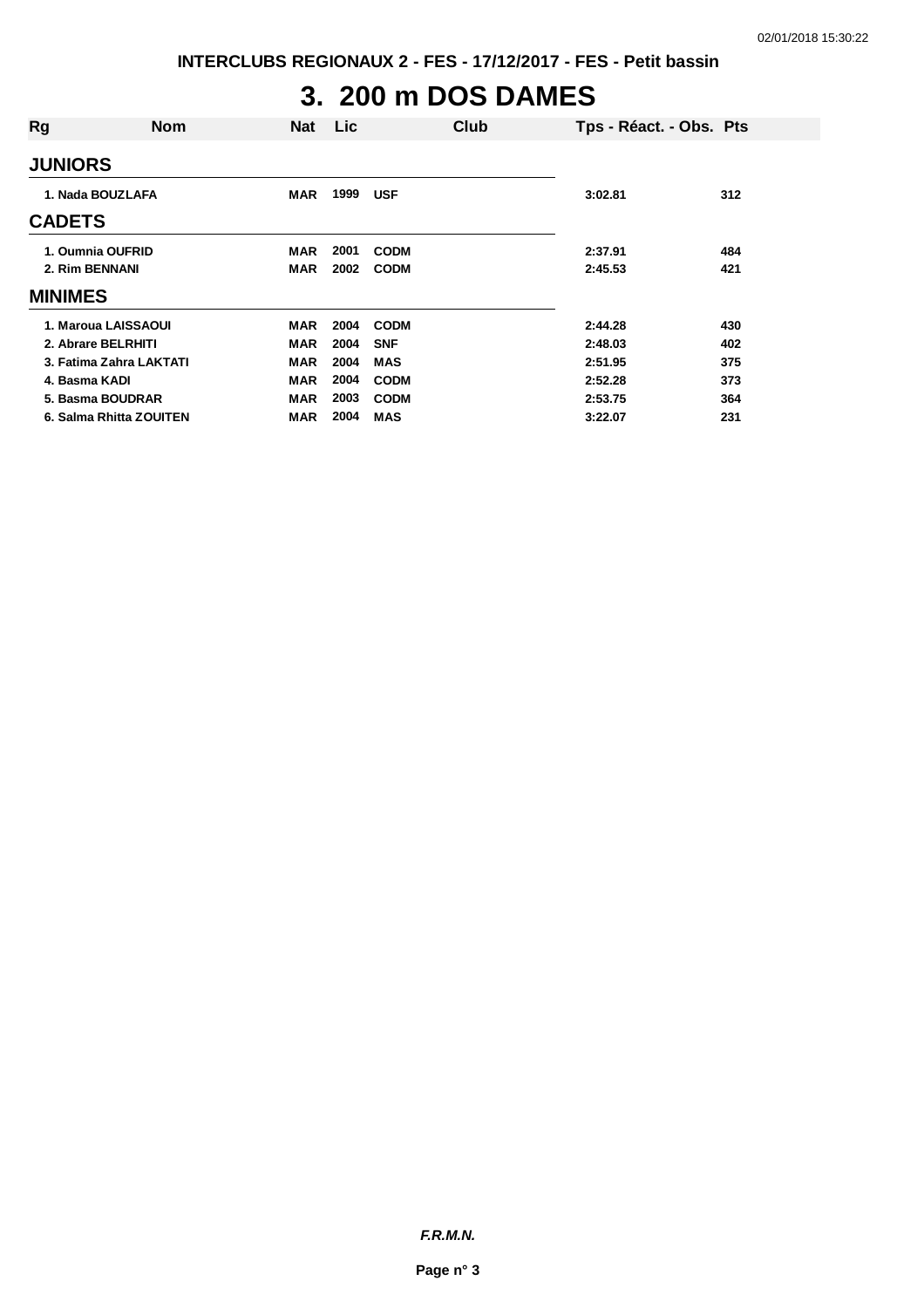# **3. 200 m DOS DAMES**

| Rg                      | <b>Nom</b> | Nat        | Lic. |             | Club | Tps - Réact. - Obs. Pts |     |
|-------------------------|------------|------------|------|-------------|------|-------------------------|-----|
| <b>JUNIORS</b>          |            |            |      |             |      |                         |     |
| 1. Nada BOUZLAFA        |            | <b>MAR</b> | 1999 | <b>USF</b>  |      | 3:02.81                 | 312 |
| <b>CADETS</b>           |            |            |      |             |      |                         |     |
| 1. Oumnia OUFRID        |            | <b>MAR</b> | 2001 | <b>CODM</b> |      | 2:37.91                 | 484 |
| 2. Rim BENNANI          |            | <b>MAR</b> | 2002 | <b>CODM</b> |      | 2:45.53                 | 421 |
| <b>MINIMES</b>          |            |            |      |             |      |                         |     |
| 1. Maroua LAISSAOUI     |            | <b>MAR</b> | 2004 | <b>CODM</b> |      | 2:44.28                 | 430 |
| 2. Abrare BELRHITI      |            | <b>MAR</b> | 2004 | <b>SNF</b>  |      | 2:48.03                 | 402 |
| 3. Fatima Zahra LAKTATI |            | <b>MAR</b> | 2004 | <b>MAS</b>  |      | 2:51.95                 | 375 |
| 4. Basma KADI           |            | <b>MAR</b> | 2004 | <b>CODM</b> |      | 2:52.28                 | 373 |
| 5. Basma BOUDRAR        |            | <b>MAR</b> | 2003 | <b>CODM</b> |      | 2:53.75                 | 364 |
| 6. Salma Rhitta ZOUITEN |            | <b>MAR</b> | 2004 | <b>MAS</b>  |      | 3:22.07                 | 231 |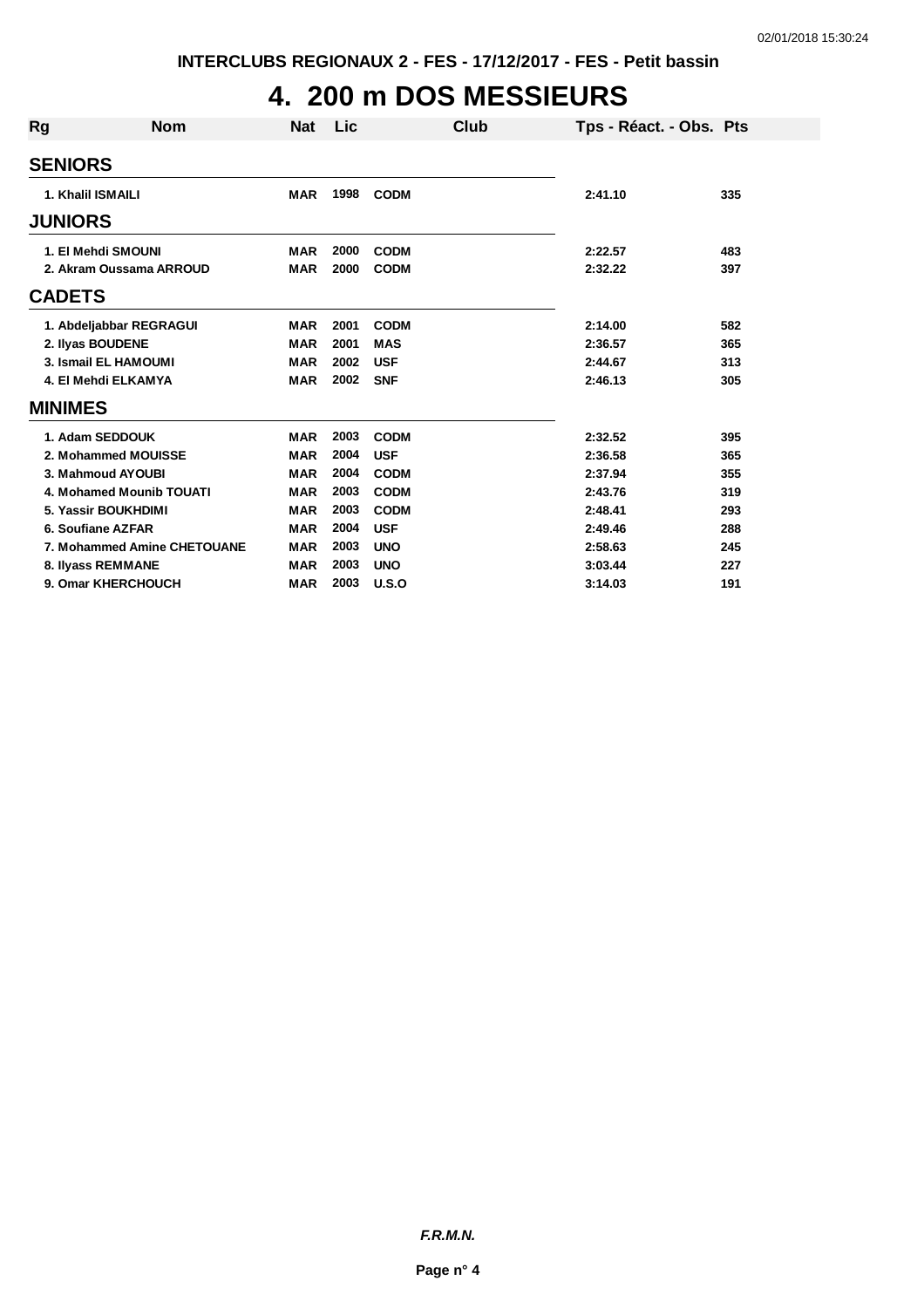## **4. 200 m DOS MESSIEURS**

| <b>Rg</b> | <b>Nom</b>                  | <b>Nat</b> | Lic  | Club        | Tps - Réact. - Obs. Pts |     |
|-----------|-----------------------------|------------|------|-------------|-------------------------|-----|
|           | <b>SENIORS</b>              |            |      |             |                         |     |
|           | 1. Khalil ISMAILI           | <b>MAR</b> | 1998 | <b>CODM</b> | 2:41.10                 | 335 |
|           | <b>JUNIORS</b>              |            |      |             |                         |     |
|           | 1. El Mehdi SMOUNI          | <b>MAR</b> | 2000 | <b>CODM</b> | 2:22.57                 | 483 |
|           | 2. Akram Oussama ARROUD     | <b>MAR</b> | 2000 | <b>CODM</b> | 2:32.22                 | 397 |
|           | <b>CADETS</b>               |            |      |             |                         |     |
|           | 1. Abdeljabbar REGRAGUI     | <b>MAR</b> | 2001 | <b>CODM</b> | 2:14.00                 | 582 |
|           | 2. Ilyas BOUDENE            | <b>MAR</b> | 2001 | <b>MAS</b>  | 2:36.57                 | 365 |
|           | 3. Ismail EL HAMOUMI        | <b>MAR</b> | 2002 | <b>USF</b>  | 2:44.67                 | 313 |
|           | 4. El Mehdi ELKAMYA         | <b>MAR</b> | 2002 | <b>SNF</b>  | 2:46.13                 | 305 |
|           | <b>MINIMES</b>              |            |      |             |                         |     |
|           | 1. Adam SEDDOUK             | <b>MAR</b> | 2003 | <b>CODM</b> | 2:32.52                 | 395 |
|           | 2. Mohammed MOUISSE         | <b>MAR</b> | 2004 | <b>USF</b>  | 2:36.58                 | 365 |
|           | 3. Mahmoud AYOUBI           | <b>MAR</b> | 2004 | <b>CODM</b> | 2:37.94                 | 355 |
|           | 4. Mohamed Mounib TOUATI    | <b>MAR</b> | 2003 | <b>CODM</b> | 2:43.76                 | 319 |
|           | 5. Yassir BOUKHDIMI         | <b>MAR</b> | 2003 | <b>CODM</b> | 2:48.41                 | 293 |
|           | 6. Soufiane AZFAR           | <b>MAR</b> | 2004 | <b>USF</b>  | 2:49.46                 | 288 |
|           | 7. Mohammed Amine CHETOUANE | <b>MAR</b> | 2003 | <b>UNO</b>  | 2:58.63                 | 245 |
|           | 8. Ilyass REMMANE           | <b>MAR</b> | 2003 | <b>UNO</b>  | 3:03.44                 | 227 |
|           | 9. Omar KHERCHOUCH          | <b>MAR</b> | 2003 | U.S.O       | 3:14.03                 | 191 |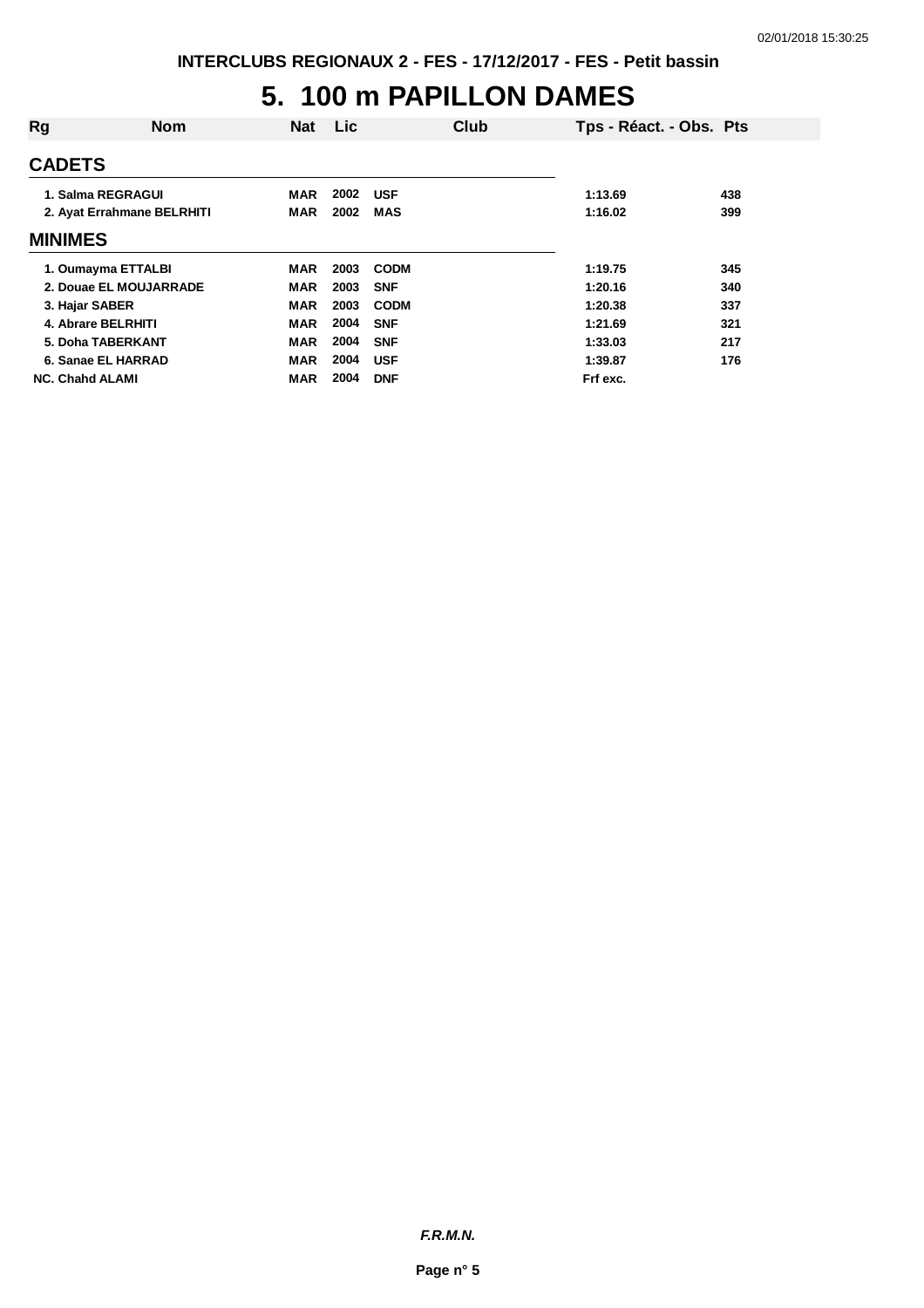### **5. 100 m PAPILLON DAMES**

| Rg                     | <b>Nom</b>                 | <b>Nat</b> | <b>Lic</b> |             | Club | Tps - Réact. - Obs. Pts |     |
|------------------------|----------------------------|------------|------------|-------------|------|-------------------------|-----|
| <b>CADETS</b>          |                            |            |            |             |      |                         |     |
|                        | 1. Salma REGRAGUI          | <b>MAR</b> | 2002       | <b>USF</b>  |      | 1:13.69                 | 438 |
|                        | 2. Ayat Errahmane BELRHITI | MAR        | 2002       | <b>MAS</b>  |      | 1:16.02                 | 399 |
| <b>MINIMES</b>         |                            |            |            |             |      |                         |     |
|                        | 1. Oumayma ETTALBI         | <b>MAR</b> | 2003       | <b>CODM</b> |      | 1:19.75                 | 345 |
|                        | 2. Douae EL MOUJARRADE     | <b>MAR</b> | 2003       | <b>SNF</b>  |      | 1:20.16                 | 340 |
|                        | 3. Hajar SABER             | <b>MAR</b> | 2003       | <b>CODM</b> |      | 1:20.38                 | 337 |
|                        | 4. Abrare BELRHITI         | <b>MAR</b> | 2004       | <b>SNF</b>  |      | 1:21.69                 | 321 |
|                        | 5. Doha TABERKANT          | <b>MAR</b> | 2004       | <b>SNF</b>  |      | 1:33.03                 | 217 |
|                        | 6. Sanae EL HARRAD         | <b>MAR</b> | 2004       | <b>USF</b>  |      | 1:39.87                 | 176 |
| <b>NC. Chahd ALAMI</b> |                            | <b>MAR</b> | 2004       | <b>DNF</b>  |      | Frf exc.                |     |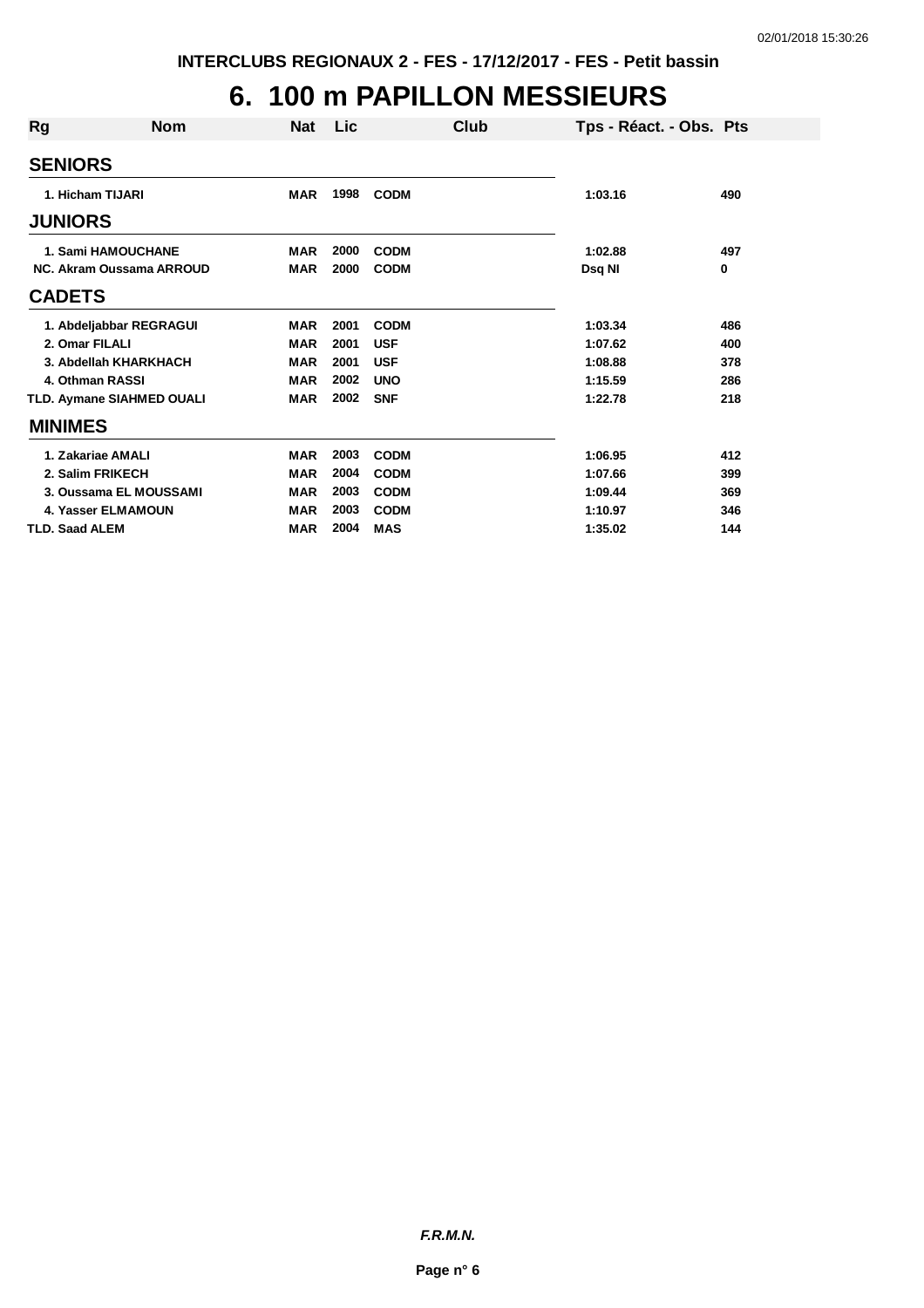## **6. 100 m PAPILLON MESSIEURS**

| <b>Rg</b>      | <b>Nom</b>                       | Nat        | <b>Lic</b> |             | Club | Tps - Réact. - Obs. Pts |     |
|----------------|----------------------------------|------------|------------|-------------|------|-------------------------|-----|
|                | <b>SENIORS</b>                   |            |            |             |      |                         |     |
|                | 1. Hicham TIJARI                 | <b>MAR</b> | 1998       | <b>CODM</b> |      | 1:03.16                 | 490 |
|                | <b>JUNIORS</b>                   |            |            |             |      |                         |     |
|                | 1. Sami HAMOUCHANE               | <b>MAR</b> | 2000       | <b>CODM</b> |      | 1:02.88                 | 497 |
|                | NC. Akram Oussama ARROUD         | <b>MAR</b> | 2000       | <b>CODM</b> |      | Dsq NI                  | 0   |
| <b>CADETS</b>  |                                  |            |            |             |      |                         |     |
|                | 1. Abdeljabbar REGRAGUI          | <b>MAR</b> | 2001       | <b>CODM</b> |      | 1:03.34                 | 486 |
|                | 2. Omar FILALI                   | <b>MAR</b> | 2001       | <b>USF</b>  |      | 1:07.62                 | 400 |
|                | 3. Abdellah KHARKHACH            | <b>MAR</b> | 2001       | <b>USF</b>  |      | 1:08.88                 | 378 |
|                | 4. Othman RASSI                  | <b>MAR</b> | 2002       | <b>UNO</b>  |      | 1:15.59                 | 286 |
|                | <b>TLD. Aymane SIAHMED OUALI</b> | <b>MAR</b> | 2002       | <b>SNF</b>  |      | 1:22.78                 | 218 |
| <b>MINIMES</b> |                                  |            |            |             |      |                         |     |
|                | 1. Zakariae AMALI                | <b>MAR</b> | 2003       | <b>CODM</b> |      | 1:06.95                 | 412 |
|                | 2. Salim FRIKECH                 | <b>MAR</b> | 2004       | <b>CODM</b> |      | 1:07.66                 | 399 |
|                | 3. Oussama EL MOUSSAMI           | <b>MAR</b> | 2003       | <b>CODM</b> |      | 1:09.44                 | 369 |
|                | <b>4. Yasser ELMAMOUN</b>        | <b>MAR</b> | 2003       | <b>CODM</b> |      | 1:10.97                 | 346 |
|                | <b>TLD. Saad ALEM</b>            | <b>MAR</b> | 2004       | <b>MAS</b>  |      | 1:35.02                 | 144 |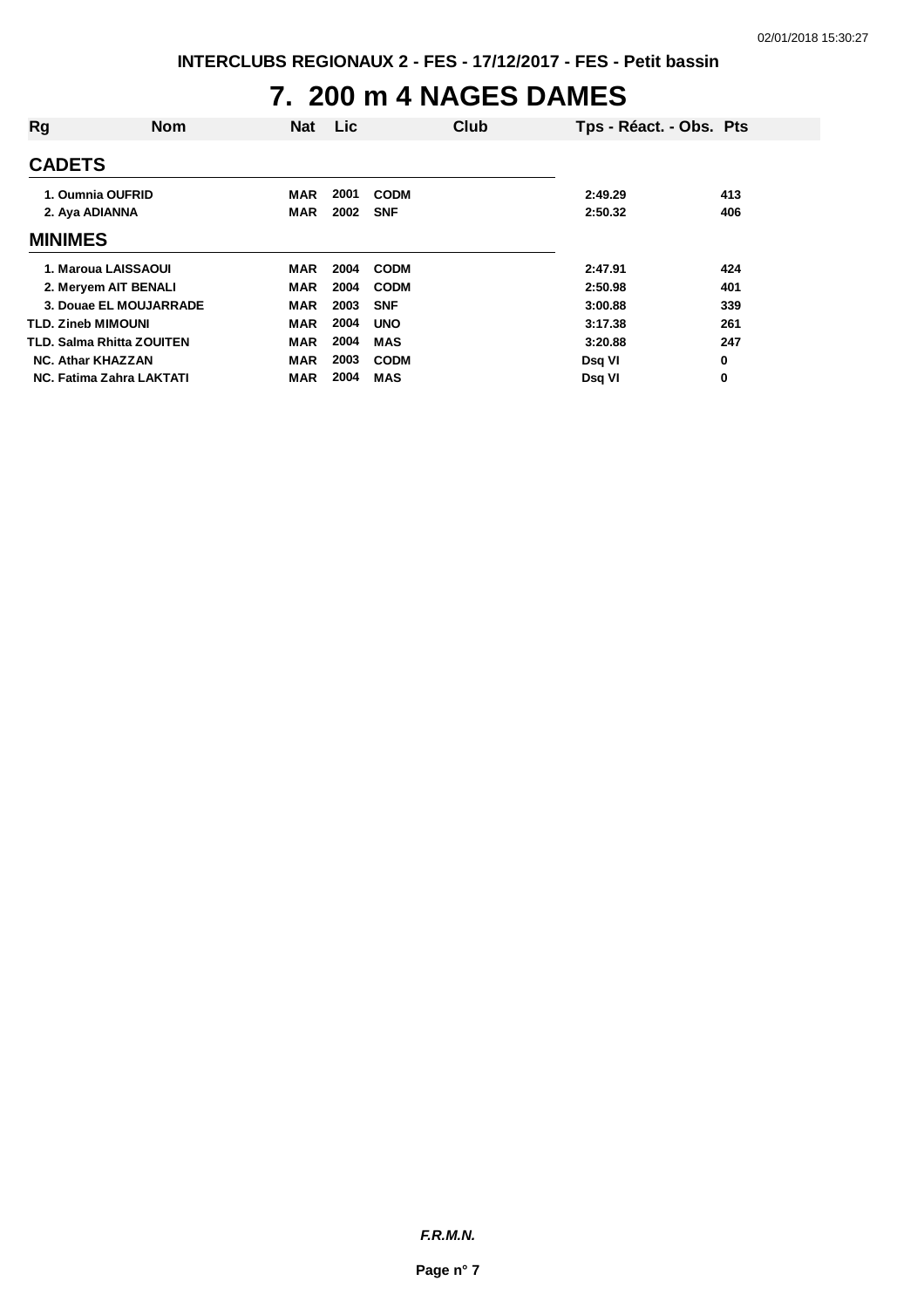### **7. 200 m 4 NAGES DAMES**

| Rg                                                     | <b>Nom</b>             | <b>Nat</b>               | <b>Lic</b>           | Club                                     | Tps - Réact. - Obs. Pts       |                            |
|--------------------------------------------------------|------------------------|--------------------------|----------------------|------------------------------------------|-------------------------------|----------------------------|
| <b>CADETS</b>                                          |                        |                          |                      |                                          |                               |                            |
| 1. Oumnia OUFRID<br>2. Aya ADIANNA                     |                        | MAR<br><b>MAR</b>        | 2001<br>2002         | <b>CODM</b><br><b>SNF</b>                | 2:49.29<br>2:50.32            | 413<br>406                 |
| <b>MINIMES</b>                                         |                        |                          |                      |                                          |                               |                            |
| 1. Maroua LAISSAOUI<br>2. Meryem AIT BENALI            | 3. Douae EL MOUJARRADE | MAR<br><b>MAR</b><br>MAR | 2004<br>2004<br>2003 | <b>CODM</b><br><b>CODM</b><br><b>SNF</b> | 2:47.91<br>2:50.98<br>3:00.88 | 424<br>401<br>339          |
| <b>TLD. Zineb MIMOUNI</b><br>TLD. Salma Rhitta ZOUITEN |                        | <b>MAR</b><br><b>MAR</b> | 2004<br>2004         | <b>UNO</b><br><b>MAS</b>                 | 3:17.38<br>3:20.88            | 261<br>247                 |
| <b>NC. Athar KHAZZAN</b><br>NC. Fatima Zahra LAKTATI   |                        | MAR<br><b>MAR</b>        | 2003<br>2004         | <b>CODM</b><br><b>MAS</b>                | Dsq VI<br>Dsq VI              | $\mathbf 0$<br>$\mathbf 0$ |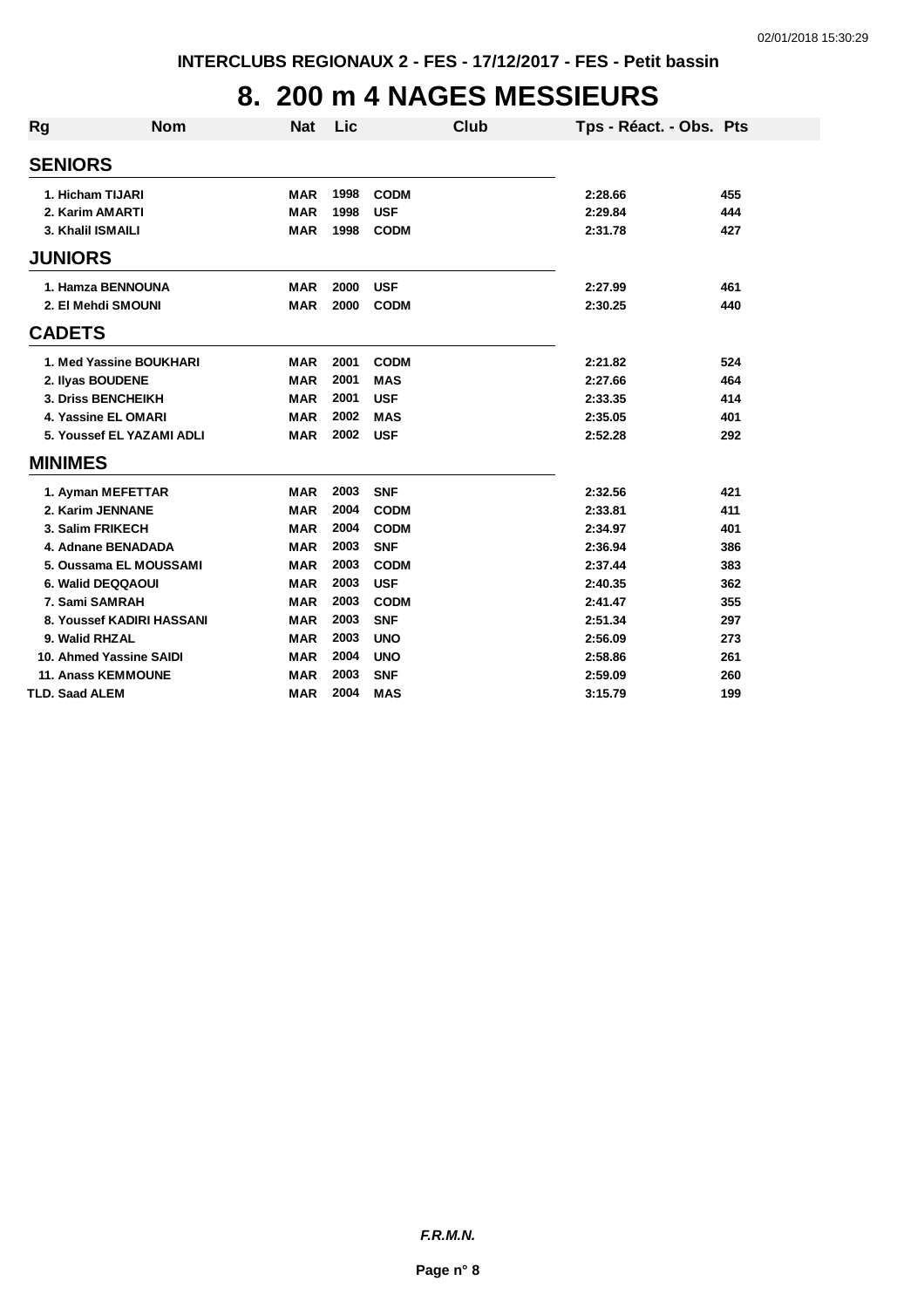### **8. 200 m 4 NAGES MESSIEURS**

| Rg                    | <b>Nom</b>                | <b>Nat</b> | <b>Lic</b> | <b>Club</b> | Tps - Réact. - Obs. Pts |     |
|-----------------------|---------------------------|------------|------------|-------------|-------------------------|-----|
|                       |                           |            |            |             |                         |     |
| <b>SENIORS</b>        |                           |            |            |             |                         |     |
|                       | 1. Hicham TIJARI          | <b>MAR</b> | 1998       | <b>CODM</b> | 2:28.66                 | 455 |
|                       | 2. Karim AMARTI           | <b>MAR</b> | 1998       | <b>USF</b>  | 2:29.84                 | 444 |
|                       | 3. Khalil ISMAILI         | <b>MAR</b> | 1998       | <b>CODM</b> | 2:31.78                 | 427 |
| <b>JUNIORS</b>        |                           |            |            |             |                         |     |
|                       | 1. Hamza BENNOUNA         | <b>MAR</b> | 2000       | <b>USF</b>  | 2:27.99                 | 461 |
|                       | 2. El Mehdi SMOUNI        | <b>MAR</b> | 2000       | <b>CODM</b> | 2:30.25                 | 440 |
| <b>CADETS</b>         |                           |            |            |             |                         |     |
|                       | 1. Med Yassine BOUKHARI   | <b>MAR</b> | 2001       | <b>CODM</b> | 2:21.82                 | 524 |
|                       | 2. Ilyas BOUDENE          | <b>MAR</b> | 2001       | <b>MAS</b>  | 2:27.66                 | 464 |
|                       | 3. Driss BENCHEIKH        | <b>MAR</b> | 2001       | <b>USF</b>  | 2:33.35                 | 414 |
|                       | 4. Yassine EL OMARI       | <b>MAR</b> | 2002       | <b>MAS</b>  | 2:35.05                 | 401 |
|                       | 5. Youssef EL YAZAMI ADLI | <b>MAR</b> | 2002       | <b>USF</b>  | 2:52.28                 | 292 |
| <b>MINIMES</b>        |                           |            |            |             |                         |     |
|                       | 1. Ayman MEFETTAR         | <b>MAR</b> | 2003       | <b>SNF</b>  | 2:32.56                 | 421 |
|                       | 2. Karim JENNANE          | <b>MAR</b> | 2004       | <b>CODM</b> | 2:33.81                 | 411 |
|                       | 3. Salim FRIKECH          | <b>MAR</b> | 2004       | <b>CODM</b> | 2:34.97                 | 401 |
|                       | 4. Adnane BENADADA        | <b>MAR</b> | 2003       | <b>SNF</b>  | 2:36.94                 | 386 |
|                       | 5. Oussama EL MOUSSAMI    | <b>MAR</b> | 2003       | <b>CODM</b> | 2:37.44                 | 383 |
|                       | 6. Walid DEQQAOUI         | <b>MAR</b> | 2003       | <b>USF</b>  | 2:40.35                 | 362 |
|                       | 7. Sami SAMRAH            | <b>MAR</b> | 2003       | <b>CODM</b> | 2:41.47                 | 355 |
|                       | 8. Youssef KADIRI HASSANI | <b>MAR</b> | 2003       | <b>SNF</b>  | 2:51.34                 | 297 |
| 9. Walid RHZAL        |                           | <b>MAR</b> | 2003       | <b>UNO</b>  | 2:56.09                 | 273 |
|                       | 10. Ahmed Yassine SAIDI   | <b>MAR</b> | 2004       | <b>UNO</b>  | 2:58.86                 | 261 |
|                       | <b>11. Anass KEMMOUNE</b> | <b>MAR</b> | 2003       | <b>SNF</b>  | 2:59.09                 | 260 |
| <b>TLD. Saad ALEM</b> |                           | <b>MAR</b> | 2004       | <b>MAS</b>  | 3:15.79                 | 199 |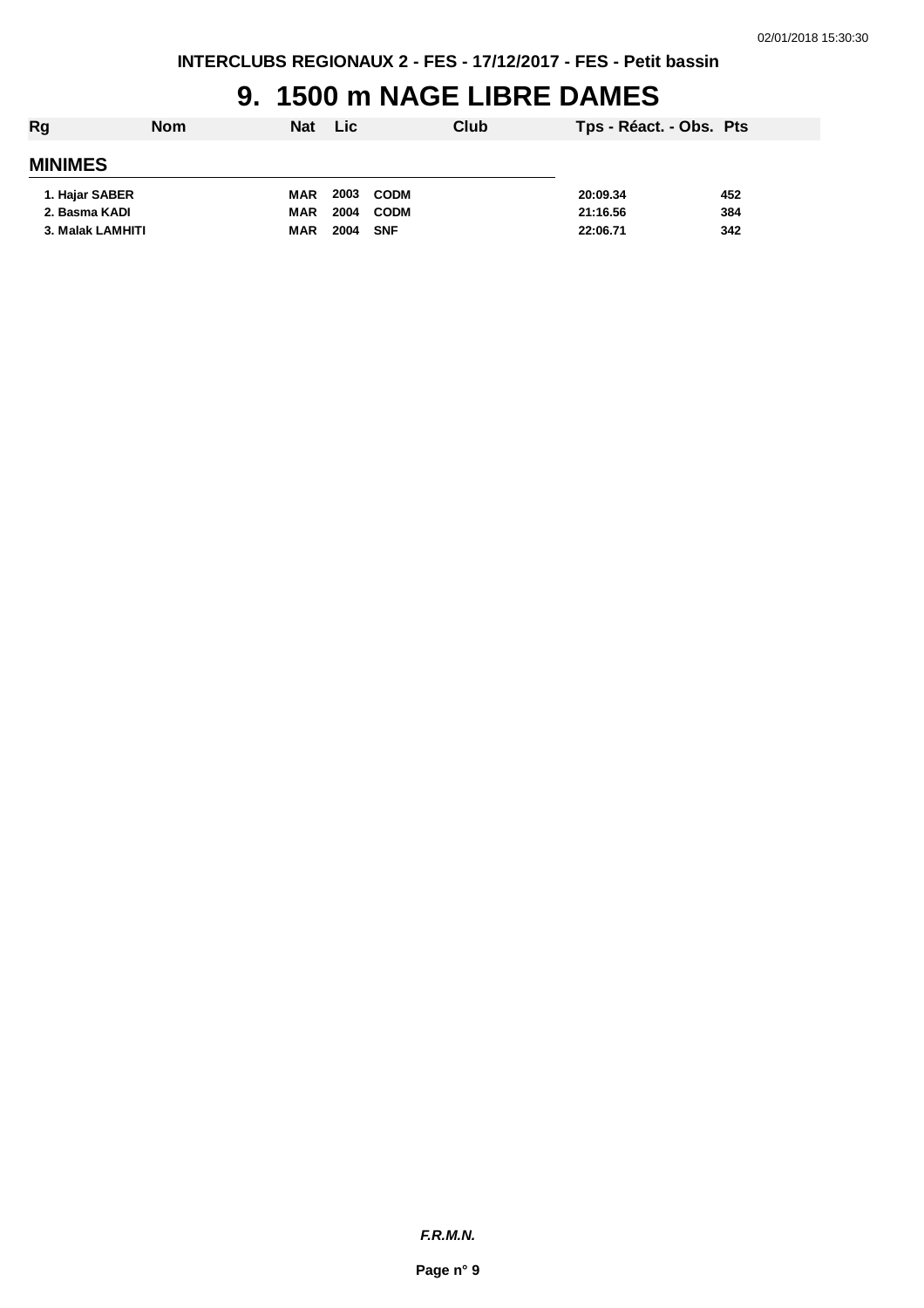### **9. 1500 m NAGE LIBRE DAMES**

| Rg               | <b>Nom</b> | <b>Nat</b> | <b>Lic</b> |             | Club | Tps - Réact. - Obs. Pts |     |
|------------------|------------|------------|------------|-------------|------|-------------------------|-----|
| <b>MINIMES</b>   |            |            |            |             |      |                         |     |
| 1. Hajar SABER   |            | MAR        | 2003       | <b>CODM</b> |      | 20:09.34                | 452 |
| 2. Basma KADI    |            | <b>MAR</b> | 2004       | <b>CODM</b> |      | 21:16.56                | 384 |
| 3. Malak LAMHITI |            | <b>MAR</b> | 2004       | <b>SNF</b>  |      | 22:06.71                | 342 |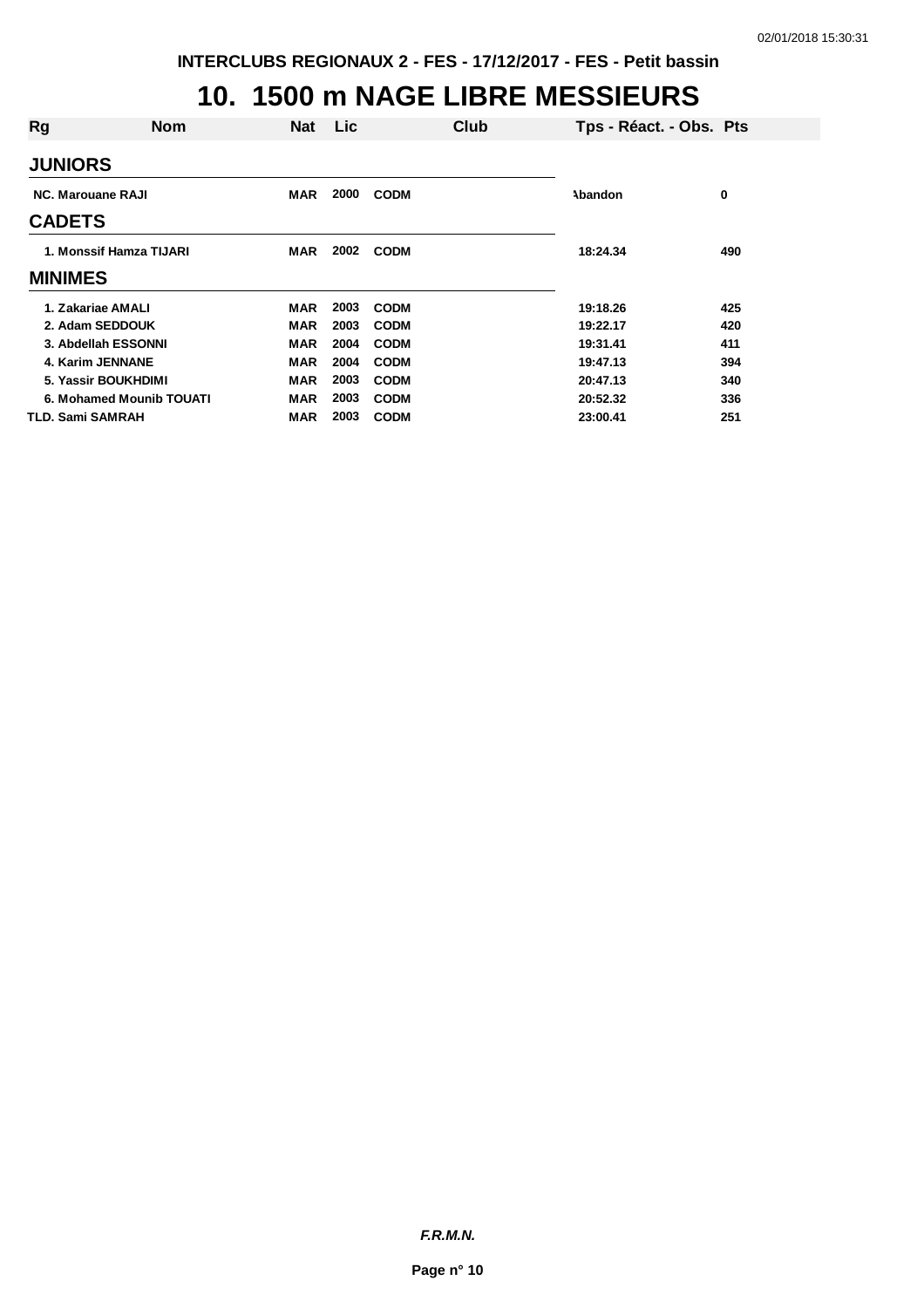## **10. 1500 m NAGE LIBRE MESSIEURS**

| Rg<br><b>Nom</b>         | <b>Nat</b> | Lic  |             | Club | Tps - Réact. - Obs. Pts |     |
|--------------------------|------------|------|-------------|------|-------------------------|-----|
| <b>JUNIORS</b>           |            |      |             |      |                         |     |
| <b>NC. Marouane RAJI</b> | <b>MAR</b> | 2000 | <b>CODM</b> |      | Abandon                 | 0   |
| <b>CADETS</b>            |            |      |             |      |                         |     |
| 1. Monssif Hamza TIJARI  | <b>MAR</b> | 2002 | <b>CODM</b> |      | 18:24.34                | 490 |
| <b>MINIMES</b>           |            |      |             |      |                         |     |
| 1. Zakariae AMALI        | <b>MAR</b> | 2003 | <b>CODM</b> |      | 19:18.26                | 425 |
| 2. Adam SEDDOUK          | MAR        | 2003 | <b>CODM</b> |      | 19:22.17                | 420 |
| 3. Abdellah ESSONNI      | <b>MAR</b> | 2004 | <b>CODM</b> |      | 19:31.41                | 411 |
| 4. Karim JENNANE         | <b>MAR</b> | 2004 | <b>CODM</b> |      | 19:47.13                | 394 |
| 5. Yassir BOUKHDIMI      | <b>MAR</b> | 2003 | <b>CODM</b> |      | 20:47.13                | 340 |
| 6. Mohamed Mounib TOUATI | <b>MAR</b> | 2003 | <b>CODM</b> |      | 20:52.32                | 336 |
| TLD. Sami SAMRAH         | MAR        | 2003 | <b>CODM</b> |      | 23:00.41                | 251 |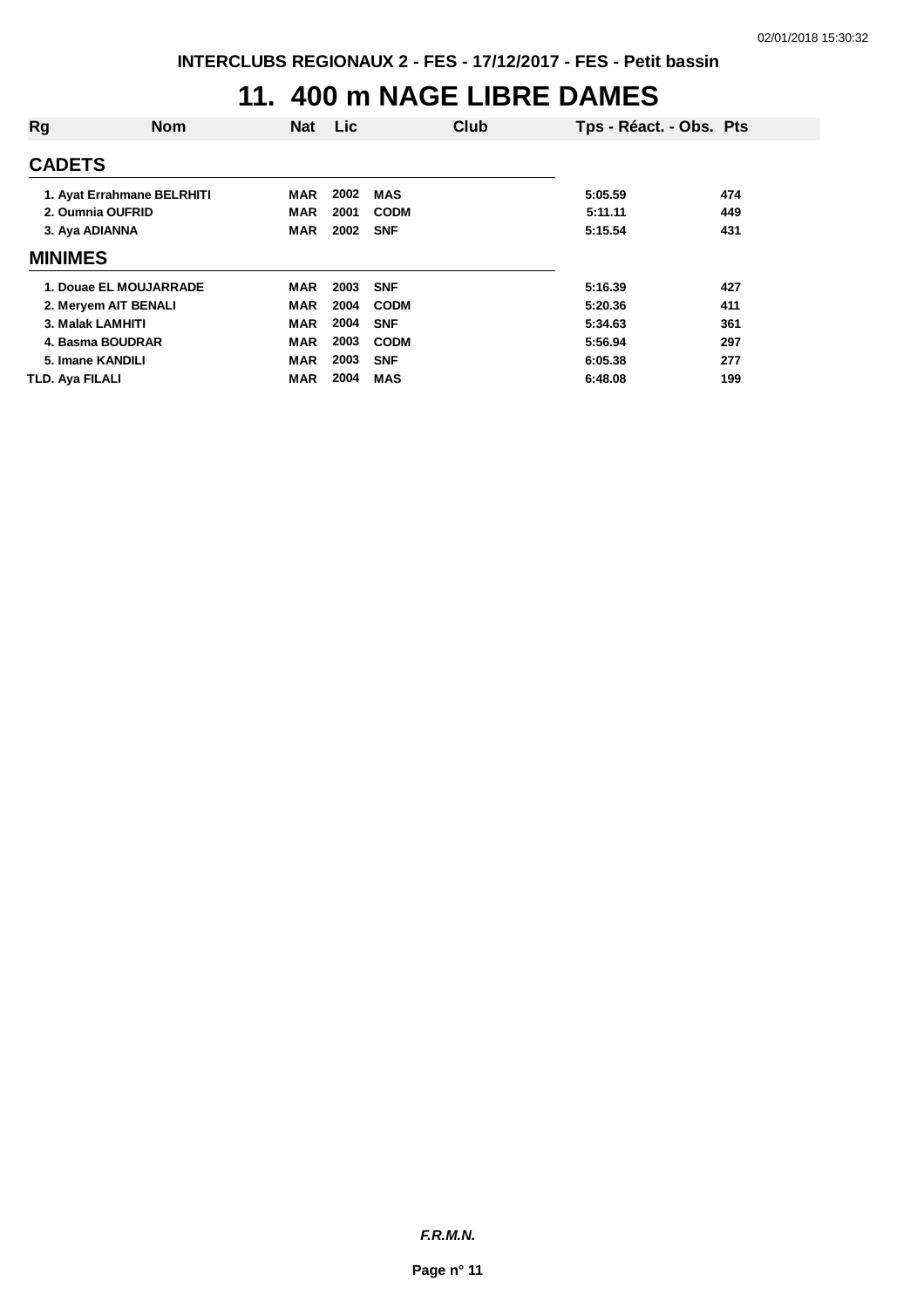### **11. 400 m NAGE LIBRE DAMES**

| Rg                         | <b>Nom</b> | <b>Nat</b> | Lic  |             | Club | Tps - Réact. - Obs. Pts |     |
|----------------------------|------------|------------|------|-------------|------|-------------------------|-----|
| <b>CADETS</b>              |            |            |      |             |      |                         |     |
| 1. Ayat Errahmane BELRHITI |            | MAR        | 2002 | <b>MAS</b>  |      | 5:05.59                 | 474 |
| 2. Oumnia OUFRID           |            | <b>MAR</b> | 2001 | <b>CODM</b> |      | 5:11.11                 | 449 |
| 3. Aya ADIANNA             |            | <b>MAR</b> | 2002 | <b>SNF</b>  |      | 5:15.54                 | 431 |
| <b>MINIMES</b>             |            |            |      |             |      |                         |     |
| 1. Douae EL MOUJARRADE     |            | <b>MAR</b> | 2003 | <b>SNF</b>  |      | 5:16.39                 | 427 |
| 2. Meryem AIT BENALI       |            | <b>MAR</b> | 2004 | <b>CODM</b> |      | 5:20.36                 | 411 |
| 3. Malak LAMHITI           |            | <b>MAR</b> | 2004 | <b>SNF</b>  |      | 5:34.63                 | 361 |
| 4. Basma BOUDRAR           |            | <b>MAR</b> | 2003 | <b>CODM</b> |      | 5:56.94                 | 297 |
| 5. Imane KANDILI           |            | <b>MAR</b> | 2003 | <b>SNF</b>  |      | 6:05.38                 | 277 |
| <b>TLD. Aya FILALI</b>     |            | <b>MAR</b> | 2004 | <b>MAS</b>  |      | 6:48.08                 | 199 |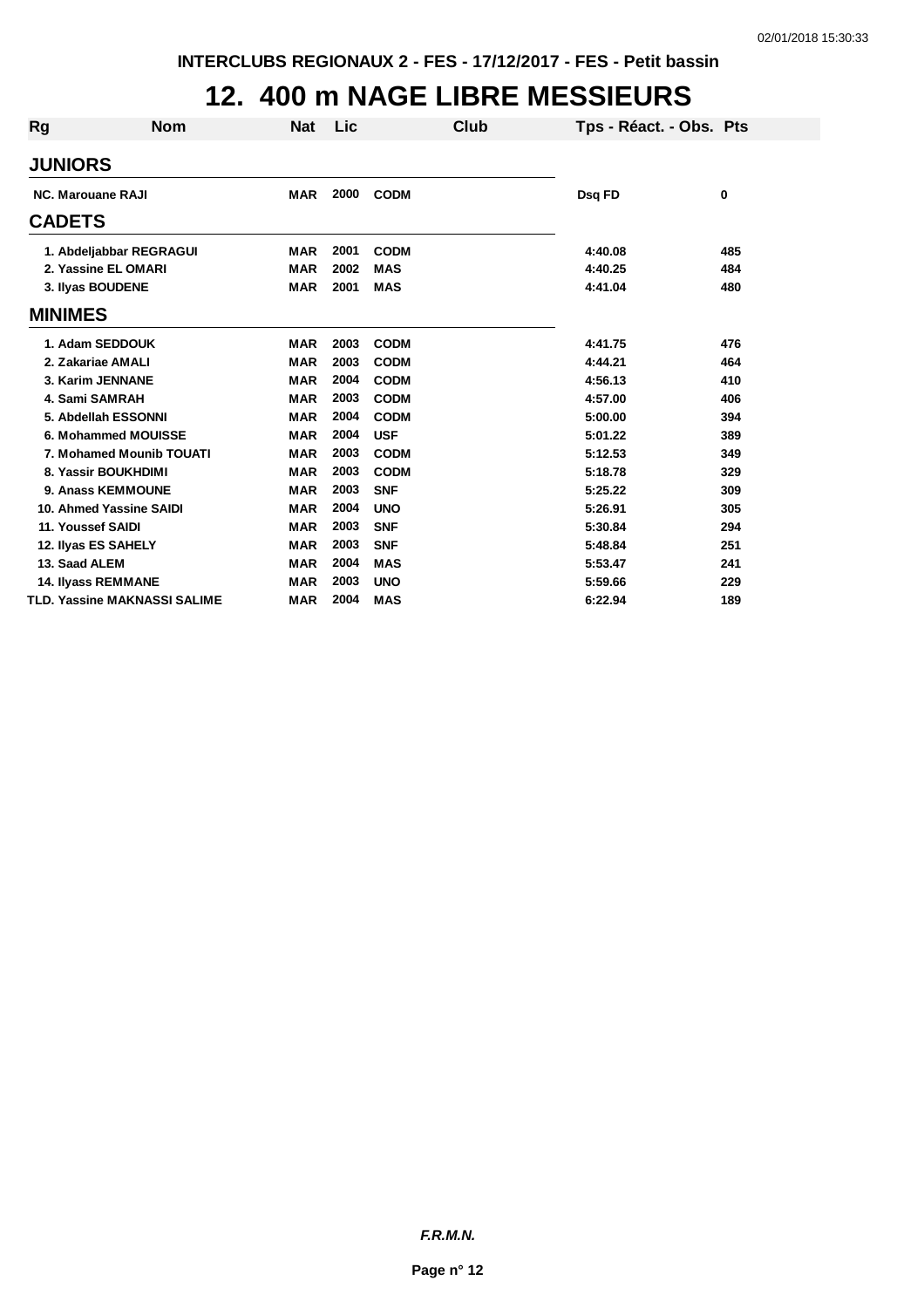## **12. 400 m NAGE LIBRE MESSIEURS**

| <b>Rg</b>      | <b>Nom</b>                   | <b>Nat</b> | Lic  | Club        | Tps - Réact. - Obs. Pts |     |
|----------------|------------------------------|------------|------|-------------|-------------------------|-----|
| <b>JUNIORS</b> |                              |            |      |             |                         |     |
|                | <b>NC. Marouane RAJI</b>     | <b>MAR</b> | 2000 | <b>CODM</b> | Dsq FD                  | 0   |
| <b>CADETS</b>  |                              |            |      |             |                         |     |
|                | 1. Abdeljabbar REGRAGUI      | <b>MAR</b> | 2001 | <b>CODM</b> | 4:40.08                 | 485 |
|                | 2. Yassine EL OMARI          | <b>MAR</b> | 2002 | <b>MAS</b>  | 4:40.25                 | 484 |
|                | 3. Ilyas BOUDENE             | <b>MAR</b> | 2001 | <b>MAS</b>  | 4:41.04                 | 480 |
| <b>MINIMES</b> |                              |            |      |             |                         |     |
|                | 1. Adam SEDDOUK              | <b>MAR</b> | 2003 | <b>CODM</b> | 4:41.75                 | 476 |
|                | 2. Zakariae AMALI            | <b>MAR</b> | 2003 | <b>CODM</b> | 4:44.21                 | 464 |
|                | 3. Karim JENNANE             | <b>MAR</b> | 2004 | <b>CODM</b> | 4:56.13                 | 410 |
|                | 4. Sami SAMRAH               | <b>MAR</b> | 2003 | <b>CODM</b> | 4:57.00                 | 406 |
|                | 5. Abdellah ESSONNI          | <b>MAR</b> | 2004 | <b>CODM</b> | 5:00.00                 | 394 |
|                | 6. Mohammed MOUISSE          | <b>MAR</b> | 2004 | <b>USF</b>  | 5:01.22                 | 389 |
|                | 7. Mohamed Mounib TOUATI     | <b>MAR</b> | 2003 | <b>CODM</b> | 5:12.53                 | 349 |
|                | 8. Yassir BOUKHDIMI          | <b>MAR</b> | 2003 | <b>CODM</b> | 5:18.78                 | 329 |
|                | 9. Anass KEMMOUNE            | <b>MAR</b> | 2003 | <b>SNF</b>  | 5:25.22                 | 309 |
|                | 10. Ahmed Yassine SAIDI      | <b>MAR</b> | 2004 | <b>UNO</b>  | 5:26.91                 | 305 |
|                | 11. Youssef SAIDI            | <b>MAR</b> | 2003 | <b>SNF</b>  | 5:30.84                 | 294 |
|                | 12. Ilyas ES SAHELY          | <b>MAR</b> | 2003 | <b>SNF</b>  | 5:48.84                 | 251 |
| 13. Saad ALEM  |                              | <b>MAR</b> | 2004 | <b>MAS</b>  | 5:53.47                 | 241 |
|                | <b>14. Ilyass REMMANE</b>    | <b>MAR</b> | 2003 | <b>UNO</b>  | 5:59.66                 | 229 |
|                | TLD. Yassine MAKNASSI SALIME | <b>MAR</b> | 2004 | <b>MAS</b>  | 6:22.94                 | 189 |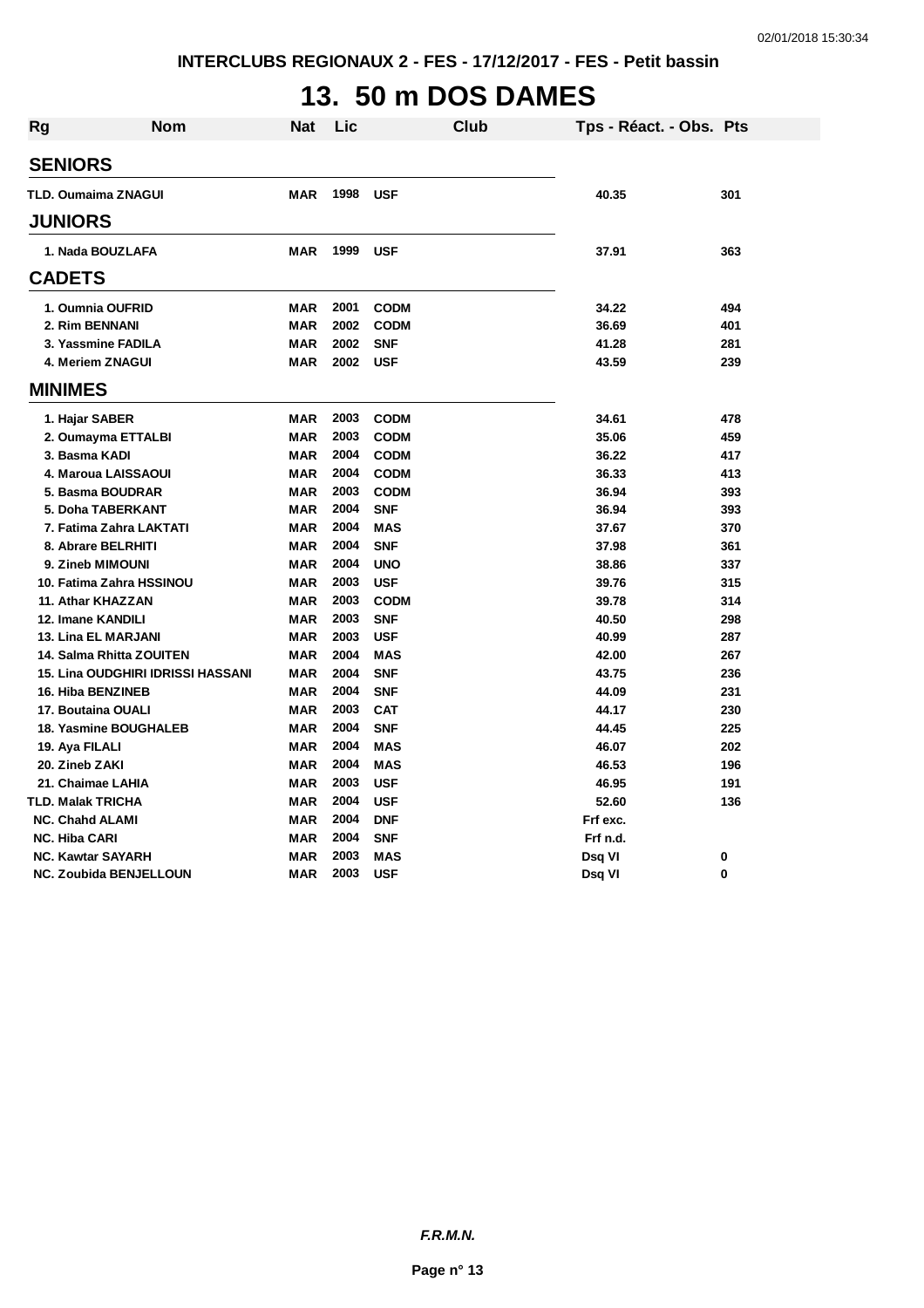# **13. 50 m DOS DAMES**

| Rg             | <b>Nom</b>                               | Nat        | Lic  | <b>Club</b> | Tps - Réact. - Obs. Pts |     |
|----------------|------------------------------------------|------------|------|-------------|-------------------------|-----|
| <b>SENIORS</b> |                                          |            |      |             |                         |     |
|                | <b>TLD. Oumaima ZNAGUI</b>               | <b>MAR</b> | 1998 | <b>USF</b>  | 40.35                   | 301 |
|                |                                          |            |      |             |                         |     |
| <b>JUNIORS</b> |                                          |            |      |             |                         |     |
|                | 1. Nada BOUZLAFA                         | <b>MAR</b> | 1999 | <b>USF</b>  | 37.91                   | 363 |
| <b>CADETS</b>  |                                          |            |      |             |                         |     |
|                | 1. Oumnia OUFRID                         | <b>MAR</b> | 2001 | <b>CODM</b> | 34.22                   | 494 |
|                | 2. Rim BENNANI                           | <b>MAR</b> | 2002 | <b>CODM</b> | 36.69                   | 401 |
|                | 3. Yassmine FADILA                       | <b>MAR</b> | 2002 | <b>SNF</b>  | 41.28                   | 281 |
|                | 4. Meriem ZNAGUI                         | MAR        | 2002 | <b>USF</b>  | 43.59                   | 239 |
| <b>MINIMES</b> |                                          |            |      |             |                         |     |
|                | 1. Hajar SABER                           | MAR        | 2003 | <b>CODM</b> | 34.61                   | 478 |
|                | 2. Oumayma ETTALBI                       | <b>MAR</b> | 2003 | <b>CODM</b> | 35.06                   | 459 |
|                | 3. Basma KADI                            | <b>MAR</b> | 2004 | <b>CODM</b> | 36.22                   | 417 |
|                | 4. Maroua LAISSAOUI                      | <b>MAR</b> | 2004 | <b>CODM</b> | 36.33                   | 413 |
|                | 5. Basma BOUDRAR                         | <b>MAR</b> | 2003 | <b>CODM</b> | 36.94                   | 393 |
|                | 5. Doha TABERKANT                        | MAR        | 2004 | <b>SNF</b>  | 36.94                   | 393 |
|                | 7. Fatima Zahra LAKTATI                  | <b>MAR</b> | 2004 | <b>MAS</b>  | 37.67                   | 370 |
|                | 8. Abrare BELRHITI                       | MAR        | 2004 | <b>SNF</b>  | 37.98                   | 361 |
|                | 9. Zineb MIMOUNI                         | <b>MAR</b> | 2004 | <b>UNO</b>  | 38.86                   | 337 |
|                | 10. Fatima Zahra HSSINOU                 | <b>MAR</b> | 2003 | <b>USF</b>  | 39.76                   | 315 |
|                | 11. Athar KHAZZAN                        | <b>MAR</b> | 2003 | <b>CODM</b> | 39.78                   | 314 |
|                | 12. Imane KANDILI                        | <b>MAR</b> | 2003 | <b>SNF</b>  | 40.50                   | 298 |
|                | <b>13. Lina EL MARJANI</b>               | <b>MAR</b> | 2003 | <b>USF</b>  | 40.99                   | 287 |
|                | 14. Salma Rhitta ZOUITEN                 | <b>MAR</b> | 2004 | <b>MAS</b>  | 42.00                   | 267 |
|                | <b>15. Lina OUDGHIRI IDRISSI HASSANI</b> | <b>MAR</b> | 2004 | <b>SNF</b>  | 43.75                   | 236 |
|                | <b>16. Hiba BENZINEB</b>                 | <b>MAR</b> | 2004 | <b>SNF</b>  | 44.09                   | 231 |
|                | 17. Boutaina OUALI                       | MAR        | 2003 | <b>CAT</b>  | 44.17                   | 230 |
|                | <b>18. Yasmine BOUGHALEB</b>             | <b>MAR</b> | 2004 | <b>SNF</b>  | 44.45                   | 225 |
|                | 19. Aya FILALI                           | <b>MAR</b> | 2004 | <b>MAS</b>  | 46.07                   | 202 |
|                | 20. Zineb ZAKI                           | <b>MAR</b> | 2004 | <b>MAS</b>  | 46.53                   | 196 |
|                | 21. Chaimae LAHIA                        | <b>MAR</b> | 2003 | <b>USF</b>  | 46.95                   | 191 |
|                | TLD. Malak TRICHA                        | MAR        | 2004 | <b>USF</b>  | 52.60                   | 136 |
|                | <b>NC. Chahd ALAMI</b>                   | MAR        | 2004 | <b>DNF</b>  | Frf exc.                |     |
|                | <b>NC. Hiba CARI</b>                     | <b>MAR</b> | 2004 | <b>SNF</b>  | Frf n.d.                |     |
|                | <b>NC. Kawtar SAYARH</b>                 | <b>MAR</b> | 2003 | <b>MAS</b>  | Dsq VI                  | 0   |
|                | <b>NC. Zoubida BENJELLOUN</b>            | MAR        | 2003 | <b>USF</b>  | Dsq VI                  | 0   |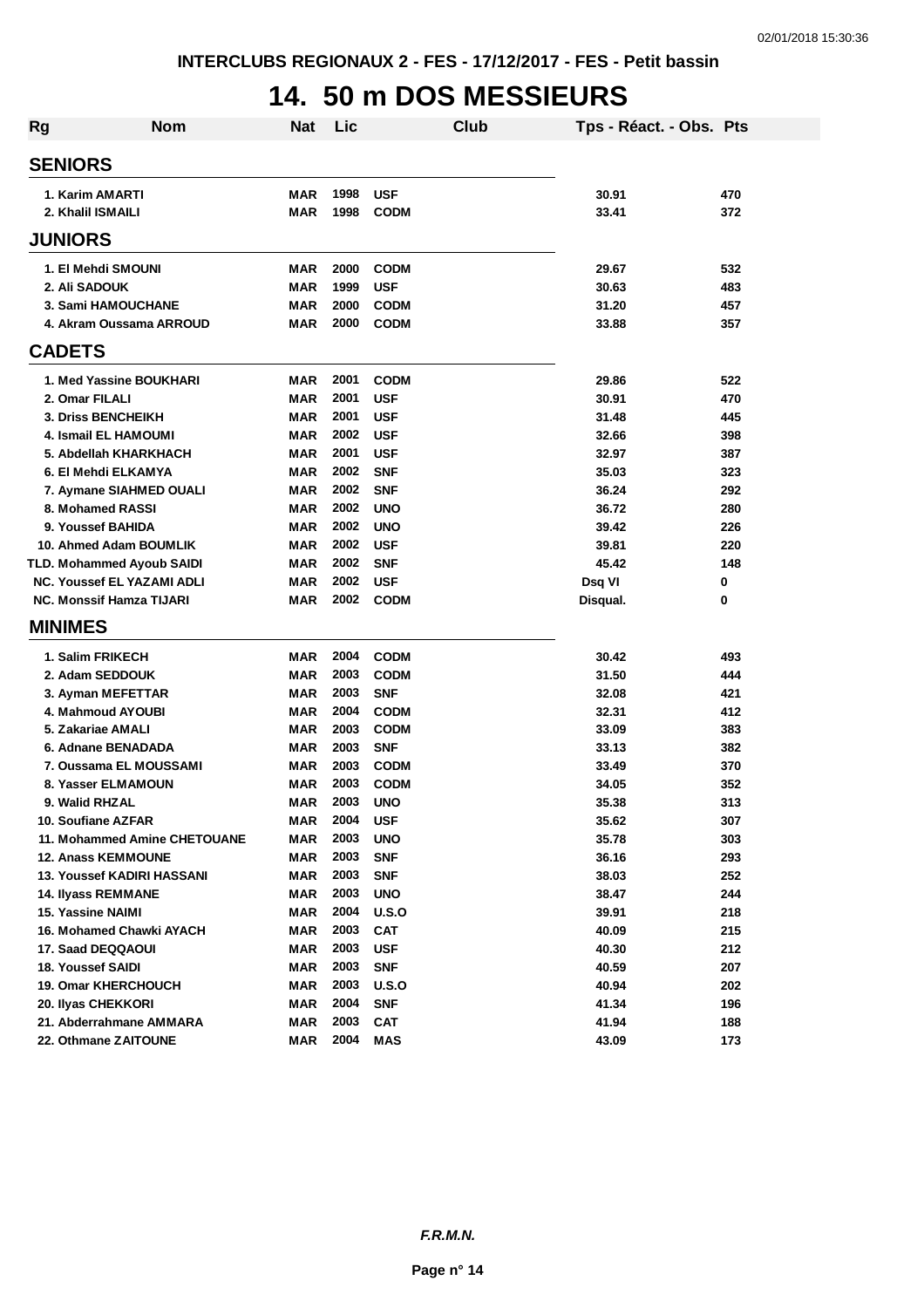## **14. 50 m DOS MESSIEURS**

| <b>Rg</b> | Nom                               | Nat        | Lic  |             | Club | Tps - Réact. - Obs. Pts |     |
|-----------|-----------------------------------|------------|------|-------------|------|-------------------------|-----|
|           | <b>SENIORS</b>                    |            |      |             |      |                         |     |
|           | 1. Karim AMARTI                   | <b>MAR</b> | 1998 | <b>USF</b>  |      | 30.91                   | 470 |
|           | 2. Khalil ISMAILI                 | <b>MAR</b> | 1998 | <b>CODM</b> |      | 33.41                   | 372 |
|           | <b>JUNIORS</b>                    |            |      |             |      |                         |     |
|           | 1. El Mehdi SMOUNI                | <b>MAR</b> | 2000 | <b>CODM</b> |      | 29.67                   | 532 |
|           | 2. Ali SADOUK                     | <b>MAR</b> | 1999 | <b>USF</b>  |      | 30.63                   | 483 |
|           | 3. Sami HAMOUCHANE                | <b>MAR</b> | 2000 | <b>CODM</b> |      | 31.20                   | 457 |
|           | 4. Akram Oussama ARROUD           | <b>MAR</b> | 2000 | <b>CODM</b> |      | 33.88                   | 357 |
|           | <b>CADETS</b>                     |            |      |             |      |                         |     |
|           | 1. Med Yassine BOUKHARI           | <b>MAR</b> | 2001 | <b>CODM</b> |      | 29.86                   | 522 |
|           | 2. Omar FILALI                    | <b>MAR</b> | 2001 | <b>USF</b>  |      | 30.91                   | 470 |
|           | 3. Driss BENCHEIKH                | <b>MAR</b> | 2001 | <b>USF</b>  |      | 31.48                   | 445 |
|           | <b>4. Ismail EL HAMOUMI</b>       | <b>MAR</b> | 2002 | <b>USF</b>  |      | 32.66                   | 398 |
|           | 5. Abdellah KHARKHACH             | <b>MAR</b> | 2001 | <b>USF</b>  |      | 32.97                   | 387 |
|           | 6. El Mehdi ELKAMYA               | <b>MAR</b> | 2002 | <b>SNF</b>  |      | 35.03                   | 323 |
|           | 7. Aymane SIAHMED OUALI           | <b>MAR</b> | 2002 | <b>SNF</b>  |      | 36.24                   | 292 |
|           | 8. Mohamed RASSI                  | <b>MAR</b> | 2002 | <b>UNO</b>  |      | 36.72                   | 280 |
|           | 9. Youssef BAHIDA                 | <b>MAR</b> | 2002 | <b>UNO</b>  |      | 39.42                   | 226 |
|           | 10. Ahmed Adam BOUMLIK            | <b>MAR</b> | 2002 | <b>USF</b>  |      | 39.81                   | 220 |
|           | TLD. Mohammed Ayoub SAIDI         | <b>MAR</b> | 2002 | <b>SNF</b>  |      | 45.42                   | 148 |
|           | <b>NC. Youssef EL YAZAMI ADLI</b> | <b>MAR</b> | 2002 | <b>USF</b>  |      | Dsq VI                  | 0   |
|           | <b>NC. Monssif Hamza TIJARI</b>   | <b>MAR</b> | 2002 | <b>CODM</b> |      | Disqual.                | 0   |
|           | <b>MINIMES</b>                    |            |      |             |      |                         |     |
|           | 1. Salim FRIKECH                  | MAR        | 2004 | <b>CODM</b> |      | 30.42                   | 493 |
|           | 2. Adam SEDDOUK                   | <b>MAR</b> | 2003 | <b>CODM</b> |      | 31.50                   | 444 |
|           | 3. Ayman MEFETTAR                 | <b>MAR</b> | 2003 | <b>SNF</b>  |      | 32.08                   | 421 |
|           | 4. Mahmoud AYOUBI                 | <b>MAR</b> | 2004 | <b>CODM</b> |      | 32.31                   | 412 |
|           | 5. Zakariae AMALI                 | <b>MAR</b> | 2003 | <b>CODM</b> |      | 33.09                   | 383 |
|           | 6. Adnane BENADADA                | <b>MAR</b> | 2003 | <b>SNF</b>  |      | 33.13                   | 382 |
|           | 7. Oussama EL MOUSSAMI            | <b>MAR</b> | 2003 | <b>CODM</b> |      | 33.49                   | 370 |
|           | 8. Yasser ELMAMOUN                | <b>MAR</b> | 2003 | <b>CODM</b> |      | 34.05                   | 352 |
|           | 9. Walid RHZAL                    | <b>MAR</b> | 2003 | <b>UNO</b>  |      | 35.38                   | 313 |
|           | 10. Soufiane AZFAR                | MAR        | 2004 | <b>USF</b>  |      | 35.62                   | 307 |
|           | 11. Mohammed Amine CHETOUANE      | <b>MAR</b> | 2003 | <b>UNO</b>  |      | 35.78                   | 303 |
|           | <b>12. Anass KEMMOUNE</b>         | <b>MAR</b> | 2003 | <b>SNF</b>  |      | 36.16                   | 293 |
|           | 13. Youssef KADIRI HASSANI        | <b>MAR</b> | 2003 | <b>SNF</b>  |      | 38.03                   | 252 |
|           | 14. Ilyass REMMANE                | MAR        | 2003 | <b>UNO</b>  |      | 38.47                   | 244 |
|           | 15. Yassine NAIMI                 | <b>MAR</b> | 2004 | U.S.O       |      | 39.91                   | 218 |
|           | 16. Mohamed Chawki AYACH          | <b>MAR</b> | 2003 | <b>CAT</b>  |      | 40.09                   | 215 |
|           | 17. Saad DEQQAOUI                 | <b>MAR</b> | 2003 | <b>USF</b>  |      | 40.30                   | 212 |
|           | 18. Youssef SAIDI                 | <b>MAR</b> | 2003 | <b>SNF</b>  |      | 40.59                   | 207 |
|           | <b>19. Omar KHERCHOUCH</b>        | <b>MAR</b> | 2003 | U.S.O       |      | 40.94                   | 202 |
|           | 20. Ilyas CHEKKORI                | <b>MAR</b> | 2004 | <b>SNF</b>  |      | 41.34                   | 196 |
|           | 21. Abderrahmane AMMARA           | <b>MAR</b> | 2003 | <b>CAT</b>  |      | 41.94                   | 188 |
|           | 22. Othmane ZAITOUNE              | MAR        | 2004 | <b>MAS</b>  |      | 43.09                   | 173 |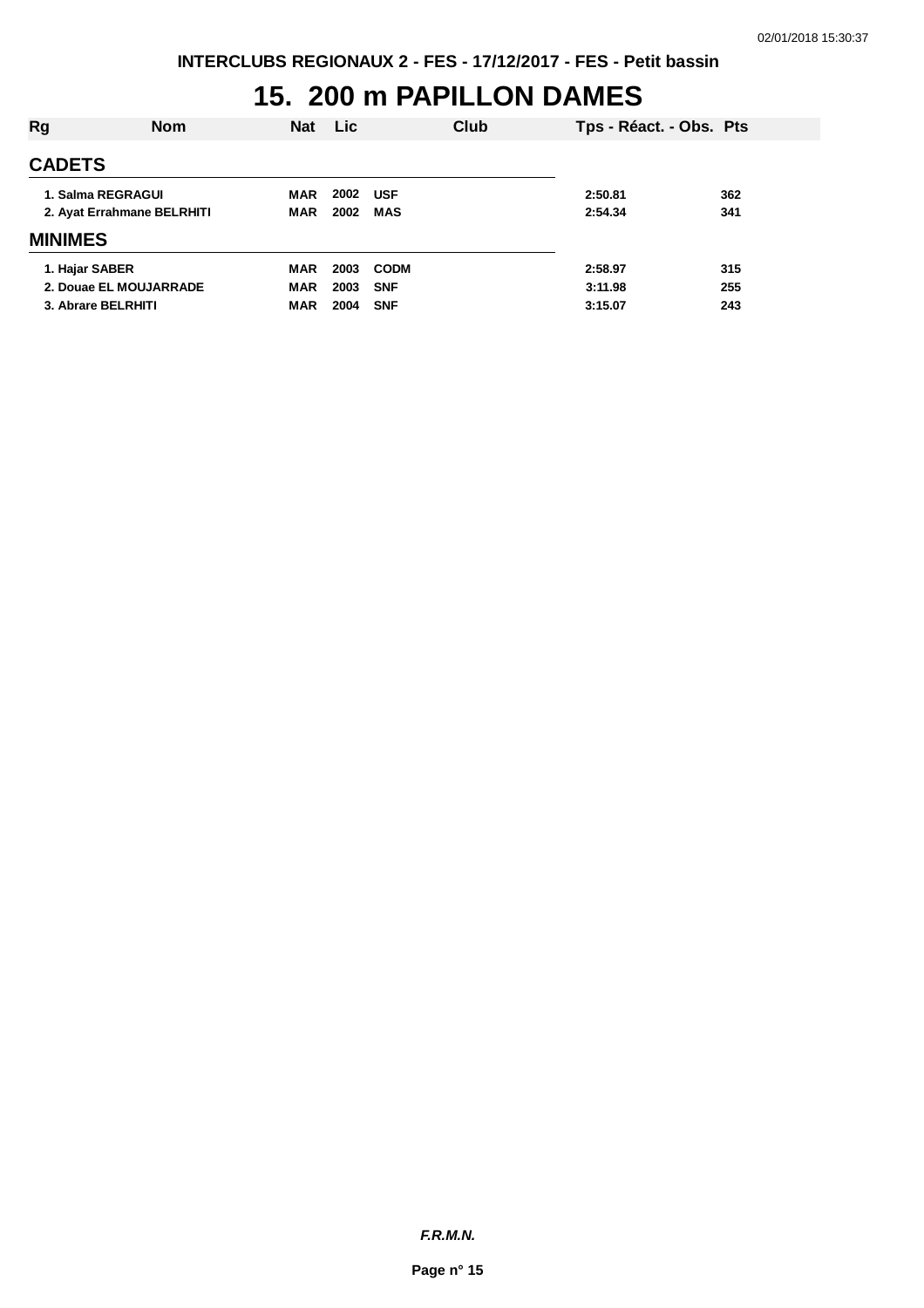## **15. 200 m PAPILLON DAMES**

| Rg                         | <b>Nom</b> | <b>Nat</b> | <b>Lic</b> |             | Club    | Tps - Réact. - Obs. Pts |     |
|----------------------------|------------|------------|------------|-------------|---------|-------------------------|-----|
| <b>CADETS</b>              |            |            |            |             |         |                         |     |
| 1. Salma REGRAGUI          |            | MAR        | 2002       | <b>USF</b>  |         | 2:50.81                 | 362 |
| 2. Ayat Errahmane BELRHITI | <b>MAR</b> | 2002       | <b>MAS</b> |             | 2:54.34 | 341                     |     |
| <b>MINIMES</b>             |            |            |            |             |         |                         |     |
| 1. Hajar SABER             |            | <b>MAR</b> | 2003       | <b>CODM</b> |         | 2:58.97                 | 315 |
| 2. Douae EL MOUJARRADE     |            | <b>MAR</b> | 2003       | <b>SNF</b>  |         | 3:11.98                 | 255 |
| 3. Abrare BELRHITI         |            | <b>MAR</b> | 2004       | <b>SNF</b>  |         | 3:15.07                 | 243 |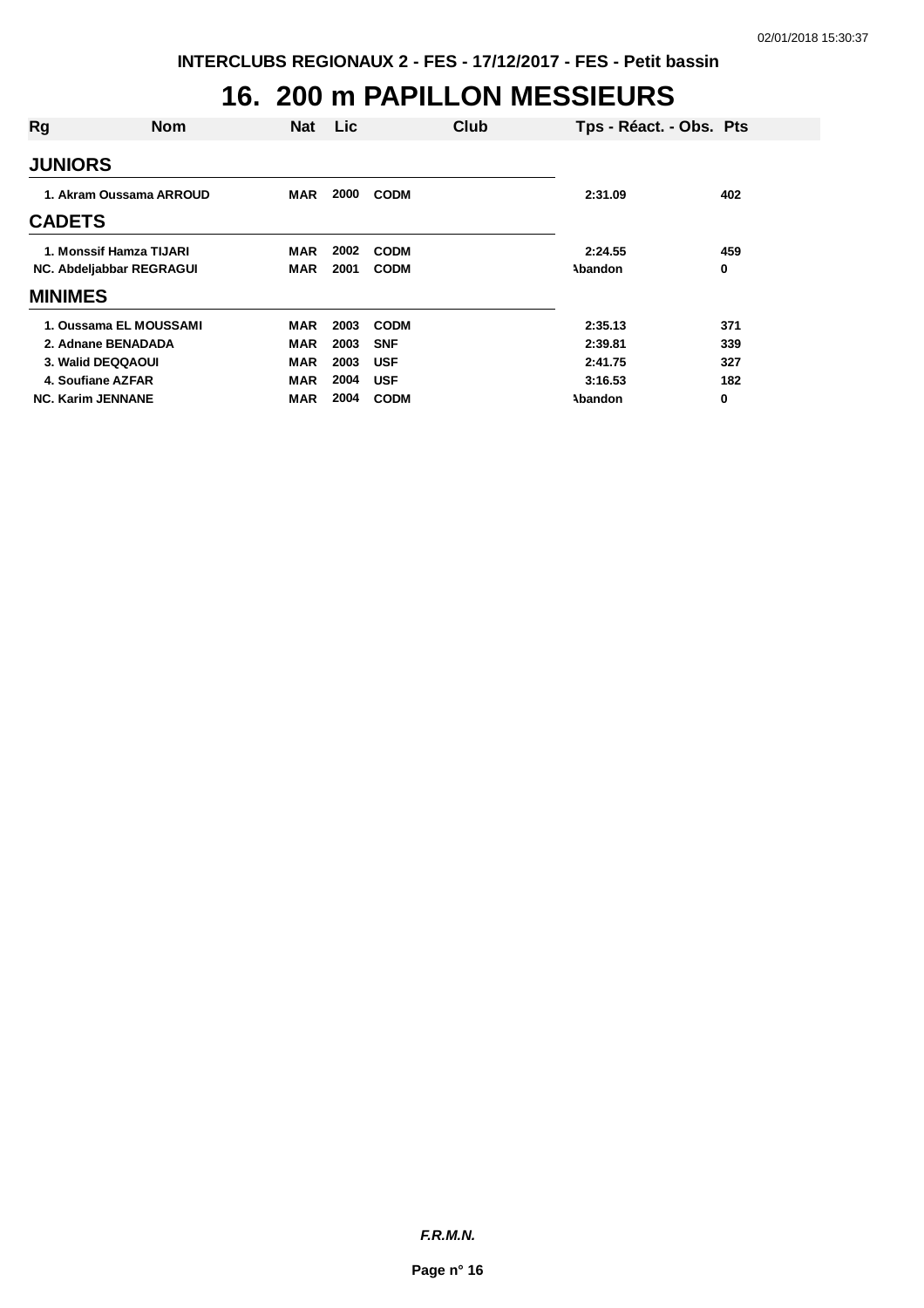#### **16. 200 m PAPILLON MESSIEURS**

| Rg             | <b>Nom</b>               | <b>Nat</b> | Lic  |             | Club | Tps - Réact. - Obs. Pts |     |
|----------------|--------------------------|------------|------|-------------|------|-------------------------|-----|
| <b>JUNIORS</b> |                          |            |      |             |      |                         |     |
|                | 1. Akram Oussama ARROUD  | MAR        | 2000 | <b>CODM</b> |      | 2:31.09                 | 402 |
| <b>CADETS</b>  |                          |            |      |             |      |                         |     |
|                | 1. Monssif Hamza TIJARI  | <b>MAR</b> | 2002 | <b>CODM</b> |      | 2:24.55                 | 459 |
|                | NC. Abdeljabbar REGRAGUI | <b>MAR</b> | 2001 | <b>CODM</b> |      | Abandon                 | 0   |
| <b>MINIMES</b> |                          |            |      |             |      |                         |     |
|                | 1. Oussama EL MOUSSAMI   | <b>MAR</b> | 2003 | <b>CODM</b> |      | 2:35.13                 | 371 |
|                | 2. Adnane BENADADA       | MAR        | 2003 | <b>SNF</b>  |      | 2:39.81                 | 339 |
|                | 3. Walid DEQQAOUI        | <b>MAR</b> | 2003 | <b>USF</b>  |      | 2:41.75                 | 327 |
|                | 4. Soufiane AZFAR        | <b>MAR</b> | 2004 | <b>USF</b>  |      | 3:16.53                 | 182 |
|                | <b>NC. Karim JENNANE</b> | MAR        | 2004 | <b>CODM</b> |      | Abandon                 | 0   |

*F.R.M.N.*

**Page n° 16**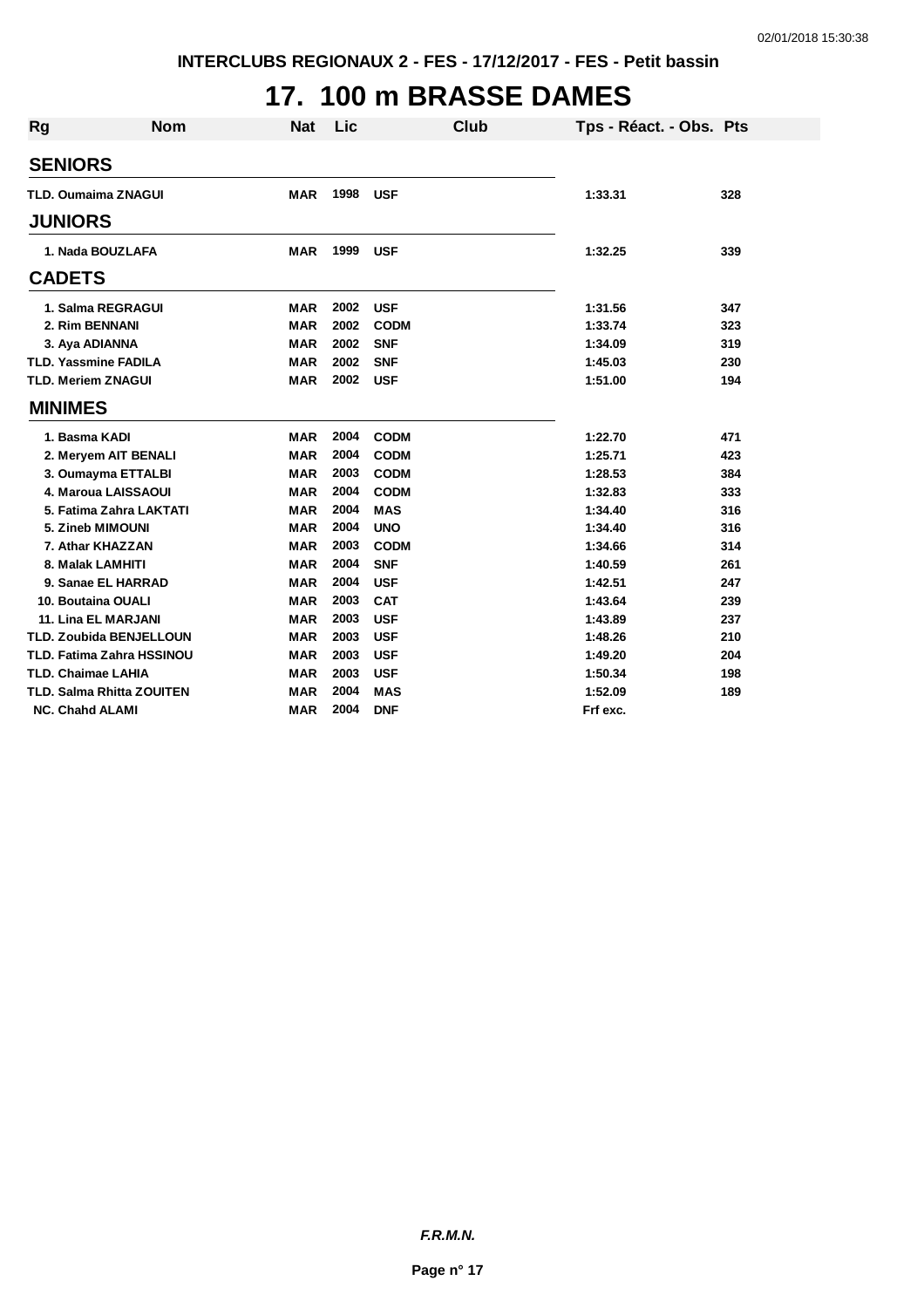## **17. 100 m BRASSE DAMES**

| <b>Rg</b> | <b>Nom</b>                       | <b>Nat</b> | Lic  | <b>Club</b> | Tps - Réact. - Obs. Pts |     |
|-----------|----------------------------------|------------|------|-------------|-------------------------|-----|
|           | <b>SENIORS</b>                   |            |      |             |                         |     |
|           | <b>TLD. Oumaima ZNAGUI</b>       | <b>MAR</b> | 1998 | <b>USF</b>  | 1:33.31                 | 328 |
|           | <b>JUNIORS</b>                   |            |      |             |                         |     |
|           |                                  |            |      |             |                         |     |
|           | 1. Nada BOUZLAFA                 | <b>MAR</b> | 1999 | <b>USF</b>  | 1:32.25                 | 339 |
|           | <b>CADETS</b>                    |            |      |             |                         |     |
|           | 1. Salma REGRAGUI                | <b>MAR</b> | 2002 | <b>USF</b>  | 1:31.56                 | 347 |
|           | 2. Rim BENNANI                   | <b>MAR</b> | 2002 | <b>CODM</b> | 1:33.74                 | 323 |
|           | 3. Aya ADIANNA                   | MAR        | 2002 | <b>SNF</b>  | 1:34.09                 | 319 |
|           | <b>TLD. Yassmine FADILA</b>      | <b>MAR</b> | 2002 | <b>SNF</b>  | 1:45.03                 | 230 |
|           | <b>TLD. Meriem ZNAGUI</b>        | <b>MAR</b> | 2002 | <b>USF</b>  | 1:51.00                 | 194 |
|           | <b>MINIMES</b>                   |            |      |             |                         |     |
|           | 1. Basma KADI                    | <b>MAR</b> | 2004 | <b>CODM</b> | 1:22.70                 | 471 |
|           | 2. Meryem AIT BENALI             | <b>MAR</b> | 2004 | <b>CODM</b> | 1:25.71                 | 423 |
|           | 3. Oumayma ETTALBI               | <b>MAR</b> | 2003 | <b>CODM</b> | 1:28.53                 | 384 |
|           | 4. Maroua LAISSAOUI              | <b>MAR</b> | 2004 | <b>CODM</b> | 1:32.83                 | 333 |
|           | 5. Fatima Zahra LAKTATI          | <b>MAR</b> | 2004 | <b>MAS</b>  | 1:34.40                 | 316 |
|           | 5. Zineb MIMOUNI                 | <b>MAR</b> | 2004 | <b>UNO</b>  | 1:34.40                 | 316 |
|           | 7. Athar KHAZZAN                 | <b>MAR</b> | 2003 | <b>CODM</b> | 1:34.66                 | 314 |
|           | 8. Malak LAMHITI                 | <b>MAR</b> | 2004 | <b>SNF</b>  | 1:40.59                 | 261 |
|           | 9. Sanae EL HARRAD               | <b>MAR</b> | 2004 | <b>USF</b>  | 1:42.51                 | 247 |
|           | 10. Boutaina OUALI               | <b>MAR</b> | 2003 | <b>CAT</b>  | 1:43.64                 | 239 |
|           | 11. Lina EL MARJANI              | <b>MAR</b> | 2003 | <b>USF</b>  | 1:43.89                 | 237 |
|           | TLD. Zoubida BENJELLOUN          | <b>MAR</b> | 2003 | <b>USF</b>  | 1:48.26                 | 210 |
|           | <b>TLD. Fatima Zahra HSSINOU</b> | <b>MAR</b> | 2003 | <b>USF</b>  | 1:49.20                 | 204 |
|           | <b>TLD. Chaimae LAHIA</b>        | <b>MAR</b> | 2003 | <b>USF</b>  | 1:50.34                 | 198 |
|           | <b>TLD. Salma Rhitta ZOUITEN</b> | <b>MAR</b> | 2004 | <b>MAS</b>  | 1:52.09                 | 189 |
|           | <b>NC. Chahd ALAMI</b>           | <b>MAR</b> | 2004 | <b>DNF</b>  | Frf exc.                |     |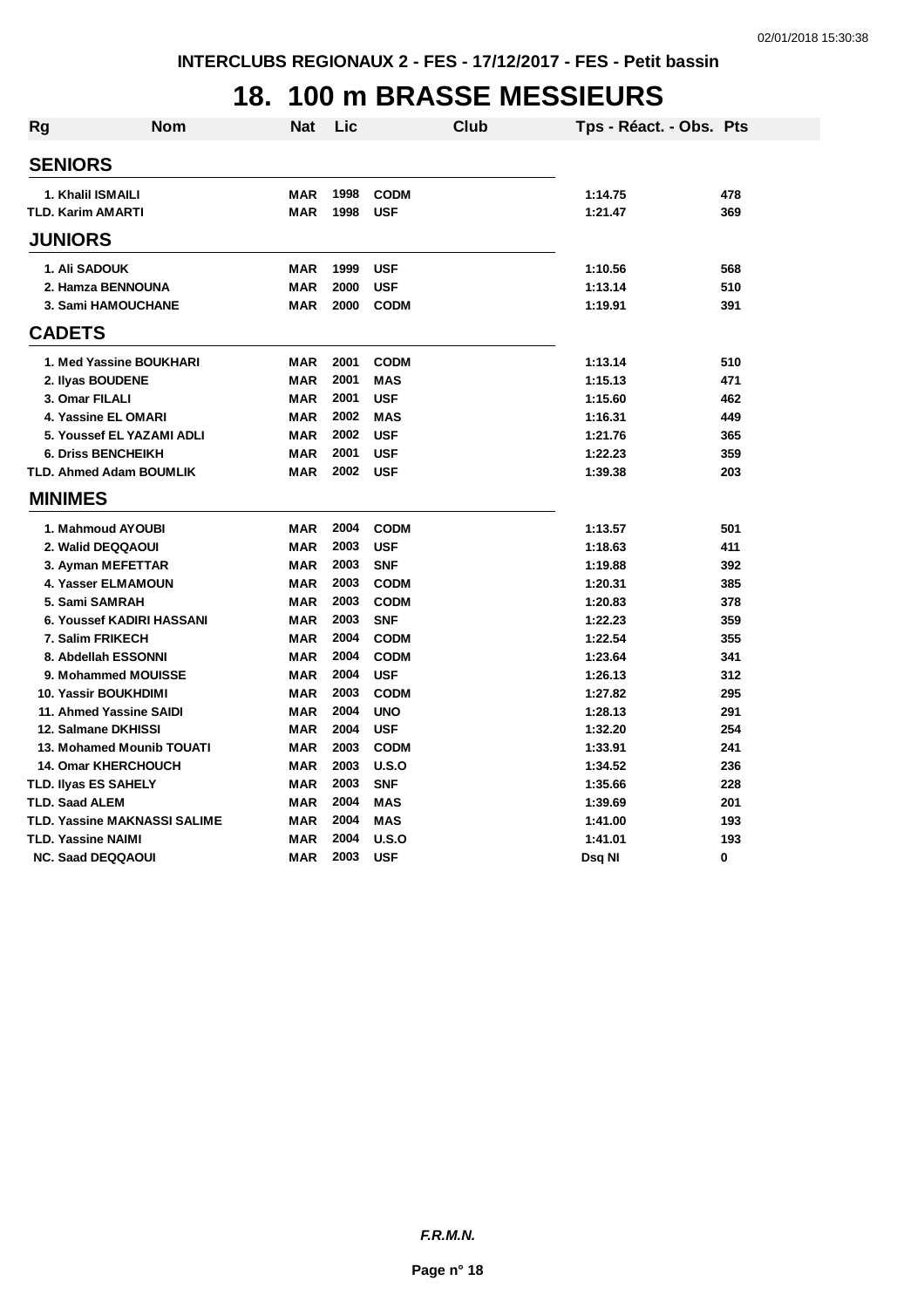## **18. 100 m BRASSE MESSIEURS**

| <b>Rg</b> | Nom                                           | Nat        | Lic  |                           | Club | Tps - Réact. - Obs. Pts |     |
|-----------|-----------------------------------------------|------------|------|---------------------------|------|-------------------------|-----|
|           | <b>SENIORS</b>                                |            |      |                           |      |                         |     |
|           |                                               | <b>MAR</b> | 1998 |                           |      |                         | 478 |
|           | 1. Khalil ISMAILI<br><b>TLD. Karim AMARTI</b> | <b>MAR</b> | 1998 | <b>CODM</b><br><b>USF</b> |      | 1:14.75<br>1:21.47      | 369 |
|           |                                               |            |      |                           |      |                         |     |
|           | <b>JUNIORS</b>                                |            |      |                           |      |                         |     |
|           | 1. Ali SADOUK                                 | <b>MAR</b> | 1999 | <b>USF</b>                |      | 1:10.56                 | 568 |
|           | 2. Hamza BENNOUNA                             | <b>MAR</b> | 2000 | <b>USF</b>                |      | 1:13.14                 | 510 |
|           | 3. Sami HAMOUCHANE                            | <b>MAR</b> | 2000 | <b>CODM</b>               |      | 1:19.91                 | 391 |
|           | <b>CADETS</b>                                 |            |      |                           |      |                         |     |
|           | 1. Med Yassine BOUKHARI                       | <b>MAR</b> | 2001 | <b>CODM</b>               |      | 1:13.14                 | 510 |
|           | 2. Ilyas BOUDENE                              | <b>MAR</b> | 2001 | <b>MAS</b>                |      | 1:15.13                 | 471 |
|           | 3. Omar FILALI                                | <b>MAR</b> | 2001 | <b>USF</b>                |      | 1:15.60                 | 462 |
|           | 4. Yassine EL OMARI                           | <b>MAR</b> | 2002 | <b>MAS</b>                |      | 1:16.31                 | 449 |
|           | 5. Youssef EL YAZAMI ADLI                     | <b>MAR</b> | 2002 | <b>USF</b>                |      | 1:21.76                 | 365 |
|           | <b>6. Driss BENCHEIKH</b>                     | <b>MAR</b> | 2001 | <b>USF</b>                |      | 1:22.23                 | 359 |
|           | <b>TLD. Ahmed Adam BOUMLIK</b>                | <b>MAR</b> | 2002 | <b>USF</b>                |      | 1:39.38                 | 203 |
|           | <b>MINIMES</b>                                |            |      |                           |      |                         |     |
|           | 1. Mahmoud AYOUBI                             | <b>MAR</b> | 2004 | <b>CODM</b>               |      | 1:13.57                 | 501 |
|           | 2. Walid DEQQAOUI                             | <b>MAR</b> | 2003 | <b>USF</b>                |      | 1:18.63                 | 411 |
|           | 3. Ayman MEFETTAR                             | <b>MAR</b> | 2003 | <b>SNF</b>                |      | 1:19.88                 | 392 |
|           | 4. Yasser ELMAMOUN                            | <b>MAR</b> | 2003 | <b>CODM</b>               |      | 1:20.31                 | 385 |
|           | 5. Sami SAMRAH                                | <b>MAR</b> | 2003 | <b>CODM</b>               |      | 1:20.83                 | 378 |
|           | 6. Youssef KADIRI HASSANI                     | <b>MAR</b> | 2003 | <b>SNF</b>                |      | 1:22.23                 | 359 |
|           | 7. Salim FRIKECH                              | <b>MAR</b> | 2004 | <b>CODM</b>               |      | 1:22.54                 | 355 |
|           | 8. Abdellah ESSONNI                           | <b>MAR</b> | 2004 | <b>CODM</b>               |      | 1:23.64                 | 341 |
|           | 9. Mohammed MOUISSE                           | <b>MAR</b> | 2004 | <b>USF</b>                |      | 1:26.13                 | 312 |
|           | <b>10. Yassir BOUKHDIMI</b>                   | <b>MAR</b> | 2003 | <b>CODM</b>               |      | 1:27.82                 | 295 |
|           | 11. Ahmed Yassine SAIDI                       | <b>MAR</b> | 2004 | <b>UNO</b>                |      | 1:28.13                 | 291 |
|           | 12. Salmane DKHISSI                           | <b>MAR</b> | 2004 | <b>USF</b>                |      | 1:32.20                 | 254 |
|           | <b>13. Mohamed Mounib TOUATI</b>              | <b>MAR</b> | 2003 | <b>CODM</b>               |      | 1:33.91                 | 241 |
|           | <b>14. Omar KHERCHOUCH</b>                    | <b>MAR</b> | 2003 | U.S.O                     |      | 1:34.52                 | 236 |
|           | <b>TLD. Ilyas ES SAHELY</b>                   | <b>MAR</b> | 2003 | <b>SNF</b>                |      | 1:35.66                 | 228 |
|           | <b>TLD. Saad ALEM</b>                         | <b>MAR</b> | 2004 | <b>MAS</b>                |      | 1:39.69                 | 201 |
|           | <b>TLD. Yassine MAKNASSI SALIME</b>           | <b>MAR</b> | 2004 | <b>MAS</b>                |      | 1:41.00                 | 193 |
|           | <b>TLD. Yassine NAIMI</b>                     | <b>MAR</b> | 2004 | U.S.O                     |      | 1:41.01                 | 193 |
|           | <b>NC. Saad DEQQAOUI</b>                      | <b>MAR</b> | 2003 | <b>USF</b>                |      | Dsq NI                  | 0   |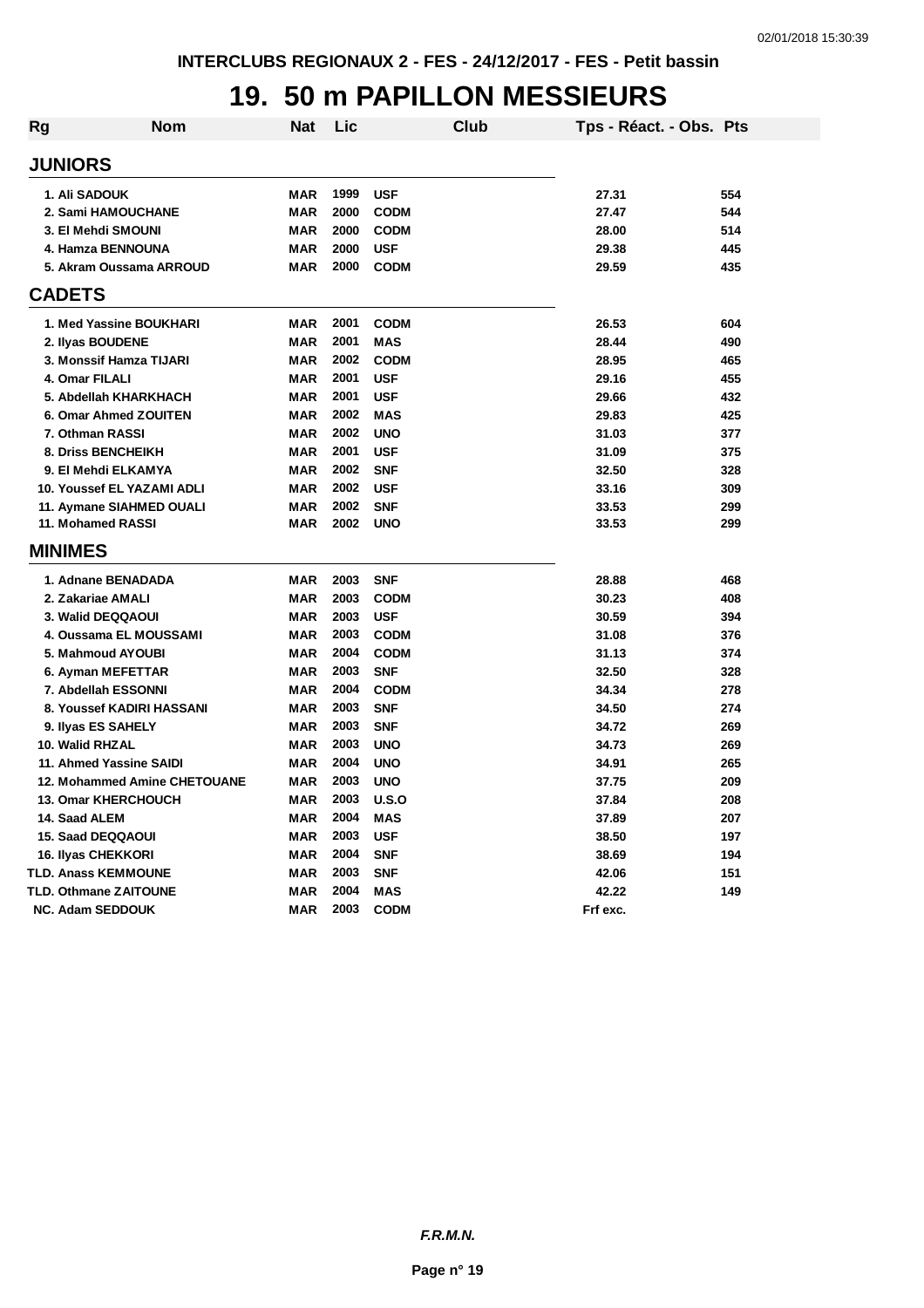## **19. 50 m PAPILLON MESSIEURS**

| Rg | <b>Nom</b>                   | <b>Nat</b> | Lic  | Club        | Tps - Réact. - Obs. Pts |     |
|----|------------------------------|------------|------|-------------|-------------------------|-----|
|    | <b>JUNIORS</b>               |            |      |             |                         |     |
|    | 1. Ali SADOUK                | MAR        | 1999 | <b>USF</b>  | 27.31                   | 554 |
|    | 2. Sami HAMOUCHANE           | <b>MAR</b> | 2000 | <b>CODM</b> | 27.47                   | 544 |
|    | 3. El Mehdi SMOUNI           | <b>MAR</b> | 2000 | <b>CODM</b> | 28.00                   | 514 |
|    | 4. Hamza BENNOUNA            | <b>MAR</b> | 2000 | <b>USF</b>  | 29.38                   | 445 |
|    | 5. Akram Oussama ARROUD      | <b>MAR</b> | 2000 | <b>CODM</b> | 29.59                   | 435 |
|    | <b>CADETS</b>                |            |      |             |                         |     |
|    | 1. Med Yassine BOUKHARI      | <b>MAR</b> | 2001 | <b>CODM</b> | 26.53                   | 604 |
|    | 2. Ilyas BOUDENE             | <b>MAR</b> | 2001 | <b>MAS</b>  | 28.44                   | 490 |
|    | 3. Monssif Hamza TIJARI      | <b>MAR</b> | 2002 | <b>CODM</b> | 28.95                   | 465 |
|    | 4. Omar FILALI               | <b>MAR</b> | 2001 | <b>USF</b>  | 29.16                   | 455 |
|    | 5. Abdellah KHARKHACH        | <b>MAR</b> | 2001 | <b>USF</b>  | 29.66                   | 432 |
|    | 6. Omar Ahmed ZOUITEN        | <b>MAR</b> | 2002 | <b>MAS</b>  | 29.83                   | 425 |
|    | 7. Othman RASSI              | <b>MAR</b> | 2002 | <b>UNO</b>  | 31.03                   | 377 |
|    | 8. Driss BENCHEIKH           | <b>MAR</b> | 2001 | <b>USF</b>  | 31.09                   | 375 |
|    | 9. El Mehdi ELKAMYA          | <b>MAR</b> | 2002 | <b>SNF</b>  | 32.50                   | 328 |
|    | 10. Youssef EL YAZAMI ADLI   | <b>MAR</b> | 2002 | <b>USF</b>  | 33.16                   | 309 |
|    | 11. Aymane SIAHMED OUALI     | <b>MAR</b> | 2002 | <b>SNF</b>  | 33.53                   | 299 |
|    | 11. Mohamed RASSI            | <b>MAR</b> | 2002 | <b>UNO</b>  | 33.53                   | 299 |
|    | <b>MINIMES</b>               |            |      |             |                         |     |
|    | 1. Adnane BENADADA           | <b>MAR</b> | 2003 | <b>SNF</b>  | 28.88                   | 468 |
|    | 2. Zakariae AMALI            | <b>MAR</b> | 2003 | <b>CODM</b> | 30.23                   | 408 |
|    | 3. Walid DEQQAOUI            | <b>MAR</b> | 2003 | <b>USF</b>  | 30.59                   | 394 |
|    | 4. Oussama EL MOUSSAMI       | <b>MAR</b> | 2003 | <b>CODM</b> | 31.08                   | 376 |
|    | 5. Mahmoud AYOUBI            | <b>MAR</b> | 2004 | <b>CODM</b> | 31.13                   | 374 |
|    | 6. Ayman MEFETTAR            | <b>MAR</b> | 2003 | <b>SNF</b>  | 32.50                   | 328 |
|    | 7. Abdellah ESSONNI          | <b>MAR</b> | 2004 | <b>CODM</b> | 34.34                   | 278 |
|    | 8. Youssef KADIRI HASSANI    | <b>MAR</b> | 2003 | <b>SNF</b>  | 34.50                   | 274 |
|    | 9. Ilyas ES SAHELY           | <b>MAR</b> | 2003 | <b>SNF</b>  | 34.72                   | 269 |
|    | 10. Walid RHZAL              | <b>MAR</b> | 2003 | <b>UNO</b>  | 34.73                   | 269 |
|    | 11. Ahmed Yassine SAIDI      | <b>MAR</b> | 2004 | <b>UNO</b>  | 34.91                   | 265 |
|    | 12. Mohammed Amine CHETOUANE | <b>MAR</b> | 2003 | <b>UNO</b>  | 37.75                   | 209 |
|    | 13. Omar KHERCHOUCH          | <b>MAR</b> | 2003 | U.S.O       | 37.84                   | 208 |
|    | 14. Saad ALEM                | <b>MAR</b> | 2004 | <b>MAS</b>  | 37.89                   | 207 |
|    | <b>15. Saad DEQQAOUI</b>     | <b>MAR</b> | 2003 | <b>USF</b>  | 38.50                   | 197 |
|    | 16. Ilyas CHEKKORI           | <b>MAR</b> | 2004 | <b>SNF</b>  | 38.69                   | 194 |
|    | <b>TLD. Anass KEMMOUNE</b>   | <b>MAR</b> | 2003 | <b>SNF</b>  | 42.06                   | 151 |
|    | <b>TLD. Othmane ZAITOUNE</b> | <b>MAR</b> | 2004 | <b>MAS</b>  | 42.22                   | 149 |
|    | <b>NC. Adam SEDDOUK</b>      | <b>MAR</b> | 2003 | <b>CODM</b> | Frf exc.                |     |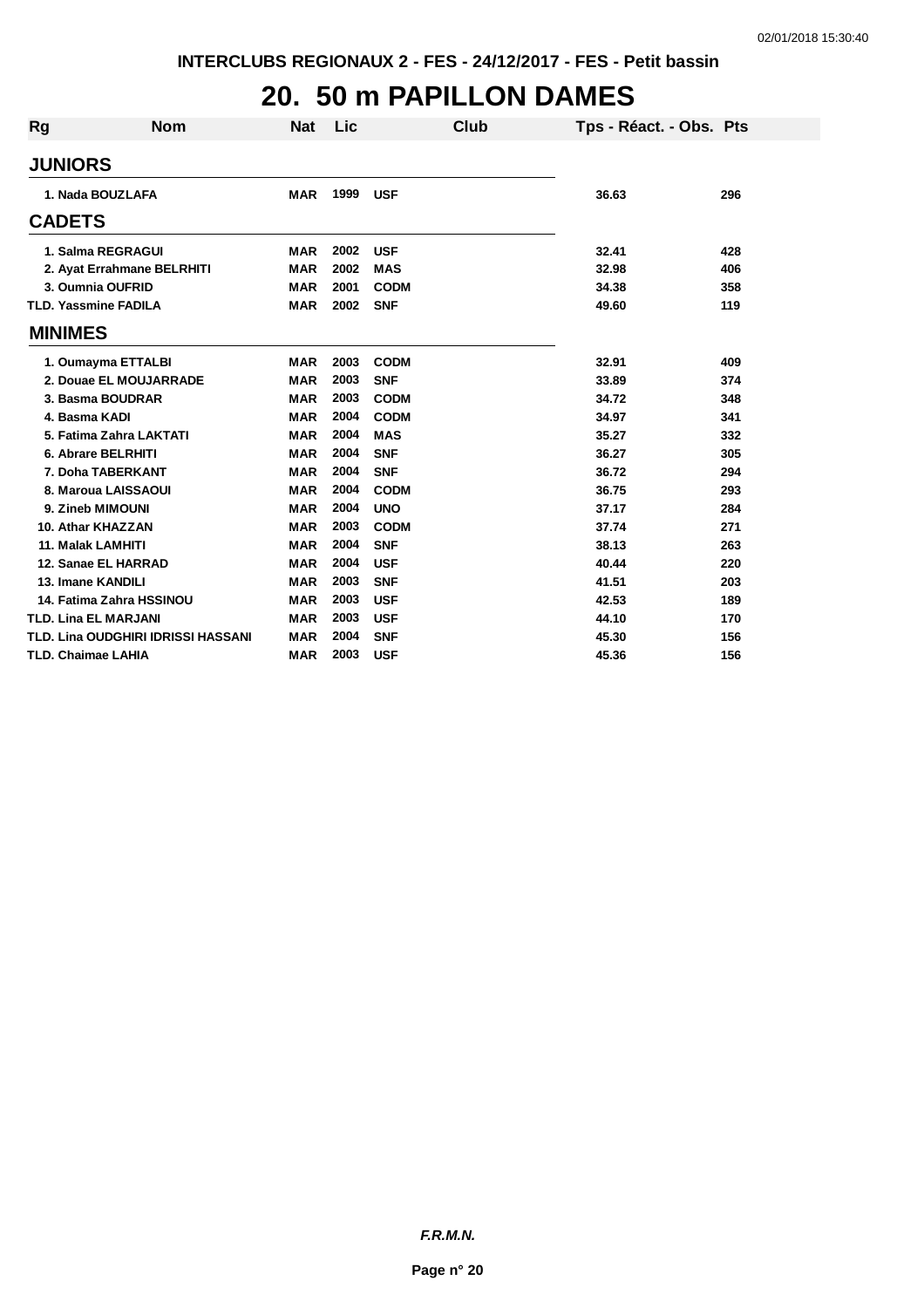#### **20. 50 m PAPILLON DAMES**

| <b>Rg</b> | <b>Nom</b>                         | <b>Nat</b> | Lic  | Club        | Tps - Réact. - Obs. Pts |     |
|-----------|------------------------------------|------------|------|-------------|-------------------------|-----|
|           | <b>JUNIORS</b>                     |            |      |             |                         |     |
|           | 1. Nada BOUZLAFA                   | <b>MAR</b> | 1999 | <b>USF</b>  | 36.63                   | 296 |
|           | <b>CADETS</b>                      |            |      |             |                         |     |
|           | 1. Salma REGRAGUI                  | <b>MAR</b> | 2002 | <b>USF</b>  | 32.41                   | 428 |
|           | 2. Ayat Errahmane BELRHITI         | <b>MAR</b> | 2002 | <b>MAS</b>  | 32.98                   | 406 |
|           | 3. Oumnia OUFRID                   | <b>MAR</b> | 2001 | <b>CODM</b> | 34.38                   | 358 |
|           | <b>TLD. Yassmine FADILA</b>        | <b>MAR</b> | 2002 | <b>SNF</b>  | 49.60                   | 119 |
|           | <b>MINIMES</b>                     |            |      |             |                         |     |
|           | 1. Oumayma ETTALBI                 | <b>MAR</b> | 2003 | <b>CODM</b> | 32.91                   | 409 |
|           | 2. Douae EL MOUJARRADE             | <b>MAR</b> | 2003 | <b>SNF</b>  | 33.89                   | 374 |
|           | 3. Basma BOUDRAR                   | <b>MAR</b> | 2003 | <b>CODM</b> | 34.72                   | 348 |
|           | 4. Basma KADI                      | <b>MAR</b> | 2004 | <b>CODM</b> | 34.97                   | 341 |
|           | 5. Fatima Zahra LAKTATI            | <b>MAR</b> | 2004 | <b>MAS</b>  | 35.27                   | 332 |
|           | 6. Abrare BELRHITI                 | <b>MAR</b> | 2004 | <b>SNF</b>  | 36.27                   | 305 |
|           | 7. Doha TABERKANT                  | <b>MAR</b> | 2004 | <b>SNF</b>  | 36.72                   | 294 |
|           | 8. Maroua LAISSAOUI                | <b>MAR</b> | 2004 | <b>CODM</b> | 36.75                   | 293 |
|           | 9. Zineb MIMOUNI                   | <b>MAR</b> | 2004 | <b>UNO</b>  | 37.17                   | 284 |
|           | 10. Athar KHAZZAN                  | <b>MAR</b> | 2003 | <b>CODM</b> | 37.74                   | 271 |
|           | <b>11. Malak LAMHITI</b>           | <b>MAR</b> | 2004 | <b>SNF</b>  | 38.13                   | 263 |
|           | 12. Sanae EL HARRAD                | <b>MAR</b> | 2004 | <b>USF</b>  | 40.44                   | 220 |
|           | 13. Imane KANDILI                  | <b>MAR</b> | 2003 | <b>SNF</b>  | 41.51                   | 203 |
|           | 14. Fatima Zahra HSSINOU           | <b>MAR</b> | 2003 | <b>USF</b>  | 42.53                   | 189 |
|           | <b>TLD. Lina EL MARJANI</b>        | <b>MAR</b> | 2003 | <b>USF</b>  | 44.10                   | 170 |
|           | TLD. Lina OUDGHIRI IDRISSI HASSANI | <b>MAR</b> | 2004 | <b>SNF</b>  | 45.30                   | 156 |
|           | <b>TLD. Chaimae LAHIA</b>          | <b>MAR</b> | 2003 | <b>USF</b>  | 45.36                   | 156 |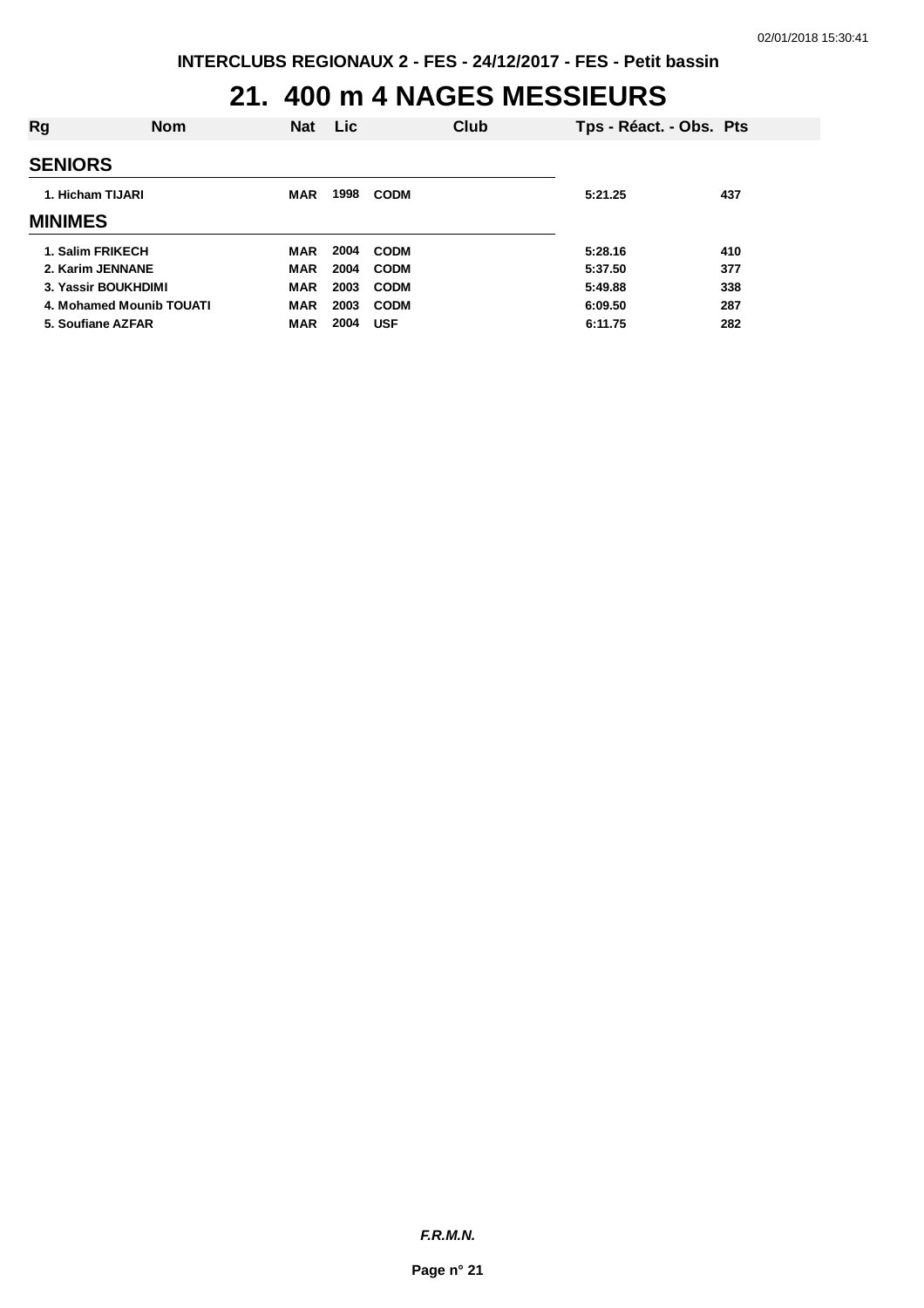## **21. 400 m 4 NAGES MESSIEURS**

| Rg             | <b>Nom</b>               | <b>Nat</b> | <b>Lic</b> |             | Club | Tps - Réact. - Obs. Pts |     |
|----------------|--------------------------|------------|------------|-------------|------|-------------------------|-----|
| <b>SENIORS</b> |                          |            |            |             |      |                         |     |
|                | 1. Hicham TIJARI         | MAR        | 1998       | <b>CODM</b> |      | 5:21.25                 | 437 |
| <b>MINIMES</b> |                          |            |            |             |      |                         |     |
|                | 1. Salim FRIKECH         | <b>MAR</b> | 2004       | <b>CODM</b> |      | 5:28.16                 | 410 |
|                | 2. Karim JENNANE         | <b>MAR</b> | 2004       | <b>CODM</b> |      | 5:37.50                 | 377 |
|                | 3. Yassir BOUKHDIMI      | <b>MAR</b> | 2003       | <b>CODM</b> |      | 5:49.88                 | 338 |
|                | 4. Mohamed Mounib TOUATI | <b>MAR</b> | 2003       | <b>CODM</b> |      | 6:09.50                 | 287 |
|                | 5. Soufiane AZFAR        | <b>MAR</b> | 2004       | <b>USF</b>  |      | 6:11.75                 | 282 |
|                |                          |            |            |             |      |                         |     |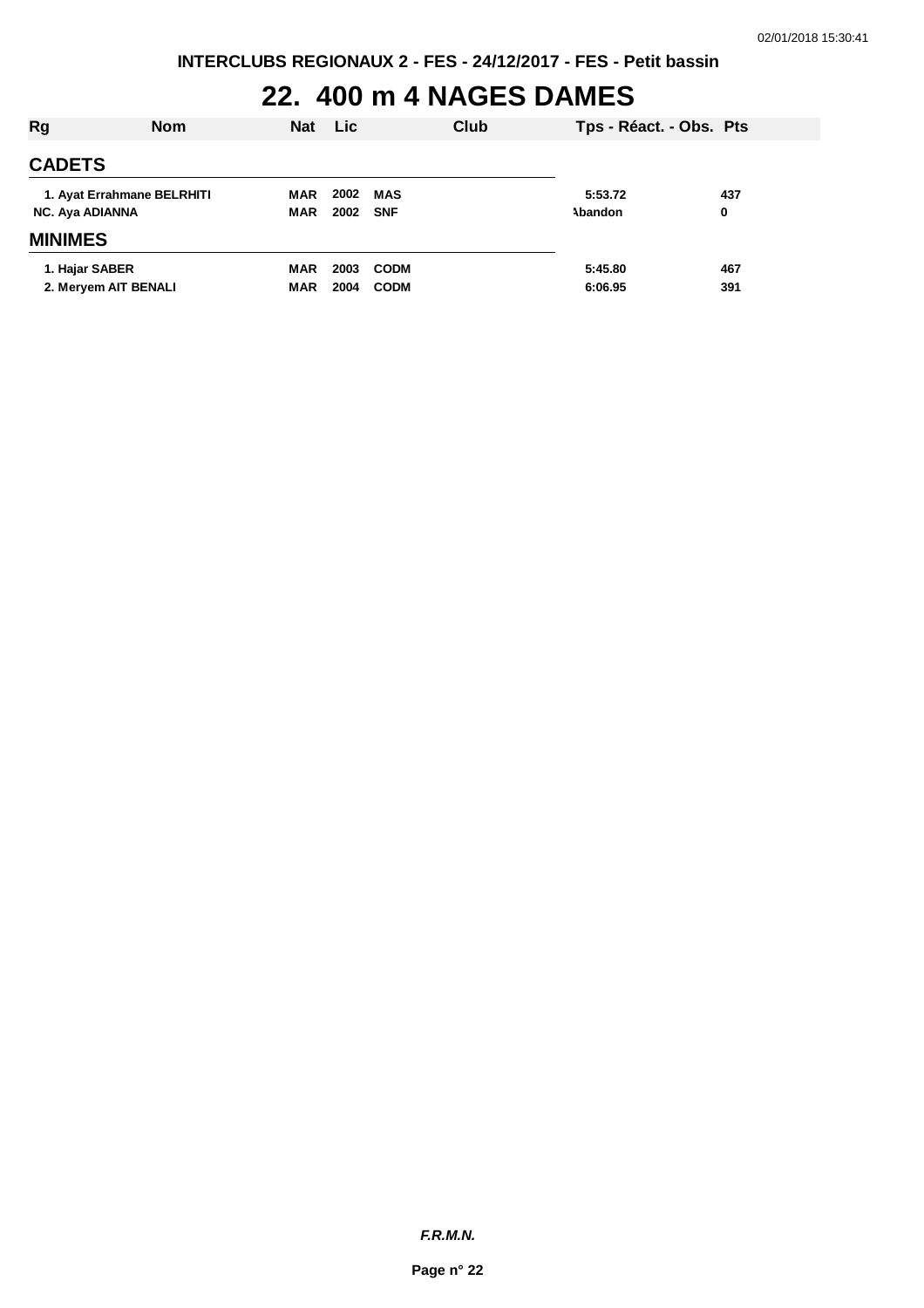#### **22. 400 m 4 NAGES DAMES**

| Rg                                            | <b>Nom</b> | <b>Nat</b>               | <b>Lic</b>   |                            | Club | Tps - Réact. - Obs. Pts |            |  |
|-----------------------------------------------|------------|--------------------------|--------------|----------------------------|------|-------------------------|------------|--|
| <b>CADETS</b>                                 |            |                          |              |                            |      |                         |            |  |
| 1. Ayat Errahmane BELRHITI<br>NC. Aya ADIANNA |            | MAR<br><b>MAR</b>        | 2002<br>2002 | MAS<br><b>SNF</b>          |      | 5:53.72<br>Abandon      | 437<br>0   |  |
| <b>MINIMES</b>                                |            |                          |              |                            |      |                         |            |  |
| 1. Hajar SABER<br>2. Meryem AIT BENALI        |            | <b>MAR</b><br><b>MAR</b> | 2003<br>2004 | <b>CODM</b><br><b>CODM</b> |      | 5:45.80<br>6:06.95      | 467<br>391 |  |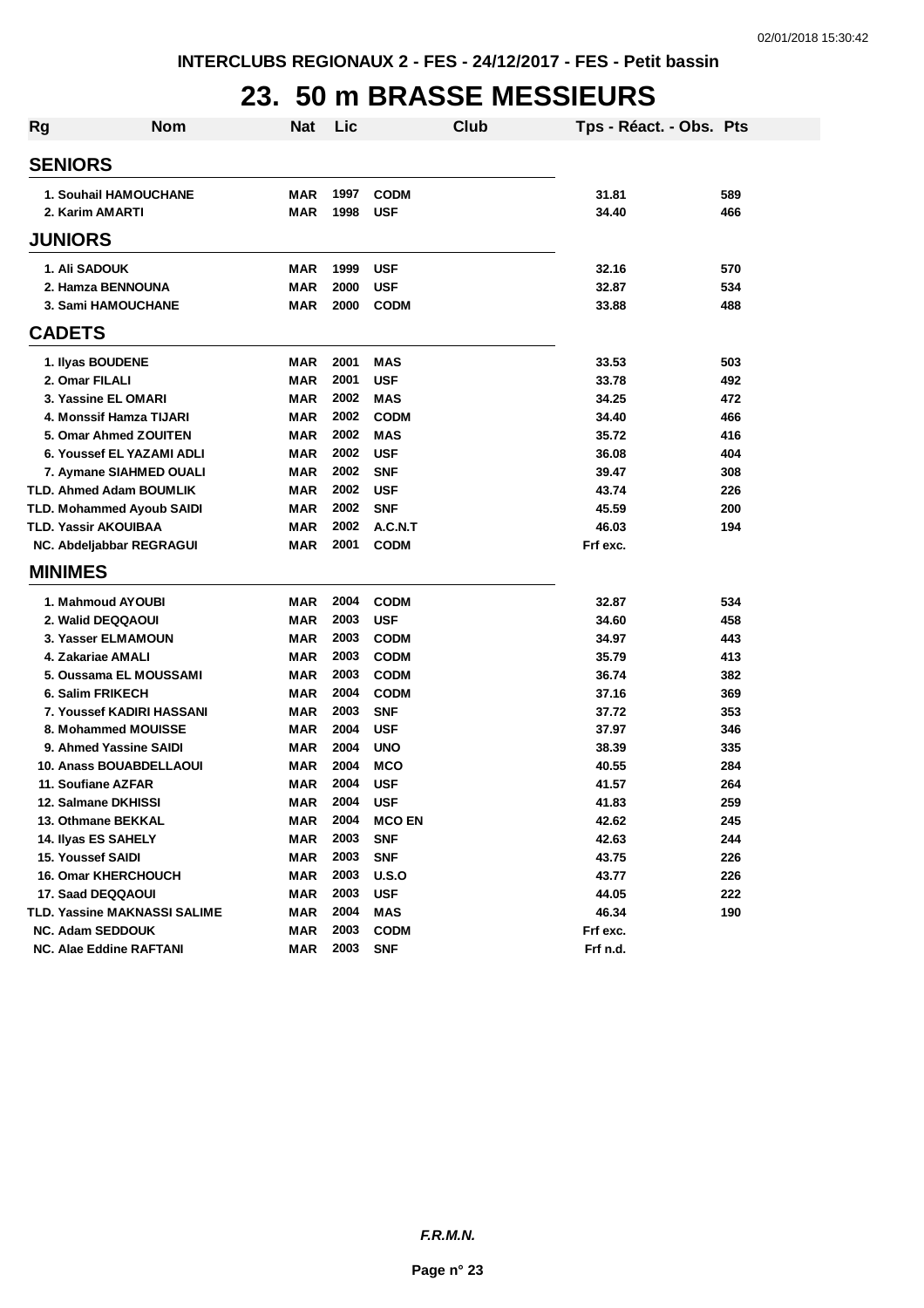#### **23. 50 m BRASSE MESSIEURS**

| <b>Rg</b> | <b>Nom</b>                       | <b>Nat</b> | Lic  | <b>Club</b>   | Tps - Réact. - Obs. Pts |     |
|-----------|----------------------------------|------------|------|---------------|-------------------------|-----|
|           | <b>SENIORS</b>                   |            |      |               |                         |     |
|           | 1. Souhail HAMOUCHANE            | MAR        | 1997 | <b>CODM</b>   | 31.81                   | 589 |
|           | 2. Karim AMARTI                  | <b>MAR</b> | 1998 | <b>USF</b>    | 34.40                   | 466 |
|           | <b>JUNIORS</b>                   |            |      |               |                         |     |
|           | 1. Ali SADOUK                    | MAR        | 1999 | <b>USF</b>    | 32.16                   | 570 |
|           | 2. Hamza BENNOUNA                | <b>MAR</b> | 2000 | <b>USF</b>    | 32.87                   | 534 |
|           | 3. Sami HAMOUCHANE               | <b>MAR</b> | 2000 | <b>CODM</b>   | 33.88                   | 488 |
|           | <b>CADETS</b>                    |            |      |               |                         |     |
|           | 1. Ilyas BOUDENE                 | MAR        | 2001 | MAS           | 33.53                   | 503 |
|           | 2. Omar FILALI                   | <b>MAR</b> | 2001 | <b>USF</b>    | 33.78                   | 492 |
|           | 3. Yassine EL OMARI              | <b>MAR</b> | 2002 | <b>MAS</b>    | 34.25                   | 472 |
|           | 4. Monssif Hamza TIJARI          | <b>MAR</b> | 2002 | <b>CODM</b>   | 34.40                   | 466 |
|           | 5. Omar Ahmed ZOUITEN            | <b>MAR</b> | 2002 | <b>MAS</b>    | 35.72                   | 416 |
|           | 6. Youssef EL YAZAMI ADLI        | <b>MAR</b> | 2002 | <b>USF</b>    | 36.08                   | 404 |
|           | 7. Aymane SIAHMED OUALI          | MAR        | 2002 | <b>SNF</b>    | 39.47                   | 308 |
|           | <b>TLD. Ahmed Adam BOUMLIK</b>   | <b>MAR</b> | 2002 | <b>USF</b>    | 43.74                   | 226 |
|           | TLD. Mohammed Ayoub SAIDI        | <b>MAR</b> | 2002 | <b>SNF</b>    | 45.59                   | 200 |
|           | TLD. Yassir AKOUIBAA             | <b>MAR</b> | 2002 | A.C.N.T       | 46.03                   | 194 |
|           | NC. Abdeljabbar REGRAGUI         | <b>MAR</b> | 2001 | <b>CODM</b>   | Frf exc.                |     |
|           | <b>MINIMES</b>                   |            |      |               |                         |     |
|           | 1. Mahmoud AYOUBI                | MAR        | 2004 | <b>CODM</b>   | 32.87                   | 534 |
|           | 2. Walid DEQQAOUI                | <b>MAR</b> | 2003 | <b>USF</b>    | 34.60                   | 458 |
|           | 3. Yasser ELMAMOUN               | <b>MAR</b> | 2003 | <b>CODM</b>   | 34.97                   | 443 |
|           | 4. Zakariae AMALI                | <b>MAR</b> | 2003 | <b>CODM</b>   | 35.79                   | 413 |
|           | 5. Oussama EL MOUSSAMI           | <b>MAR</b> | 2003 | <b>CODM</b>   | 36.74                   | 382 |
|           | 6. Salim FRIKECH                 | MAR        | 2004 | <b>CODM</b>   | 37.16                   | 369 |
|           | <b>7. Youssef KADIRI HASSANI</b> | MAR        | 2003 | <b>SNF</b>    | 37.72                   | 353 |
|           | 8. Mohammed MOUISSE              | MAR        | 2004 | <b>USF</b>    | 37.97                   | 346 |
|           | 9. Ahmed Yassine SAIDI           | MAR        | 2004 | <b>UNO</b>    | 38.39                   | 335 |
|           | <b>10. Anass BOUABDELLAOUI</b>   | MAR        | 2004 | <b>MCO</b>    | 40.55                   | 284 |
|           | 11. Soufiane AZFAR               | MAR        | 2004 | <b>USF</b>    | 41.57                   | 264 |
|           | 12. Salmane DKHISSI              | MAR        | 2004 | <b>USF</b>    | 41.83                   | 259 |
|           | 13. Othmane BEKKAL               | MAR        | 2004 | <b>MCO EN</b> | 42.62                   | 245 |
|           | 14. Ilyas ES SAHELY              | <b>MAR</b> | 2003 | <b>SNF</b>    | 42.63                   | 244 |
|           | <b>15. Youssef SAIDI</b>         | <b>MAR</b> | 2003 | <b>SNF</b>    | 43.75                   | 226 |
|           | <b>16. Omar KHERCHOUCH</b>       | <b>MAR</b> | 2003 | U.S.O         | 43.77                   | 226 |
|           | 17. Saad DEQQAOUI                | <b>MAR</b> | 2003 | <b>USF</b>    | 44.05                   | 222 |
|           | TLD. Yassine MAKNASSI SALIME     | <b>MAR</b> | 2004 | <b>MAS</b>    | 46.34                   | 190 |
|           | <b>NC. Adam SEDDOUK</b>          | <b>MAR</b> | 2003 | <b>CODM</b>   | Frf exc.                |     |
|           | NC. Alae Eddine RAFTANI          | <b>MAR</b> | 2003 | <b>SNF</b>    | Frf n.d.                |     |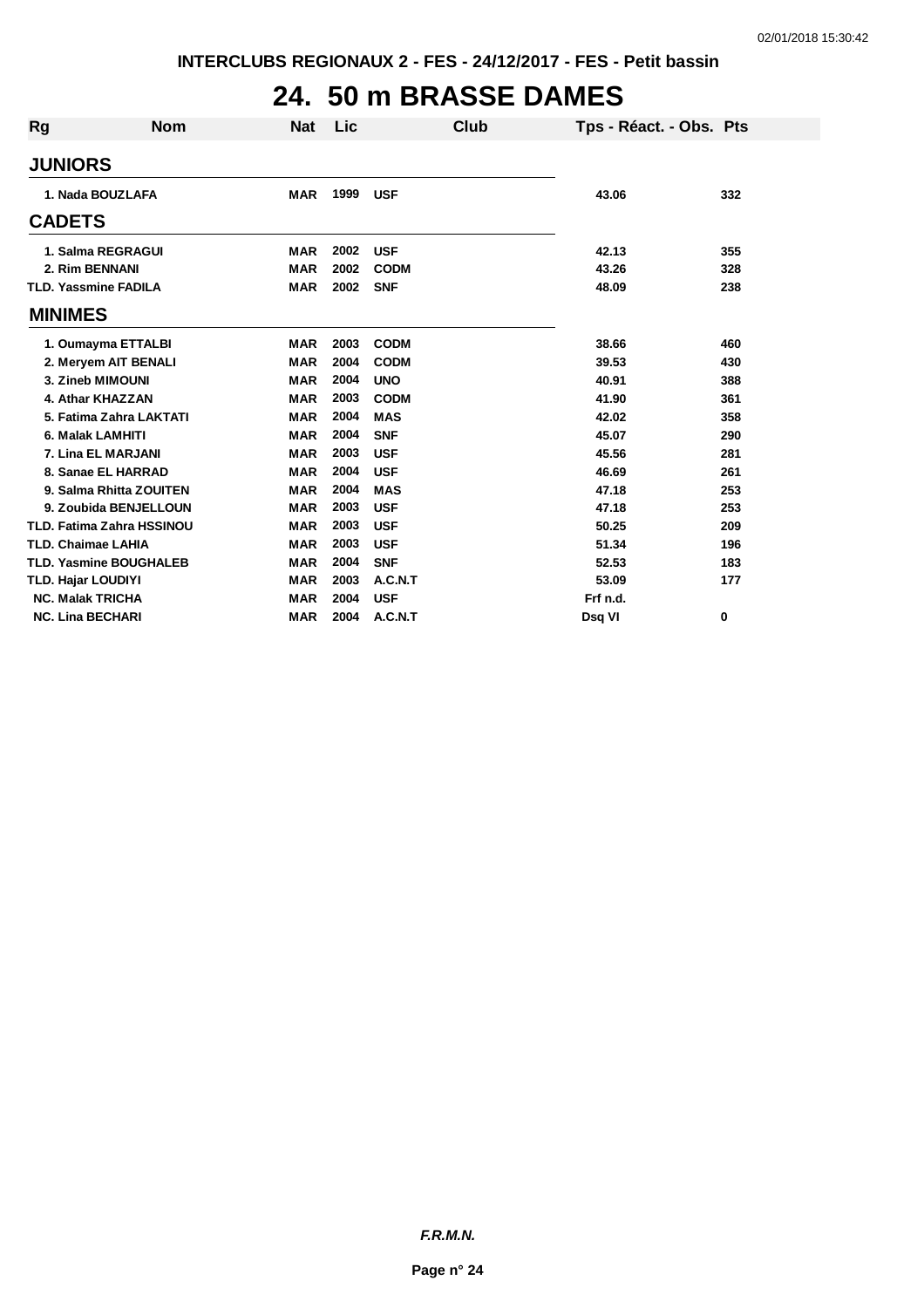## **24. 50 m BRASSE DAMES**

| <b>Rg</b> | <b>Nom</b>                       | <b>Nat</b> | Lic  | Club        | Tps - Réact. - Obs. Pts |     |
|-----------|----------------------------------|------------|------|-------------|-------------------------|-----|
|           | <b>JUNIORS</b>                   |            |      |             |                         |     |
|           | 1. Nada BOUZLAFA                 | <b>MAR</b> | 1999 | <b>USF</b>  | 43.06                   | 332 |
|           | <b>CADETS</b>                    |            |      |             |                         |     |
|           | 1. Salma REGRAGUI                | <b>MAR</b> | 2002 | <b>USF</b>  | 42.13                   | 355 |
|           | 2. Rim BENNANI                   | <b>MAR</b> | 2002 | <b>CODM</b> | 43.26                   | 328 |
|           | <b>TLD. Yassmine FADILA</b>      | <b>MAR</b> | 2002 | <b>SNF</b>  | 48.09                   | 238 |
|           | <b>MINIMES</b>                   |            |      |             |                         |     |
|           | 1. Oumayma ETTALBI               | <b>MAR</b> | 2003 | <b>CODM</b> | 38.66                   | 460 |
|           | 2. Meryem AIT BENALI             | <b>MAR</b> | 2004 | <b>CODM</b> | 39.53                   | 430 |
|           | 3. Zineb MIMOUNI                 | <b>MAR</b> | 2004 | <b>UNO</b>  | 40.91                   | 388 |
|           | 4. Athar KHAZZAN                 | <b>MAR</b> | 2003 | <b>CODM</b> | 41.90                   | 361 |
|           | 5. Fatima Zahra LAKTATI          | <b>MAR</b> | 2004 | <b>MAS</b>  | 42.02                   | 358 |
|           | 6. Malak LAMHITI                 | <b>MAR</b> | 2004 | <b>SNF</b>  | 45.07                   | 290 |
|           | 7. Lina EL MARJANI               | <b>MAR</b> | 2003 | <b>USF</b>  | 45.56                   | 281 |
|           | 8. Sanae EL HARRAD               | <b>MAR</b> | 2004 | <b>USF</b>  | 46.69                   | 261 |
|           | 9. Salma Rhitta ZOUITEN          | <b>MAR</b> | 2004 | <b>MAS</b>  | 47.18                   | 253 |
|           | 9. Zoubida BENJELLOUN            | <b>MAR</b> | 2003 | <b>USF</b>  | 47.18                   | 253 |
|           | <b>TLD. Fatima Zahra HSSINOU</b> | <b>MAR</b> | 2003 | <b>USF</b>  | 50.25                   | 209 |
|           | <b>TLD. Chaimae LAHIA</b>        | <b>MAR</b> | 2003 | <b>USF</b>  | 51.34                   | 196 |
|           | <b>TLD. Yasmine BOUGHALEB</b>    | <b>MAR</b> | 2004 | <b>SNF</b>  | 52.53                   | 183 |
|           | <b>TLD. Hajar LOUDIYI</b>        | <b>MAR</b> | 2003 | A.C.N.T     | 53.09                   | 177 |
|           | <b>NC. Malak TRICHA</b>          | <b>MAR</b> | 2004 | <b>USF</b>  | Frf n.d.                |     |
|           | <b>NC. Lina BECHARI</b>          | <b>MAR</b> | 2004 | A.C.N.T     | Dsq VI                  | 0   |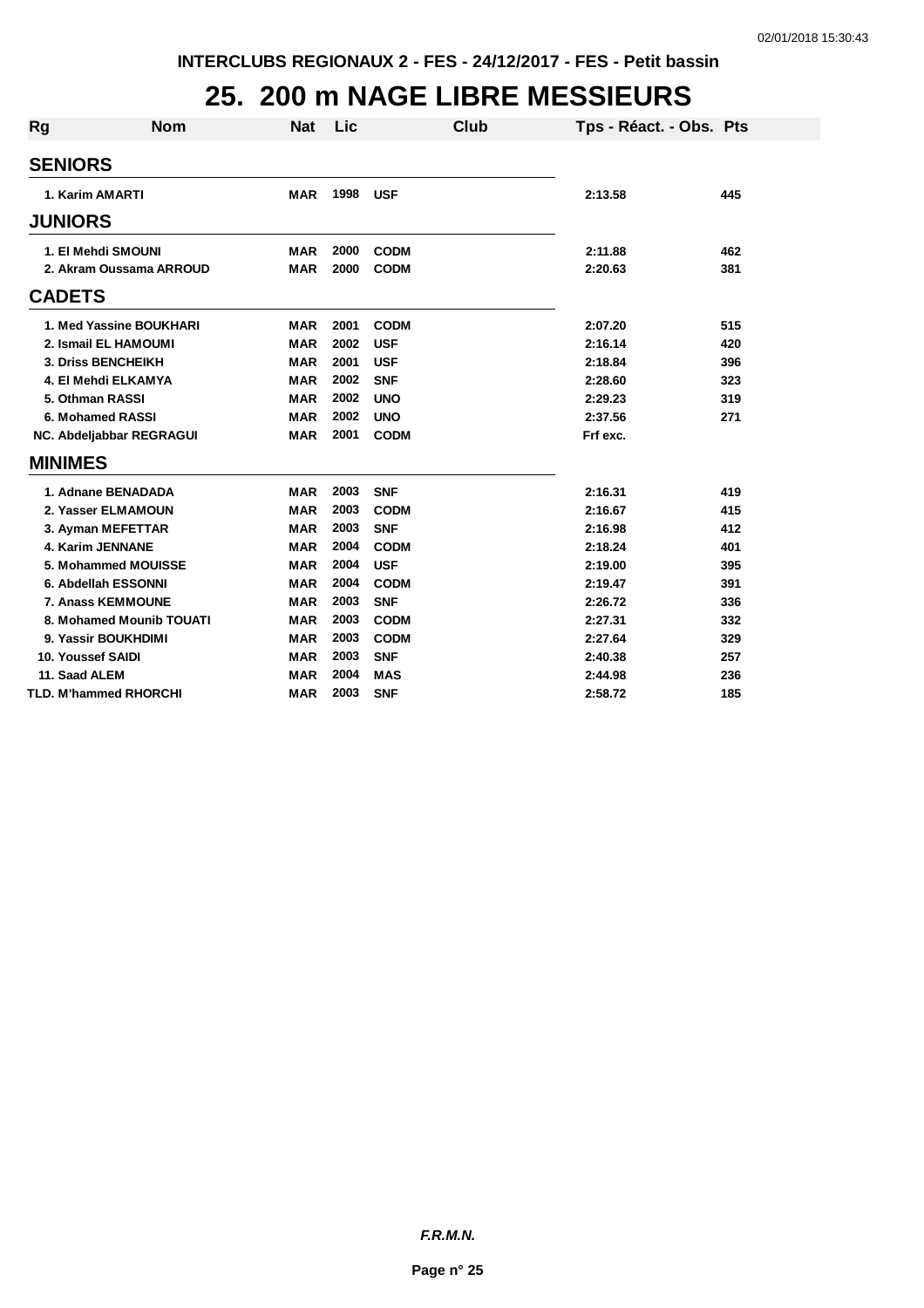### **25. 200 m NAGE LIBRE MESSIEURS**

| Rg | <b>Nom</b>                   | <b>Nat</b> | Lic  | Club        | Tps - Réact. - Obs. Pts |     |
|----|------------------------------|------------|------|-------------|-------------------------|-----|
|    | <b>SENIORS</b>               |            |      |             |                         |     |
|    | 1. Karim AMARTI              | <b>MAR</b> | 1998 | <b>USF</b>  | 2:13.58                 | 445 |
|    | <b>JUNIORS</b>               |            |      |             |                         |     |
|    | 1. El Mehdi SMOUNI           | <b>MAR</b> | 2000 | <b>CODM</b> | 2:11.88                 | 462 |
|    | 2. Akram Oussama ARROUD      | <b>MAR</b> | 2000 | <b>CODM</b> | 2:20.63                 | 381 |
|    | <b>CADETS</b>                |            |      |             |                         |     |
|    | 1. Med Yassine BOUKHARI      | <b>MAR</b> | 2001 | <b>CODM</b> | 2:07.20                 | 515 |
|    | 2. Ismail EL HAMOUMI         | <b>MAR</b> | 2002 | <b>USF</b>  | 2:16.14                 | 420 |
|    | 3. Driss BENCHEIKH           | <b>MAR</b> | 2001 | <b>USF</b>  | 2:18.84                 | 396 |
|    | 4. El Mehdi ELKAMYA          | <b>MAR</b> | 2002 | <b>SNF</b>  | 2:28.60                 | 323 |
|    | 5. Othman RASSI              | <b>MAR</b> | 2002 | <b>UNO</b>  | 2:29.23                 | 319 |
|    | 6. Mohamed RASSI             | <b>MAR</b> | 2002 | <b>UNO</b>  | 2:37.56                 | 271 |
|    | NC. Abdeljabbar REGRAGUI     | <b>MAR</b> | 2001 | <b>CODM</b> | Frf exc.                |     |
|    | <b>MINIMES</b>               |            |      |             |                         |     |
|    | 1. Adnane BENADADA           | <b>MAR</b> | 2003 | <b>SNF</b>  | 2:16.31                 | 419 |
|    | 2. Yasser ELMAMOUN           | <b>MAR</b> | 2003 | <b>CODM</b> | 2:16.67                 | 415 |
|    | 3. Ayman MEFETTAR            | <b>MAR</b> | 2003 | <b>SNF</b>  | 2:16.98                 | 412 |
|    | 4. Karim JENNANE             | <b>MAR</b> | 2004 | <b>CODM</b> | 2:18.24                 | 401 |
|    | 5. Mohammed MOUISSE          | <b>MAR</b> | 2004 | <b>USF</b>  | 2:19.00                 | 395 |
|    | 6. Abdellah ESSONNI          | <b>MAR</b> | 2004 | <b>CODM</b> | 2:19.47                 | 391 |
|    | 7. Anass KEMMOUNE            | <b>MAR</b> | 2003 | <b>SNF</b>  | 2:26.72                 | 336 |
|    | 8. Mohamed Mounib TOUATI     | <b>MAR</b> | 2003 | <b>CODM</b> | 2:27.31                 | 332 |
|    | 9. Yassir BOUKHDIMI          | <b>MAR</b> | 2003 | <b>CODM</b> | 2:27.64                 | 329 |
|    | 10. Youssef SAIDI            | MAR        | 2003 | <b>SNF</b>  | 2:40.38                 | 257 |
|    | 11. Saad ALEM                | <b>MAR</b> | 2004 | <b>MAS</b>  | 2:44.98                 | 236 |
|    | <b>TLD. M'hammed RHORCHI</b> | <b>MAR</b> | 2003 | <b>SNF</b>  | 2:58.72                 | 185 |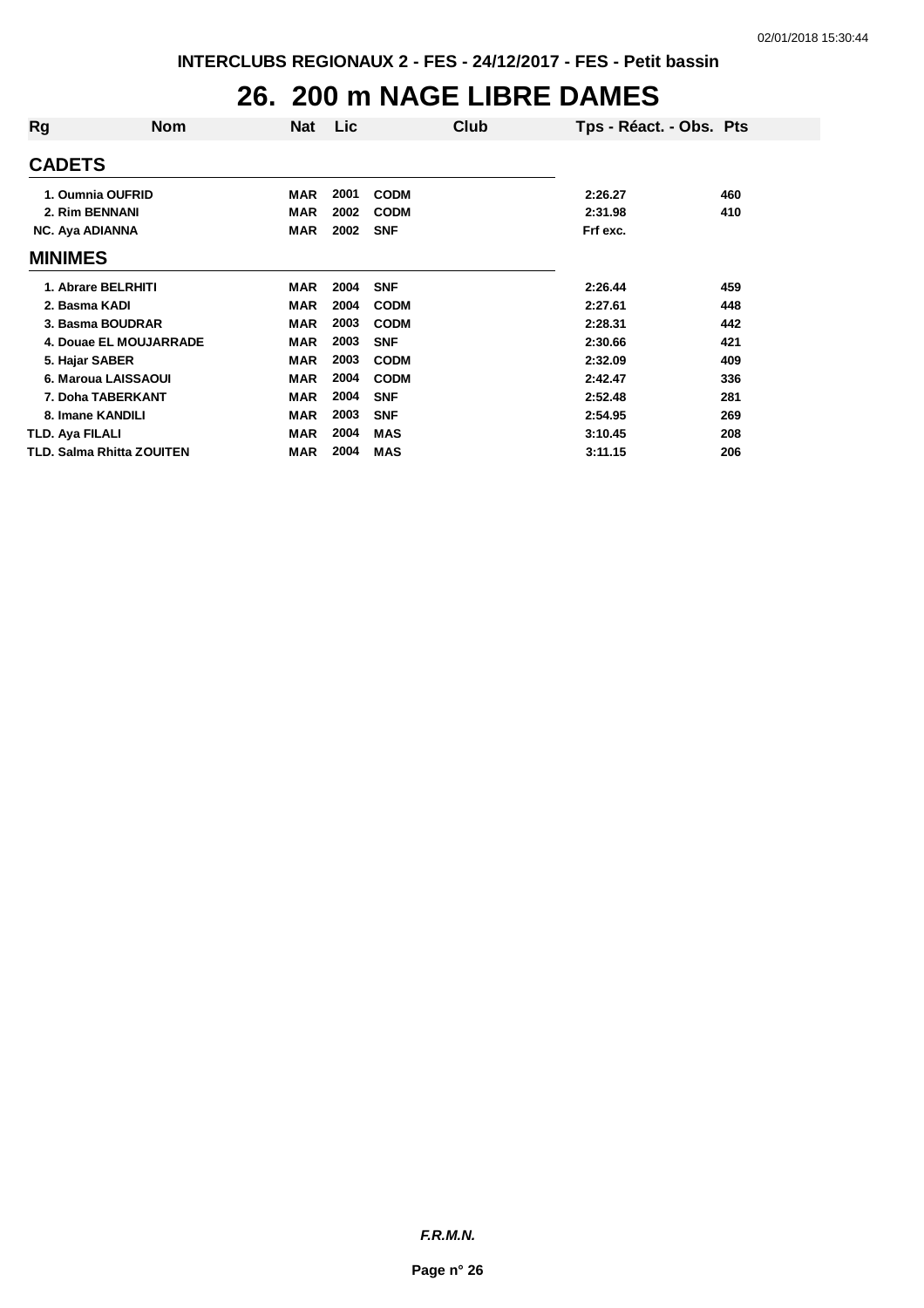## **26. 200 m NAGE LIBRE DAMES**

| Rg                     | <b>Nom</b>                       | <b>Nat</b> | Lic  | Club        | Tps - Réact. - Obs. Pts |     |
|------------------------|----------------------------------|------------|------|-------------|-------------------------|-----|
| <b>CADETS</b>          |                                  |            |      |             |                         |     |
|                        | 1. Oumnia OUFRID                 | <b>MAR</b> | 2001 | <b>CODM</b> | 2:26.27                 | 460 |
|                        | 2. Rim BENNANI                   | <b>MAR</b> | 2002 | <b>CODM</b> | 2:31.98                 | 410 |
| <b>NC. Aya ADIANNA</b> |                                  | MAR        | 2002 | <b>SNF</b>  | Frf exc.                |     |
| <b>MINIMES</b>         |                                  |            |      |             |                         |     |
|                        | 1. Abrare BELRHITI               | <b>MAR</b> | 2004 | <b>SNF</b>  | 2:26.44                 | 459 |
| 2. Basma KADI          |                                  | <b>MAR</b> | 2004 | <b>CODM</b> | 2:27.61                 | 448 |
|                        | 3. Basma BOUDRAR                 | <b>MAR</b> | 2003 | <b>CODM</b> | 2:28.31                 | 442 |
|                        | 4. Douae EL MOUJARRADE           | <b>MAR</b> | 2003 | <b>SNF</b>  | 2:30.66                 | 421 |
| 5. Hajar SABER         |                                  | <b>MAR</b> | 2003 | <b>CODM</b> | 2:32.09                 | 409 |
|                        | 6. Maroua LAISSAOUI              | <b>MAR</b> | 2004 | <b>CODM</b> | 2:42.47                 | 336 |
|                        | 7. Doha TABERKANT                | <b>MAR</b> | 2004 | <b>SNF</b>  | 2:52.48                 | 281 |
|                        | 8. Imane KANDILI                 | <b>MAR</b> | 2003 | <b>SNF</b>  | 2:54.95                 | 269 |
| TLD. Aya FILALI        |                                  | <b>MAR</b> | 2004 | <b>MAS</b>  | 3:10.45                 | 208 |
|                        | <b>TLD. Salma Rhitta ZOUITEN</b> | <b>MAR</b> | 2004 | <b>MAS</b>  | 3:11.15                 | 206 |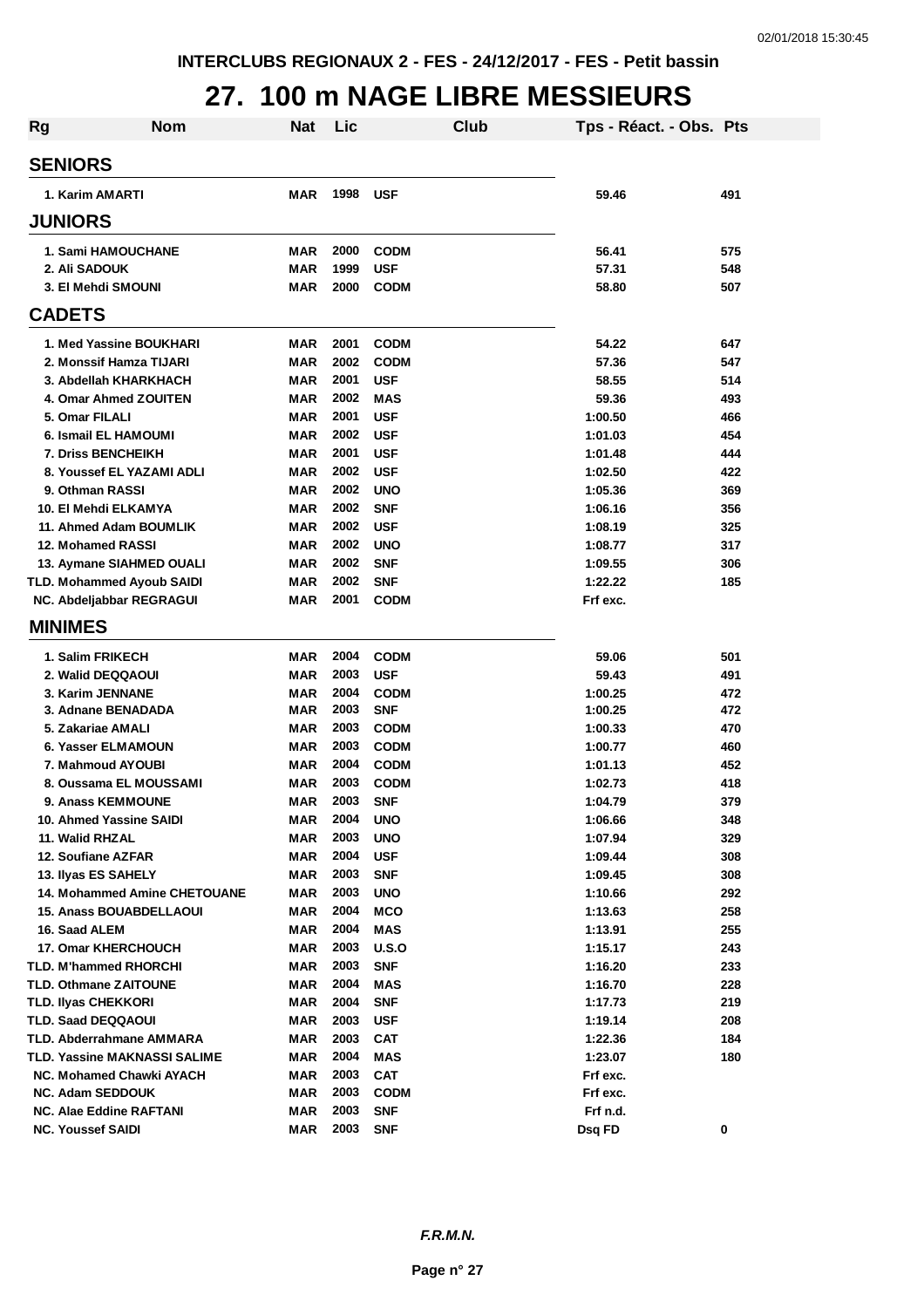#### **27. 100 m NAGE LIBRE MESSIEURS**

| Rg | <b>Nom</b>                          | <b>Nat</b> | Lic  |             | <b>Club</b> | Tps - Réact. - Obs. Pts |     |
|----|-------------------------------------|------------|------|-------------|-------------|-------------------------|-----|
|    | <b>SENIORS</b>                      |            |      |             |             |                         |     |
|    | 1. Karim AMARTI                     | <b>MAR</b> | 1998 | <b>USF</b>  |             | 59.46                   | 491 |
|    | <b>JUNIORS</b>                      |            |      |             |             |                         |     |
|    | <b>1. Sami HAMOUCHANE</b>           | <b>MAR</b> | 2000 | <b>CODM</b> |             | 56.41                   | 575 |
|    | 2. Ali SADOUK                       | <b>MAR</b> | 1999 | <b>USF</b>  |             | 57.31                   | 548 |
|    | 3. El Mehdi SMOUNI                  | <b>MAR</b> | 2000 | <b>CODM</b> |             | 58.80                   | 507 |
|    | <b>CADETS</b>                       |            |      |             |             |                         |     |
|    | 1. Med Yassine BOUKHARI             | <b>MAR</b> | 2001 | <b>CODM</b> |             | 54.22                   | 647 |
|    | 2. Monssif Hamza TIJARI             | <b>MAR</b> | 2002 | <b>CODM</b> |             | 57.36                   | 547 |
|    | 3. Abdellah KHARKHACH               | <b>MAR</b> | 2001 | <b>USF</b>  |             | 58.55                   | 514 |
|    | 4. Omar Ahmed ZOUITEN               | <b>MAR</b> | 2002 | <b>MAS</b>  |             | 59.36                   | 493 |
|    | 5. Omar FILALI                      | <b>MAR</b> | 2001 | <b>USF</b>  |             | 1:00.50                 | 466 |
|    | 6. Ismail EL HAMOUMI                | <b>MAR</b> | 2002 | <b>USF</b>  |             | 1:01.03                 | 454 |
|    | 7. Driss BENCHEIKH                  | <b>MAR</b> | 2001 | <b>USF</b>  |             | 1:01.48                 | 444 |
|    | 8. Youssef EL YAZAMI ADLI           | <b>MAR</b> | 2002 | <b>USF</b>  |             | 1:02.50                 | 422 |
|    | 9. Othman RASSI                     | <b>MAR</b> | 2002 | <b>UNO</b>  |             | 1:05.36                 | 369 |
|    | 10. El Mehdi ELKAMYA                | <b>MAR</b> | 2002 | <b>SNF</b>  |             | 1:06.16                 | 356 |
|    | 11. Ahmed Adam BOUMLIK              | <b>MAR</b> | 2002 | <b>USF</b>  |             | 1:08.19                 | 325 |
|    | 12. Mohamed RASSI                   | MAR        | 2002 | <b>UNO</b>  |             | 1:08.77                 | 317 |
|    | 13. Aymane SIAHMED OUALI            | MAR        | 2002 | <b>SNF</b>  |             | 1:09.55                 | 306 |
|    | <b>TLD. Mohammed Ayoub SAIDI</b>    | MAR        | 2002 | <b>SNF</b>  |             | 1:22.22                 | 185 |
|    | NC. Abdeljabbar REGRAGUI            | <b>MAR</b> | 2001 | <b>CODM</b> |             | Frf exc.                |     |
|    | <b>MINIMES</b>                      |            |      |             |             |                         |     |
|    |                                     |            |      |             |             |                         |     |
|    | 1. Salim FRIKECH                    | MAR        | 2004 | <b>CODM</b> |             | 59.06                   | 501 |
|    | 2. Walid DEQQAOUI                   | MAR        | 2003 | <b>USF</b>  |             | 59.43                   | 491 |
|    | 3. Karim JENNANE                    | MAR        | 2004 | <b>CODM</b> |             | 1:00.25                 | 472 |
|    | 3. Adnane BENADADA                  | MAR        | 2003 | <b>SNF</b>  |             | 1:00.25                 | 472 |
|    | 5. Zakariae AMALI                   | MAR        | 2003 | <b>CODM</b> |             | 1:00.33                 | 470 |
|    | 6. Yasser ELMAMOUN                  | <b>MAR</b> | 2003 | <b>CODM</b> |             | 1:00.77                 | 460 |
|    | 7. Mahmoud AYOUBI                   | <b>MAR</b> | 2004 | <b>CODM</b> |             | 1:01.13                 | 452 |
|    | 8. Oussama EL MOUSSAMI              | <b>MAR</b> | 2003 | <b>CODM</b> |             | 1:02.73                 | 418 |
|    | 9. Anass KEMMOUNE                   | <b>MAR</b> | 2003 | <b>SNF</b>  |             | 1:04.79                 | 379 |
|    | 10. Ahmed Yassine SAIDI             | <b>MAR</b> | 2004 | <b>UNO</b>  |             | 1:06.66                 | 348 |
|    | 11. Walid RHZAL                     | <b>MAR</b> | 2003 | <b>UNO</b>  |             | 1:07.94                 | 329 |
|    | 12. Soufiane AZFAR                  | <b>MAR</b> | 2004 | <b>USF</b>  |             | 1:09.44                 | 308 |
|    | 13. Ilyas ES SAHELY                 | <b>MAR</b> | 2003 | <b>SNF</b>  |             | 1:09.45                 | 308 |
|    | <b>14. Mohammed Amine CHETOUANE</b> | <b>MAR</b> | 2003 | <b>UNO</b>  |             | 1:10.66                 | 292 |
|    | <b>15. Anass BOUABDELLAOUI</b>      | <b>MAR</b> | 2004 | <b>MCO</b>  |             | 1:13.63                 | 258 |
|    | 16. Saad ALEM                       | <b>MAR</b> | 2004 | <b>MAS</b>  |             | 1:13.91                 | 255 |
|    | <b>17. Omar KHERCHOUCH</b>          | <b>MAR</b> | 2003 | U.S.O       |             | 1:15.17                 | 243 |
|    | TLD. M'hammed RHORCHI               | <b>MAR</b> | 2003 | <b>SNF</b>  |             | 1:16.20                 | 233 |
|    | <b>TLD. Othmane ZAITOUNE</b>        | <b>MAR</b> | 2004 | <b>MAS</b>  |             | 1:16.70                 | 228 |
|    | TLD. Ilyas CHEKKORI                 | <b>MAR</b> | 2004 | <b>SNF</b>  |             | 1:17.73                 | 219 |
|    | <b>TLD. Saad DEQQAOUI</b>           | <b>MAR</b> | 2003 | <b>USF</b>  |             | 1:19.14                 | 208 |
|    | TLD. Abderrahmane AMMARA            | <b>MAR</b> | 2003 | <b>CAT</b>  |             | 1:22.36                 | 184 |
|    | TLD. Yassine MAKNASSI SALIME        | MAR        | 2004 | <b>MAS</b>  |             | 1:23.07                 | 180 |
|    | NC. Mohamed Chawki AYACH            | MAR        | 2003 | <b>CAT</b>  |             | Frf exc.                |     |
|    | <b>NC. Adam SEDDOUK</b>             | MAR        | 2003 | <b>CODM</b> |             | Frf exc.                |     |
|    | <b>NC. Alae Eddine RAFTANI</b>      | MAR        | 2003 | <b>SNF</b>  |             | Frf n.d.                |     |
|    | <b>NC. Youssef SAIDI</b>            | MAR        | 2003 | <b>SNF</b>  |             | Dsq FD                  | 0   |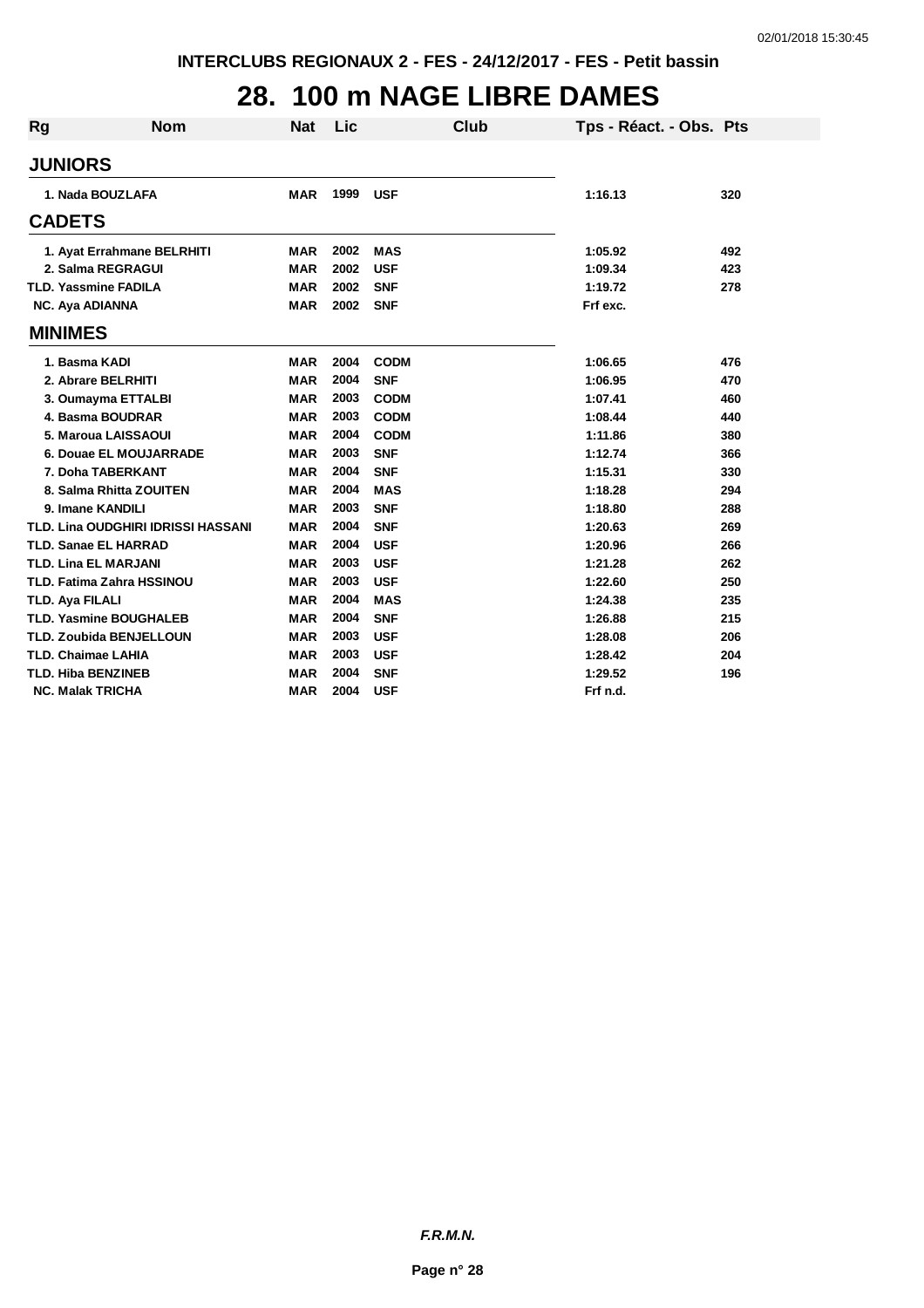## **28. 100 m NAGE LIBRE DAMES**

| Rg                          | <b>Nom</b>                         | <b>Nat</b> | Lic  | <b>Club</b> | Tps - Réact. - Obs. Pts |     |
|-----------------------------|------------------------------------|------------|------|-------------|-------------------------|-----|
|                             |                                    |            |      |             |                         |     |
| <b>JUNIORS</b>              |                                    |            |      |             |                         |     |
|                             | 1. Nada BOUZLAFA                   | <b>MAR</b> | 1999 | <b>USF</b>  | 1:16.13                 | 320 |
| <b>CADETS</b>               |                                    |            |      |             |                         |     |
|                             | 1. Ayat Errahmane BELRHITI         | <b>MAR</b> | 2002 | <b>MAS</b>  | 1:05.92                 | 492 |
|                             | 2. Salma REGRAGUI                  | <b>MAR</b> | 2002 | <b>USF</b>  | 1:09.34                 | 423 |
| <b>TLD. Yassmine FADILA</b> |                                    | <b>MAR</b> | 2002 | <b>SNF</b>  | 1:19.72                 | 278 |
| NC. Aya ADIANNA             |                                    | <b>MAR</b> | 2002 | <b>SNF</b>  | Frf exc.                |     |
| <b>MINIMES</b>              |                                    |            |      |             |                         |     |
| 1. Basma KADI               |                                    | <b>MAR</b> | 2004 | <b>CODM</b> | 1:06.65                 | 476 |
|                             | 2. Abrare BELRHITI                 | <b>MAR</b> | 2004 | <b>SNF</b>  | 1:06.95                 | 470 |
|                             | 3. Oumayma ETTALBI                 | <b>MAR</b> | 2003 | <b>CODM</b> | 1:07.41                 | 460 |
|                             | 4. Basma BOUDRAR                   | <b>MAR</b> | 2003 | <b>CODM</b> | 1:08.44                 | 440 |
|                             | 5. Maroua LAISSAOUI                | <b>MAR</b> | 2004 | <b>CODM</b> | 1:11.86                 | 380 |
|                             | 6. Douae EL MOUJARRADE             | <b>MAR</b> | 2003 | <b>SNF</b>  | 1:12.74                 | 366 |
|                             | 7. Doha TABERKANT                  | <b>MAR</b> | 2004 | <b>SNF</b>  | 1:15.31                 | 330 |
|                             | 8. Salma Rhitta ZOUITEN            | <b>MAR</b> | 2004 | <b>MAS</b>  | 1:18.28                 | 294 |
| 9. Imane KANDILI            |                                    | <b>MAR</b> | 2003 | <b>SNF</b>  | 1:18.80                 | 288 |
|                             | TLD. Lina OUDGHIRI IDRISSI HASSANI | <b>MAR</b> | 2004 | <b>SNF</b>  | 1:20.63                 | 269 |
| <b>TLD. Sanae EL HARRAD</b> |                                    | <b>MAR</b> | 2004 | <b>USF</b>  | 1:20.96                 | 266 |
| <b>TLD. Lina EL MARJANI</b> |                                    | <b>MAR</b> | 2003 | <b>USF</b>  | 1:21.28                 | 262 |
|                             | TLD. Fatima Zahra HSSINOU          | <b>MAR</b> | 2003 | <b>USF</b>  | 1:22.60                 | 250 |
| TLD. Aya FILALI             |                                    | <b>MAR</b> | 2004 | <b>MAS</b>  | 1:24.38                 | 235 |
|                             | <b>TLD. Yasmine BOUGHALEB</b>      | <b>MAR</b> | 2004 | <b>SNF</b>  | 1:26.88                 | 215 |
|                             | <b>TLD. Zoubida BENJELLOUN</b>     | <b>MAR</b> | 2003 | <b>USF</b>  | 1:28.08                 | 206 |
| <b>TLD. Chaimae LAHIA</b>   |                                    | <b>MAR</b> | 2003 | <b>USF</b>  | 1:28.42                 | 204 |
| <b>TLD. Hiba BENZINEB</b>   |                                    | <b>MAR</b> | 2004 | <b>SNF</b>  | 1:29.52                 | 196 |
| <b>NC. Malak TRICHA</b>     |                                    | <b>MAR</b> | 2004 | <b>USF</b>  | Frf n.d.                |     |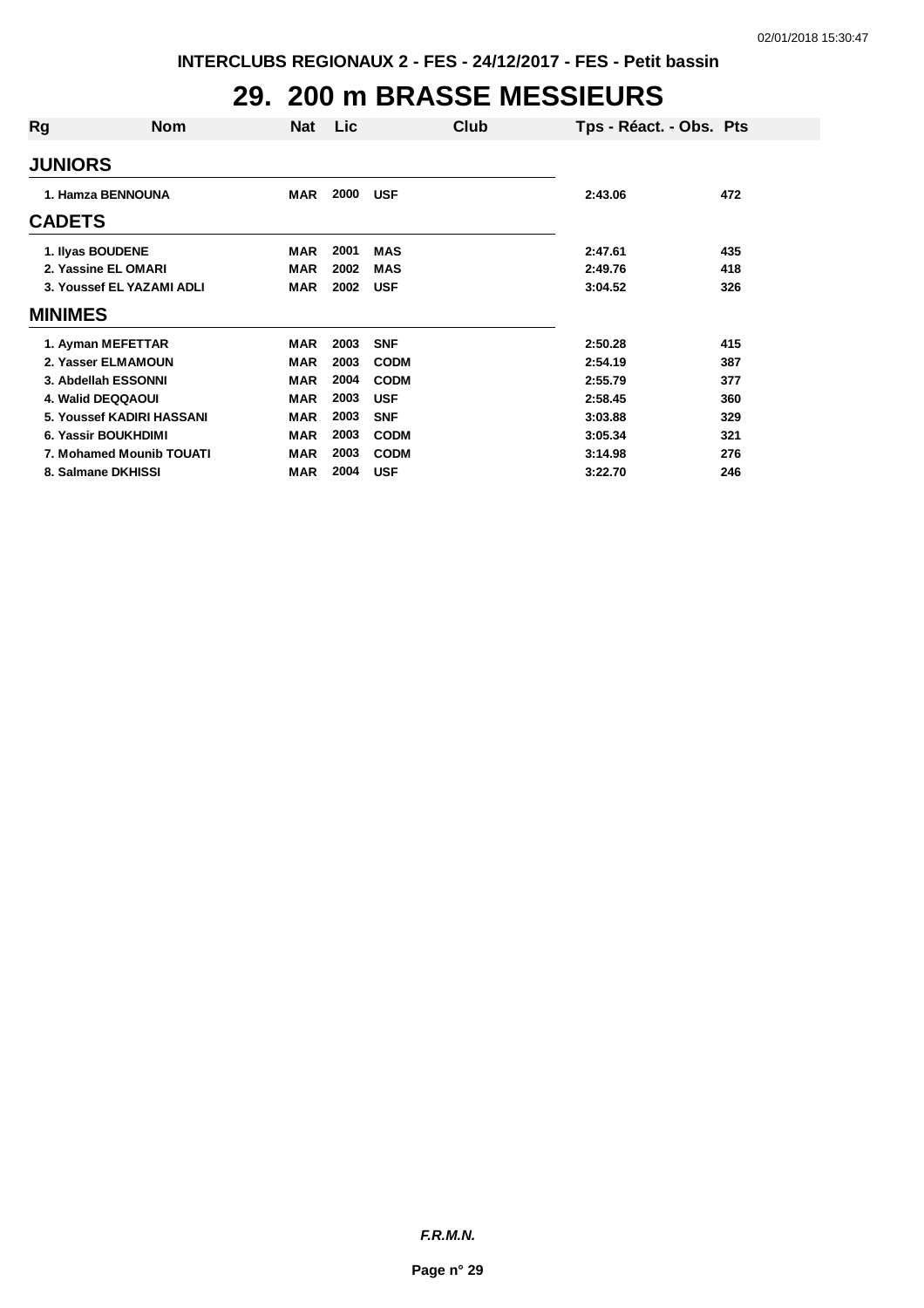## **29. 200 m BRASSE MESSIEURS**

| Rg               | <b>Nom</b>                | <b>Nat</b> | Lic. |             | Club | Tps - Réact. - Obs. Pts |     |
|------------------|---------------------------|------------|------|-------------|------|-------------------------|-----|
| <b>JUNIORS</b>   |                           |            |      |             |      |                         |     |
|                  | 1. Hamza BENNOUNA         | <b>MAR</b> | 2000 | <b>USF</b>  |      | 2:43.06                 | 472 |
| <b>CADETS</b>    |                           |            |      |             |      |                         |     |
| 1. Ilyas BOUDENE |                           | <b>MAR</b> | 2001 | <b>MAS</b>  |      | 2:47.61                 | 435 |
|                  | 2. Yassine EL OMARI       | <b>MAR</b> | 2002 | <b>MAS</b>  |      | 2:49.76                 | 418 |
|                  | 3. Youssef EL YAZAMI ADLI | <b>MAR</b> | 2002 | <b>USF</b>  |      | 3:04.52                 | 326 |
| <b>MINIMES</b>   |                           |            |      |             |      |                         |     |
|                  | 1. Ayman MEFETTAR         | <b>MAR</b> | 2003 | <b>SNF</b>  |      | 2:50.28                 | 415 |
|                  | 2. Yasser ELMAMOUN        | <b>MAR</b> | 2003 | <b>CODM</b> |      | 2:54.19                 | 387 |
|                  | 3. Abdellah ESSONNI       | <b>MAR</b> | 2004 | <b>CODM</b> |      | 2:55.79                 | 377 |
|                  | 4. Walid DEQQAOUI         | <b>MAR</b> | 2003 | <b>USF</b>  |      | 2:58.45                 | 360 |
|                  | 5. Youssef KADIRI HASSANI | <b>MAR</b> | 2003 | <b>SNF</b>  |      | 3:03.88                 | 329 |
|                  | 6. Yassir BOUKHDIMI       | <b>MAR</b> | 2003 | <b>CODM</b> |      | 3:05.34                 | 321 |
|                  | 7. Mohamed Mounib TOUATI  | <b>MAR</b> | 2003 | <b>CODM</b> |      | 3:14.98                 | 276 |
|                  | 8. Salmane DKHISSI        | <b>MAR</b> | 2004 | <b>USF</b>  |      | 3:22.70                 | 246 |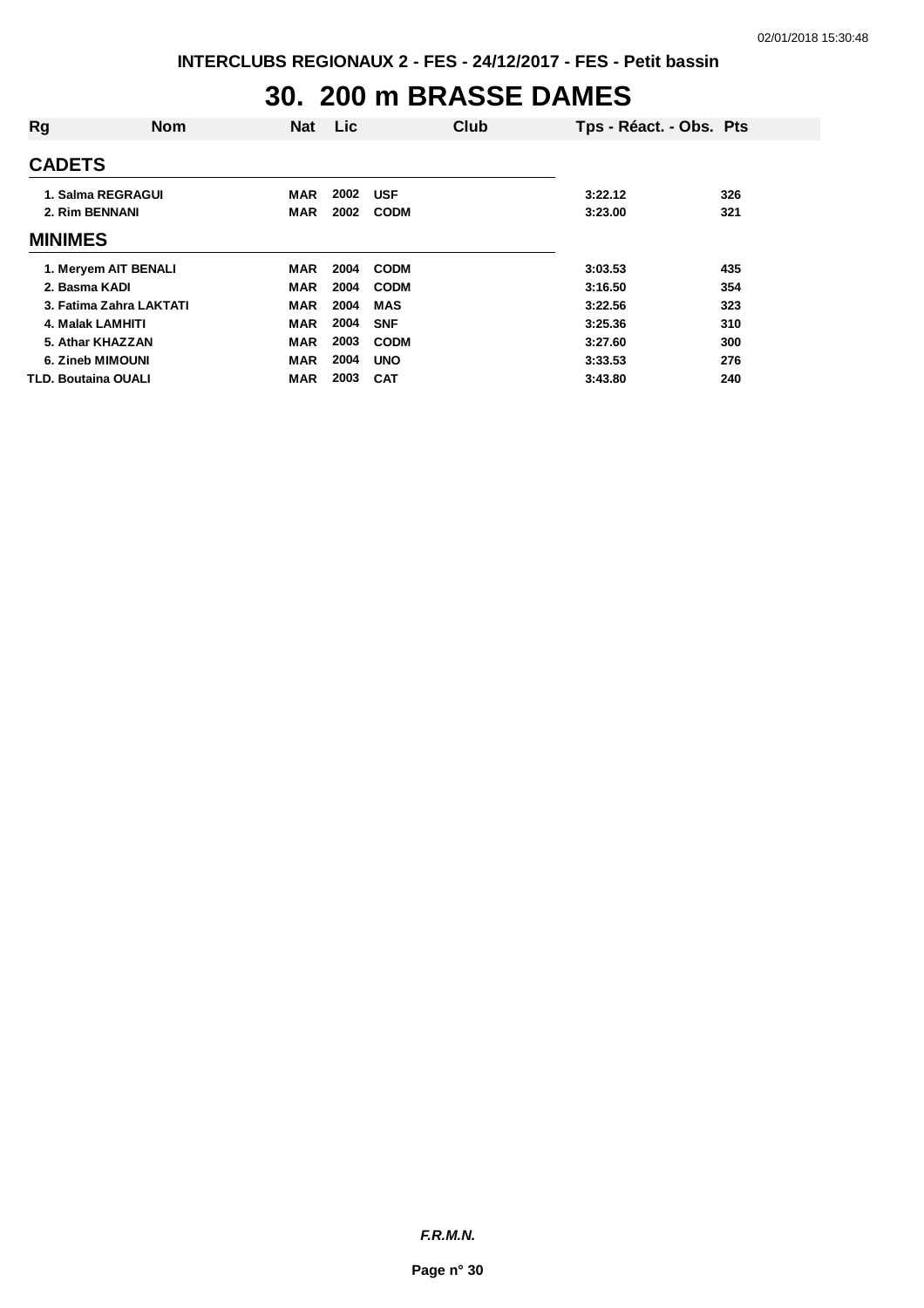## **30. 200 m BRASSE DAMES**

| Rg                         | <b>Nom</b> | <b>Nat</b> | <b>Lic</b> |             | Club | Tps - Réact. - Obs. Pts |     |
|----------------------------|------------|------------|------------|-------------|------|-------------------------|-----|
| <b>CADETS</b>              |            |            |            |             |      |                         |     |
| 1. Salma REGRAGUI          |            | <b>MAR</b> | 2002       | <b>USF</b>  |      | 3:22.12                 | 326 |
| 2. Rim BENNANI             |            | <b>MAR</b> | 2002       | <b>CODM</b> |      | 3:23.00                 | 321 |
| <b>MINIMES</b>             |            |            |            |             |      |                         |     |
| 1. Meryem AIT BENALI       |            | MAR        | 2004       | <b>CODM</b> |      | 3:03.53                 | 435 |
| 2. Basma KADI              |            | MAR        | 2004       | <b>CODM</b> |      | 3:16.50                 | 354 |
| 3. Fatima Zahra LAKTATI    |            | <b>MAR</b> | 2004       | <b>MAS</b>  |      | 3:22.56                 | 323 |
| 4. Malak LAMHITI           |            | <b>MAR</b> | 2004       | <b>SNF</b>  |      | 3:25.36                 | 310 |
| 5. Athar KHAZZAN           |            | <b>MAR</b> | 2003       | <b>CODM</b> |      | 3:27.60                 | 300 |
| 6. Zineb MIMOUNI           |            | <b>MAR</b> | 2004       | <b>UNO</b>  |      | 3:33.53                 | 276 |
| <b>TLD. Boutaina OUALI</b> |            | <b>MAR</b> | 2003       | <b>CAT</b>  |      | 3:43.80                 | 240 |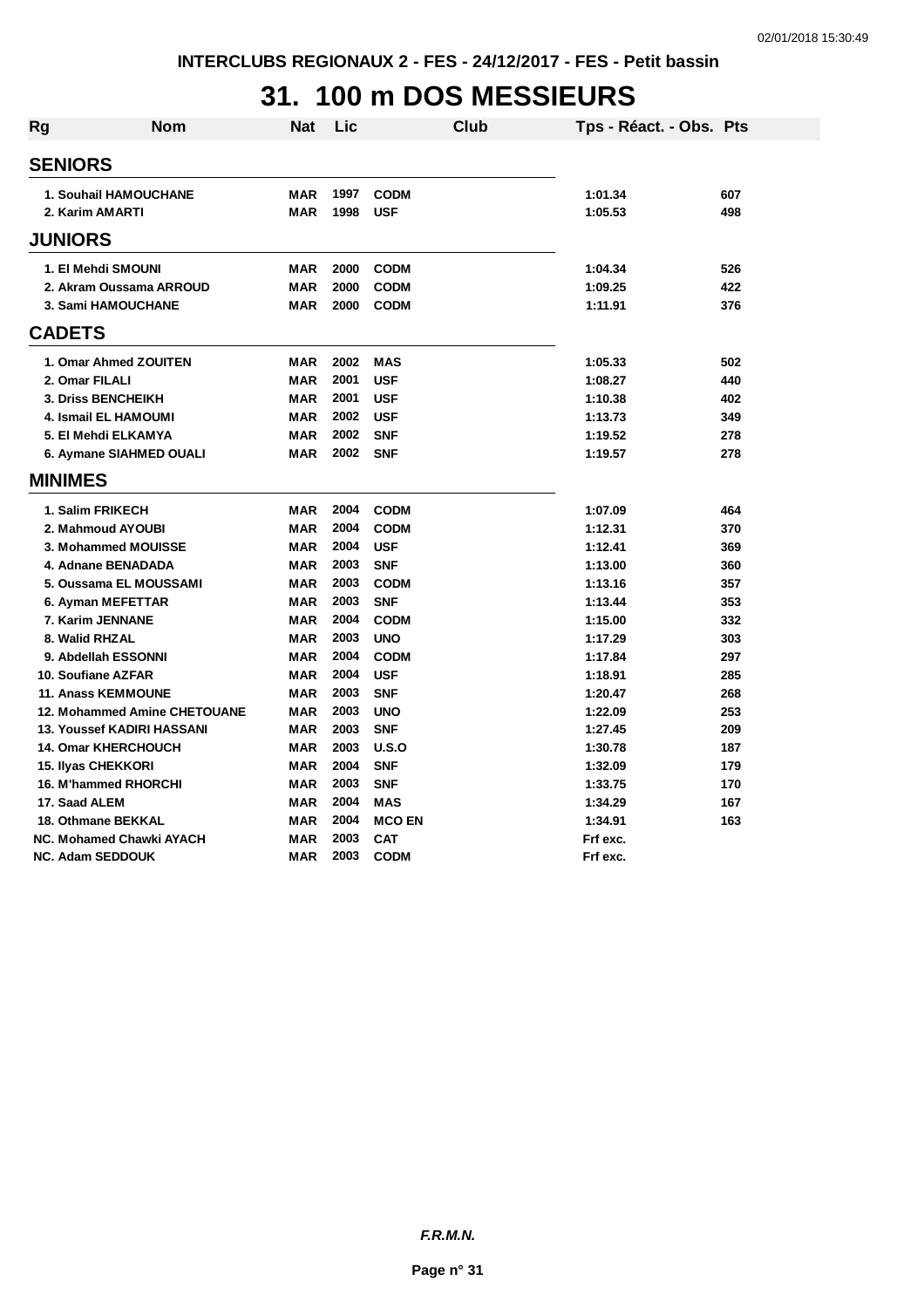## **31. 100 m DOS MESSIEURS**

| Rg | Nom                               | Nat        | Lic  |               | Club | Tps - Réact. - Obs. Pts |     |
|----|-----------------------------------|------------|------|---------------|------|-------------------------|-----|
|    | <b>SENIORS</b>                    |            |      |               |      |                         |     |
|    |                                   |            |      |               |      |                         |     |
|    | 1. Souhail HAMOUCHANE             | MAR        | 1997 | <b>CODM</b>   |      | 1:01.34                 | 607 |
|    | 2. Karim AMARTI                   | <b>MAR</b> | 1998 | <b>USF</b>    |      | 1:05.53                 | 498 |
|    | <b>JUNIORS</b>                    |            |      |               |      |                         |     |
|    | 1. El Mehdi SMOUNI                | MAR        | 2000 | <b>CODM</b>   |      | 1:04.34                 | 526 |
|    | 2. Akram Oussama ARROUD           | <b>MAR</b> | 2000 | <b>CODM</b>   |      | 1:09.25                 | 422 |
|    | 3. Sami HAMOUCHANE                | <b>MAR</b> | 2000 | <b>CODM</b>   |      | 1:11.91                 | 376 |
|    | <b>CADETS</b>                     |            |      |               |      |                         |     |
|    | 1. Omar Ahmed ZOUITEN             | MAR        | 2002 | <b>MAS</b>    |      | 1:05.33                 | 502 |
|    | 2. Omar FILALI                    | <b>MAR</b> | 2001 | <b>USF</b>    |      | 1:08.27                 | 440 |
|    | 3. Driss BENCHEIKH                | <b>MAR</b> | 2001 | <b>USF</b>    |      | 1:10.38                 | 402 |
|    | <b>4. Ismail EL HAMOUMI</b>       | <b>MAR</b> | 2002 | <b>USF</b>    |      | 1:13.73                 | 349 |
|    | 5. El Mehdi ELKAMYA               | MAR        | 2002 | <b>SNF</b>    |      | 1:19.52                 | 278 |
|    | 6. Aymane SIAHMED OUALI           | <b>MAR</b> | 2002 | <b>SNF</b>    |      | 1:19.57                 | 278 |
|    | <b>MINIMES</b>                    |            |      |               |      |                         |     |
|    | 1. Salim FRIKECH                  | <b>MAR</b> | 2004 | <b>CODM</b>   |      | 1:07.09                 | 464 |
|    | 2. Mahmoud AYOUBI                 | <b>MAR</b> | 2004 | <b>CODM</b>   |      | 1:12.31                 | 370 |
|    | 3. Mohammed MOUISSE               | <b>MAR</b> | 2004 | <b>USF</b>    |      | 1:12.41                 | 369 |
|    | 4. Adnane BENADADA                | <b>MAR</b> | 2003 | <b>SNF</b>    |      | 1:13.00                 | 360 |
|    | 5. Oussama EL MOUSSAMI            | <b>MAR</b> | 2003 | <b>CODM</b>   |      | 1:13.16                 | 357 |
|    | 6. Ayman MEFETTAR                 | <b>MAR</b> | 2003 | <b>SNF</b>    |      | 1:13.44                 | 353 |
|    | 7. Karim JENNANE                  | <b>MAR</b> | 2004 | <b>CODM</b>   |      | 1:15.00                 | 332 |
|    | 8. Walid RHZAL                    | <b>MAR</b> | 2003 | <b>UNO</b>    |      | 1:17.29                 | 303 |
|    | 9. Abdellah ESSONNI               | MAR        | 2004 | <b>CODM</b>   |      | 1:17.84                 | 297 |
|    | 10. Soufiane AZFAR                | <b>MAR</b> | 2004 | <b>USF</b>    |      | 1:18.91                 | 285 |
|    | <b>11. Anass KEMMOUNE</b>         | <b>MAR</b> | 2003 | <b>SNF</b>    |      | 1:20.47                 | 268 |
|    | 12. Mohammed Amine CHETOUANE      | <b>MAR</b> | 2003 | <b>UNO</b>    |      | 1:22.09                 | 253 |
|    | <b>13. Youssef KADIRI HASSANI</b> | <b>MAR</b> | 2003 | <b>SNF</b>    |      | 1:27.45                 | 209 |
|    | <b>14. Omar KHERCHOUCH</b>        | <b>MAR</b> | 2003 | U.S.O         |      | 1:30.78                 | 187 |
|    | <b>15. Ilyas CHEKKORI</b>         | <b>MAR</b> | 2004 | <b>SNF</b>    |      | 1:32.09                 | 179 |
|    | 16. M'hammed RHORCHI              | <b>MAR</b> | 2003 | <b>SNF</b>    |      | 1:33.75                 | 170 |
|    | 17. Saad ALEM                     | <b>MAR</b> | 2004 | <b>MAS</b>    |      | 1:34.29                 | 167 |
|    | <b>18. Othmane BEKKAL</b>         | <b>MAR</b> | 2004 | <b>MCO EN</b> |      | 1:34.91                 | 163 |
|    | <b>NC. Mohamed Chawki AYACH</b>   | <b>MAR</b> | 2003 | <b>CAT</b>    |      | Frf exc.                |     |
|    | <b>NC. Adam SEDDOUK</b>           | <b>MAR</b> | 2003 | <b>CODM</b>   |      | Frf exc.                |     |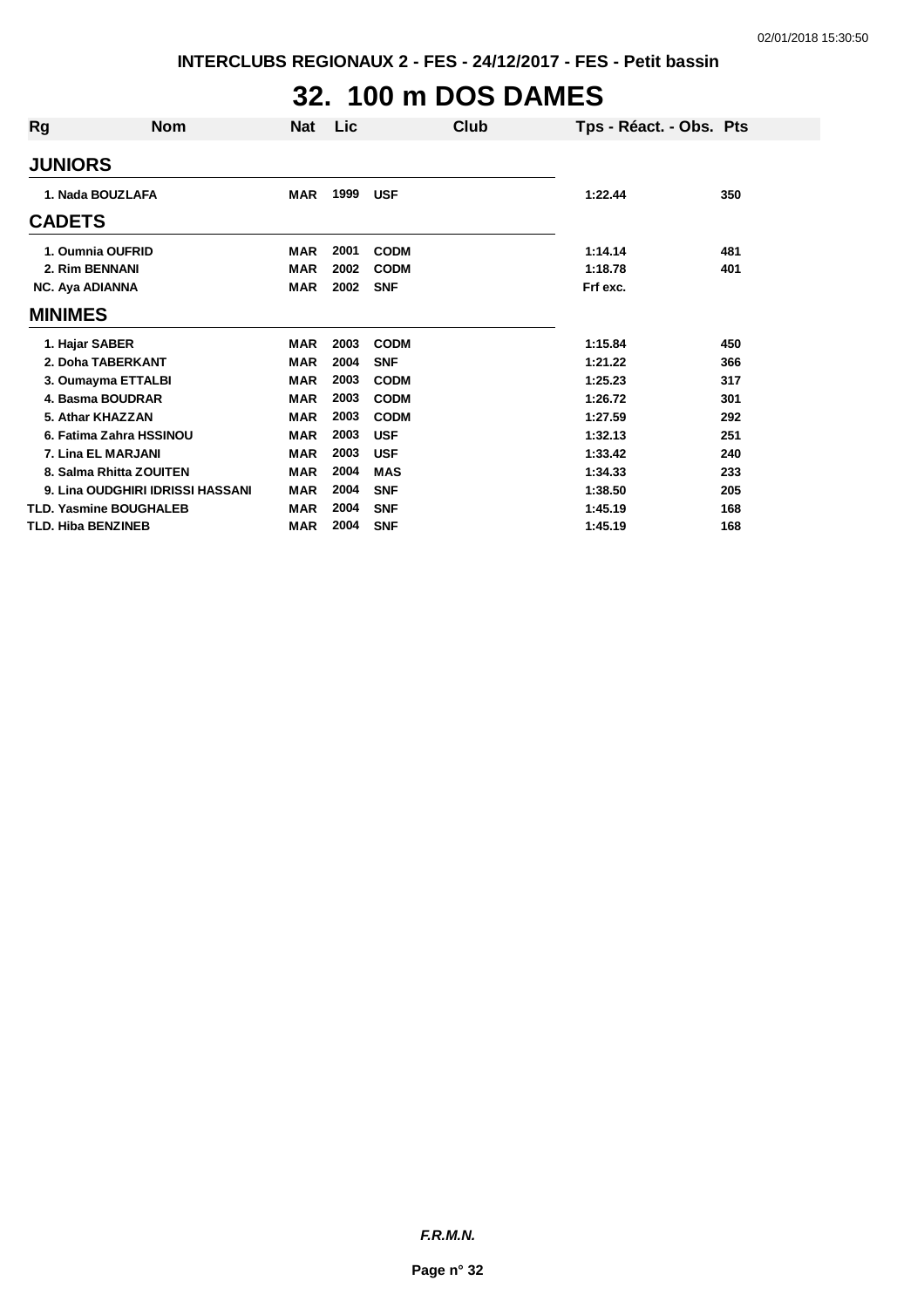# **32. 100 m DOS DAMES**

| Rg                        | <b>Nom</b>                       | <b>Nat</b> | <b>Lic</b> |             | Club | Tps - Réact. - Obs. Pts |     |
|---------------------------|----------------------------------|------------|------------|-------------|------|-------------------------|-----|
| <b>JUNIORS</b>            |                                  |            |            |             |      |                         |     |
|                           | 1. Nada BOUZLAFA                 | <b>MAR</b> | 1999       | <b>USF</b>  |      | 1:22.44                 | 350 |
| <b>CADETS</b>             |                                  |            |            |             |      |                         |     |
|                           | 1. Oumnia OUFRID                 | <b>MAR</b> | 2001       | <b>CODM</b> |      | 1:14.14                 | 481 |
| 2. Rim BENNANI            |                                  | <b>MAR</b> | 2002       | <b>CODM</b> |      | 1:18.78                 | 401 |
| <b>NC. Aya ADIANNA</b>    |                                  | <b>MAR</b> | 2002       | <b>SNF</b>  |      | Frf exc.                |     |
| <b>MINIMES</b>            |                                  |            |            |             |      |                         |     |
| 1. Hajar SABER            |                                  | <b>MAR</b> | 2003       | <b>CODM</b> |      | 1:15.84                 | 450 |
|                           | 2. Doha TABERKANT                | <b>MAR</b> | 2004       | <b>SNF</b>  |      | 1:21.22                 | 366 |
|                           | 3. Oumayma ETTALBI               | <b>MAR</b> | 2003       | <b>CODM</b> |      | 1:25.23                 | 317 |
|                           | 4. Basma BOUDRAR                 | <b>MAR</b> | 2003       | <b>CODM</b> |      | 1:26.72                 | 301 |
|                           | 5. Athar KHAZZAN                 | <b>MAR</b> | 2003       | <b>CODM</b> |      | 1:27.59                 | 292 |
|                           | 6. Fatima Zahra HSSINOU          | <b>MAR</b> | 2003       | <b>USF</b>  |      | 1:32.13                 | 251 |
|                           | 7. Lina EL MARJANI               | <b>MAR</b> | 2003       | <b>USF</b>  |      | 1:33.42                 | 240 |
|                           | 8. Salma Rhitta ZOUITEN          | <b>MAR</b> | 2004       | <b>MAS</b>  |      | 1:34.33                 | 233 |
|                           | 9. Lina OUDGHIRI IDRISSI HASSANI | <b>MAR</b> | 2004       | <b>SNF</b>  |      | 1:38.50                 | 205 |
|                           | <b>TLD. Yasmine BOUGHALEB</b>    | <b>MAR</b> | 2004       | <b>SNF</b>  |      | 1:45.19                 | 168 |
| <b>TLD. Hiba BENZINEB</b> |                                  | <b>MAR</b> | 2004       | <b>SNF</b>  |      | 1:45.19                 | 168 |

*F.R.M.N.*

**Page n° 32**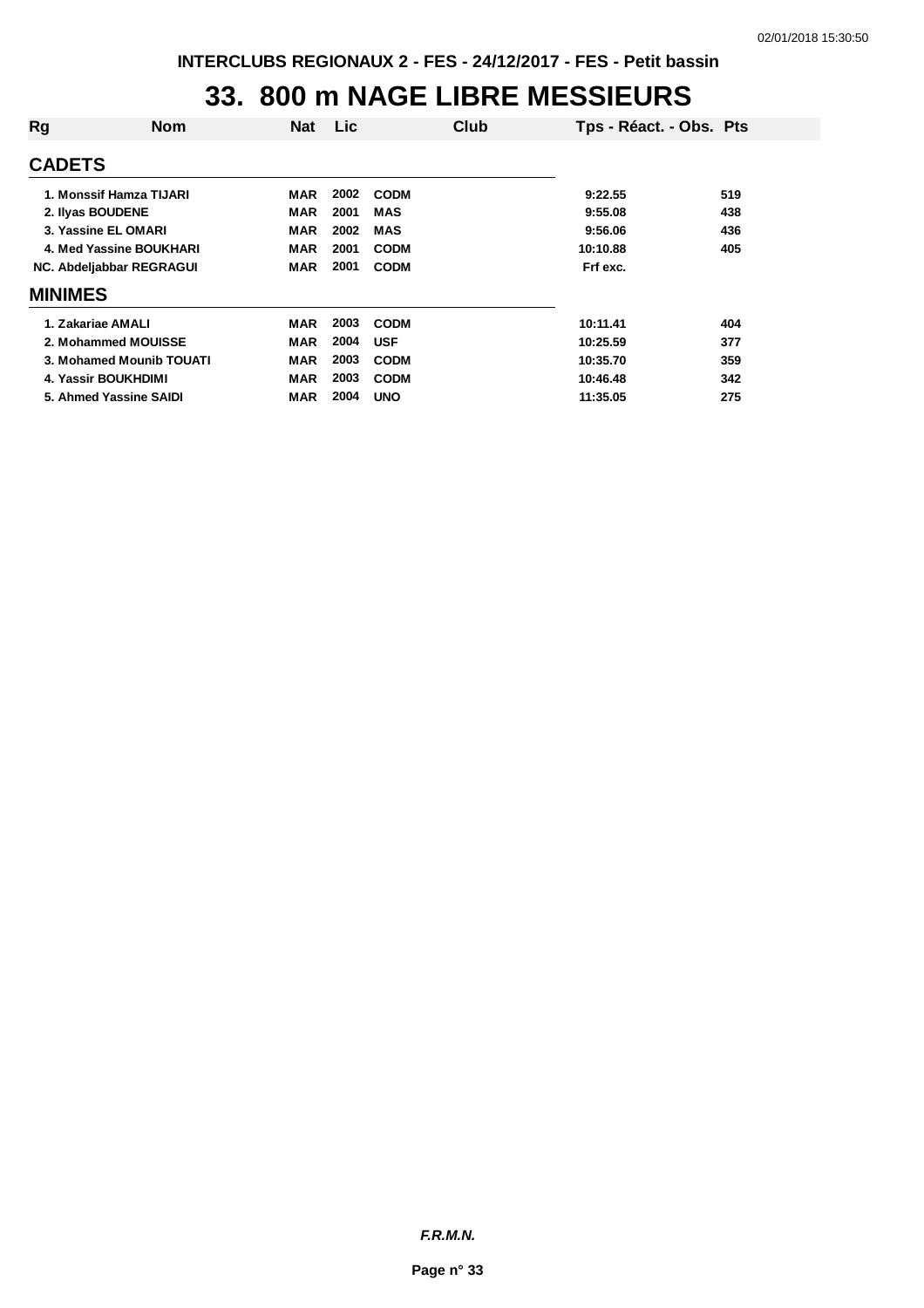#### **33. 800 m NAGE LIBRE MESSIEURS**

| Rg             | <b>Nom</b>               | <b>Nat</b> | <b>Lic</b> |             | Club | Tps - Réact. - Obs. Pts |     |
|----------------|--------------------------|------------|------------|-------------|------|-------------------------|-----|
| <b>CADETS</b>  |                          |            |            |             |      |                         |     |
|                | 1. Monssif Hamza TIJARI  | MAR        | 2002       | <b>CODM</b> |      | 9:22.55                 | 519 |
|                | 2. Ilyas BOUDENE         | <b>MAR</b> | 2001       | <b>MAS</b>  |      | 9:55.08                 | 438 |
|                | 3. Yassine EL OMARI      | <b>MAR</b> | 2002       | MAS         |      | 9:56.06                 | 436 |
|                | 4. Med Yassine BOUKHARI  | <b>MAR</b> | 2001       | <b>CODM</b> |      | 10:10.88                | 405 |
|                | NC. Abdeljabbar REGRAGUI | <b>MAR</b> | 2001       | <b>CODM</b> |      | Frf exc.                |     |
| <b>MINIMES</b> |                          |            |            |             |      |                         |     |
|                | 1. Zakariae AMALI        | <b>MAR</b> | 2003       | <b>CODM</b> |      | 10:11.41                | 404 |
|                | 2. Mohammed MOUISSE      | <b>MAR</b> | 2004       | <b>USF</b>  |      | 10:25.59                | 377 |
|                | 3. Mohamed Mounib TOUATI | <b>MAR</b> | 2003       | <b>CODM</b> |      | 10:35.70                | 359 |
|                | 4. Yassir BOUKHDIMI      | MAR        | 2003       | <b>CODM</b> |      | 10:46.48                | 342 |
|                | 5. Ahmed Yassine SAIDI   | <b>MAR</b> | 2004       | <b>UNO</b>  |      | 11:35.05                | 275 |